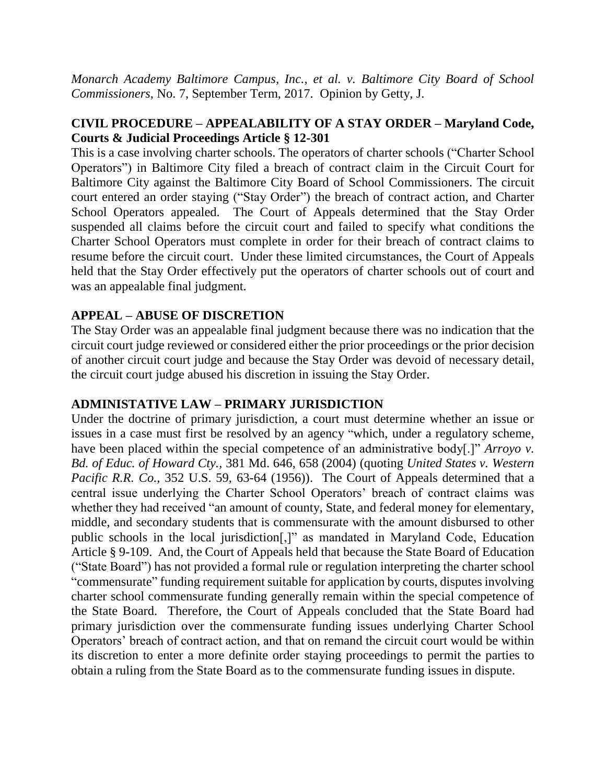*Monarch Academy Baltimore Campus, Inc., et al. v. Baltimore City Board of School Commissioners*, No. 7, September Term, 2017. Opinion by Getty, J.

# **CIVIL PROCEDURE – APPEALABILITY OF A STAY ORDER – Maryland Code, Courts & Judicial Proceedings Article § 12-301**

This is a case involving charter schools. The operators of charter schools ("Charter School Operators") in Baltimore City filed a breach of contract claim in the Circuit Court for Baltimore City against the Baltimore City Board of School Commissioners. The circuit court entered an order staying ("Stay Order") the breach of contract action, and Charter School Operators appealed. The Court of Appeals determined that the Stay Order suspended all claims before the circuit court and failed to specify what conditions the Charter School Operators must complete in order for their breach of contract claims to resume before the circuit court. Under these limited circumstances, the Court of Appeals held that the Stay Order effectively put the operators of charter schools out of court and was an appealable final judgment.

# **APPEAL – ABUSE OF DISCRETION**

The Stay Order was an appealable final judgment because there was no indication that the circuit court judge reviewed or considered either the prior proceedings or the prior decision of another circuit court judge and because the Stay Order was devoid of necessary detail, the circuit court judge abused his discretion in issuing the Stay Order.

## **ADMINISTATIVE LAW – PRIMARY JURISDICTION**

Under the doctrine of primary jurisdiction, a court must determine whether an issue or issues in a case must first be resolved by an agency "which, under a regulatory scheme, have been placed within the special competence of an administrative body[.]" *Arroyo v. Bd. of Educ. of Howard Cty.*, 381 Md. 646, 658 (2004) (quoting *United States v. Western Pacific R.R. Co.*, 352 U.S. 59, 63-64 (1956)). The Court of Appeals determined that a central issue underlying the Charter School Operators' breach of contract claims was whether they had received "an amount of county, State, and federal money for elementary, middle, and secondary students that is commensurate with the amount disbursed to other public schools in the local jurisdiction[,]" as mandated in Maryland Code, Education Article § 9-109. And, the Court of Appeals held that because the State Board of Education ("State Board") has not provided a formal rule or regulation interpreting the charter school "commensurate" funding requirement suitable for application by courts, disputes involving charter school commensurate funding generally remain within the special competence of the State Board. Therefore, the Court of Appeals concluded that the State Board had primary jurisdiction over the commensurate funding issues underlying Charter School Operators' breach of contract action, and that on remand the circuit court would be within its discretion to enter a more definite order staying proceedings to permit the parties to obtain a ruling from the State Board as to the commensurate funding issues in dispute.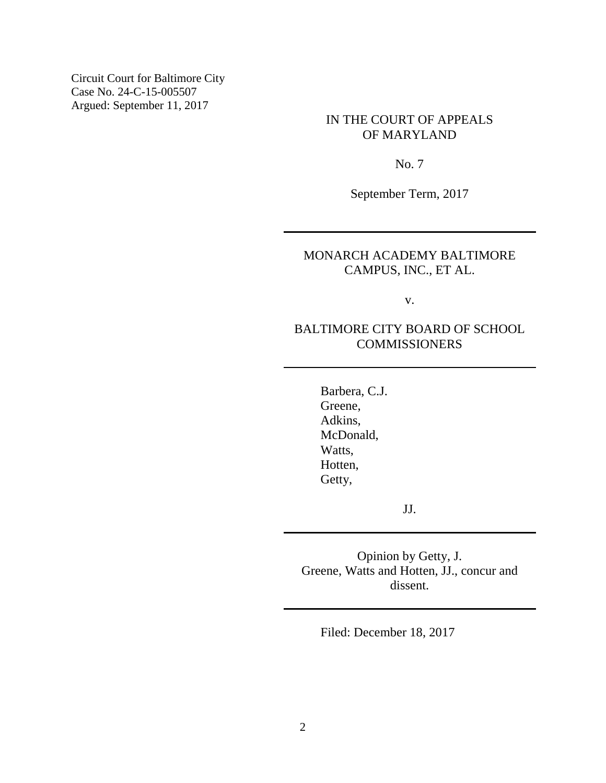Circuit Court for Baltimore City Case No. 24-C-15-005507 Argued: September 11, 2017

### IN THE COURT OF APPEALS OF MARYLAND

No. 7

September Term, 2017

## MONARCH ACADEMY BALTIMORE CAMPUS, INC., ET AL.

v.

## BALTIMORE CITY BOARD OF SCHOOL **COMMISSIONERS**

Barbera, C.J. Greene, Adkins, McDonald, Watts, Hotten, Getty,

JJ.

Opinion by Getty, J. Greene, Watts and Hotten, JJ., concur and dissent.

Filed: December 18, 2017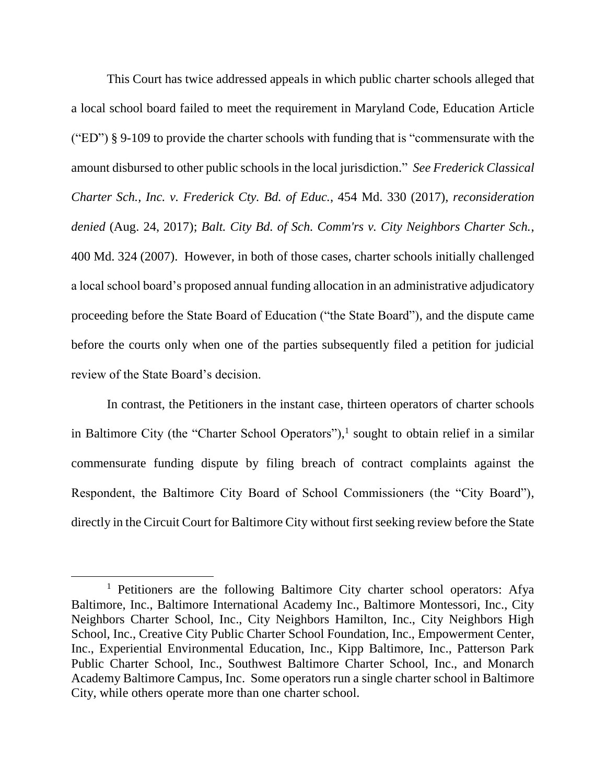This Court has twice addressed appeals in which public charter schools alleged that a local school board failed to meet the requirement in Maryland Code, Education Article ("ED") § 9-109 to provide the charter schools with funding that is "commensurate with the amount disbursed to other public schools in the local jurisdiction." *See Frederick Classical Charter Sch., Inc. v. Frederick Cty. Bd. of Educ.*, 454 Md. 330 (2017), *reconsideration denied* (Aug. 24, 2017); *Balt. City Bd. of Sch. Comm'rs v. City Neighbors Charter Sch.*, 400 Md. 324 (2007). However, in both of those cases, charter schools initially challenged a local school board's proposed annual funding allocation in an administrative adjudicatory proceeding before the State Board of Education ("the State Board"), and the dispute came before the courts only when one of the parties subsequently filed a petition for judicial review of the State Board's decision.

In contrast, the Petitioners in the instant case, thirteen operators of charter schools in Baltimore City (the "Charter School Operators"), 1 sought to obtain relief in a similar commensurate funding dispute by filing breach of contract complaints against the Respondent, the Baltimore City Board of School Commissioners (the "City Board"), directly in the Circuit Court for Baltimore City without first seeking review before the State

<sup>&</sup>lt;sup>1</sup> Petitioners are the following Baltimore City charter school operators: Afya Baltimore, Inc., Baltimore International Academy Inc., Baltimore Montessori, Inc., City Neighbors Charter School, Inc., City Neighbors Hamilton, Inc., City Neighbors High School, Inc., Creative City Public Charter School Foundation, Inc., Empowerment Center, Inc., Experiential Environmental Education, Inc., Kipp Baltimore, Inc., Patterson Park Public Charter School, Inc., Southwest Baltimore Charter School, Inc., and Monarch Academy Baltimore Campus, Inc. Some operators run a single charter school in Baltimore City, while others operate more than one charter school.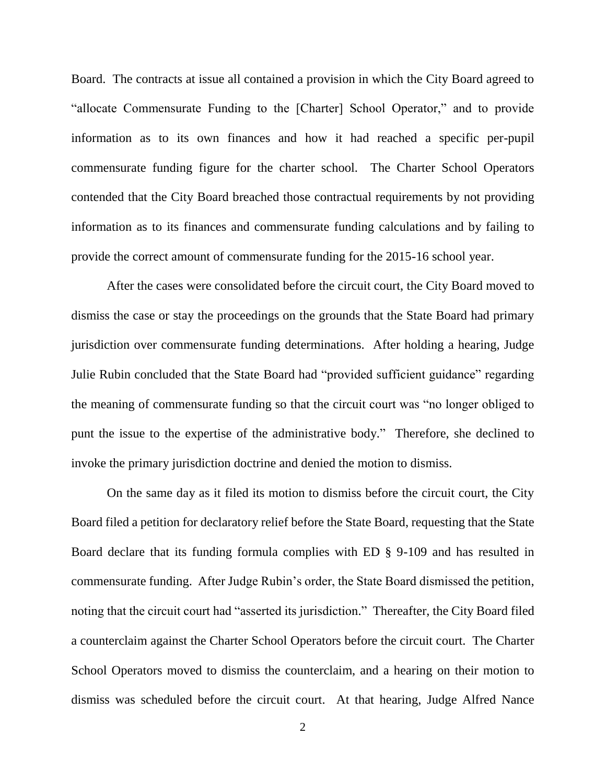Board. The contracts at issue all contained a provision in which the City Board agreed to "allocate Commensurate Funding to the [Charter] School Operator," and to provide information as to its own finances and how it had reached a specific per-pupil commensurate funding figure for the charter school. The Charter School Operators contended that the City Board breached those contractual requirements by not providing information as to its finances and commensurate funding calculations and by failing to provide the correct amount of commensurate funding for the 2015-16 school year.

After the cases were consolidated before the circuit court, the City Board moved to dismiss the case or stay the proceedings on the grounds that the State Board had primary jurisdiction over commensurate funding determinations. After holding a hearing, Judge Julie Rubin concluded that the State Board had "provided sufficient guidance" regarding the meaning of commensurate funding so that the circuit court was "no longer obliged to punt the issue to the expertise of the administrative body." Therefore, she declined to invoke the primary jurisdiction doctrine and denied the motion to dismiss.

On the same day as it filed its motion to dismiss before the circuit court, the City Board filed a petition for declaratory relief before the State Board, requesting that the State Board declare that its funding formula complies with ED § 9-109 and has resulted in commensurate funding. After Judge Rubin's order, the State Board dismissed the petition, noting that the circuit court had "asserted its jurisdiction." Thereafter, the City Board filed a counterclaim against the Charter School Operators before the circuit court. The Charter School Operators moved to dismiss the counterclaim, and a hearing on their motion to dismiss was scheduled before the circuit court. At that hearing, Judge Alfred Nance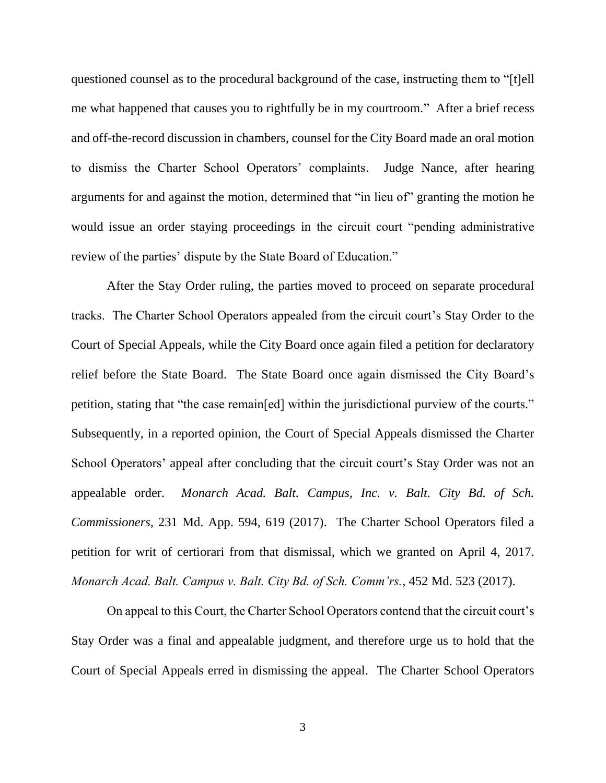questioned counsel as to the procedural background of the case, instructing them to "[t]ell me what happened that causes you to rightfully be in my courtroom." After a brief recess and off-the-record discussion in chambers, counsel for the City Board made an oral motion to dismiss the Charter School Operators' complaints. Judge Nance, after hearing arguments for and against the motion, determined that "in lieu of" granting the motion he would issue an order staying proceedings in the circuit court "pending administrative review of the parties' dispute by the State Board of Education."

After the Stay Order ruling, the parties moved to proceed on separate procedural tracks. The Charter School Operators appealed from the circuit court's Stay Order to the Court of Special Appeals, while the City Board once again filed a petition for declaratory relief before the State Board. The State Board once again dismissed the City Board's petition, stating that "the case remain[ed] within the jurisdictional purview of the courts." Subsequently, in a reported opinion, the Court of Special Appeals dismissed the Charter School Operators' appeal after concluding that the circuit court's Stay Order was not an appealable order. *Monarch Acad. Balt. Campus, Inc. v. Balt. City Bd. of Sch. Commissioners*, 231 Md. App. 594, 619 (2017). The Charter School Operators filed a petition for writ of certiorari from that dismissal, which we granted on April 4, 2017. *Monarch Acad. Balt. Campus v. Balt. City Bd. of Sch. Comm'rs.*, 452 Md. 523 (2017).

On appeal to this Court, the Charter School Operators contend that the circuit court's Stay Order was a final and appealable judgment, and therefore urge us to hold that the Court of Special Appeals erred in dismissing the appeal. The Charter School Operators

3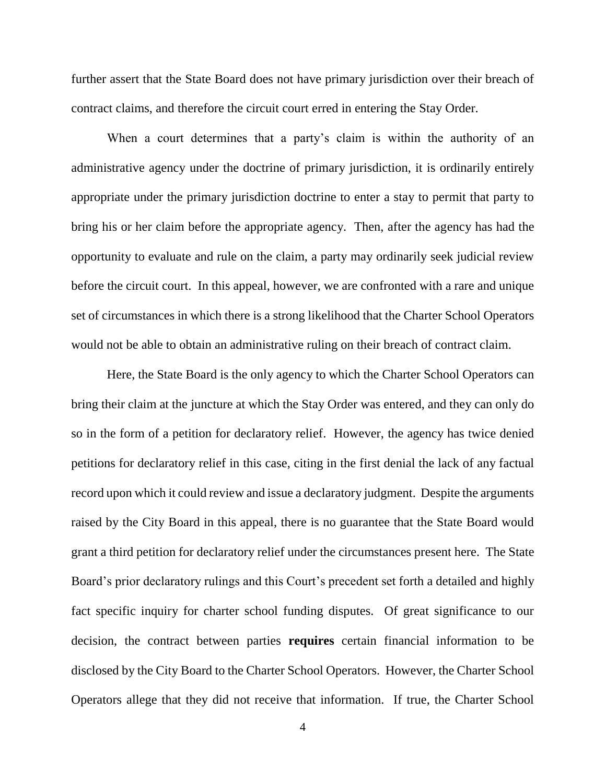further assert that the State Board does not have primary jurisdiction over their breach of contract claims, and therefore the circuit court erred in entering the Stay Order.

When a court determines that a party's claim is within the authority of an administrative agency under the doctrine of primary jurisdiction, it is ordinarily entirely appropriate under the primary jurisdiction doctrine to enter a stay to permit that party to bring his or her claim before the appropriate agency. Then, after the agency has had the opportunity to evaluate and rule on the claim, a party may ordinarily seek judicial review before the circuit court. In this appeal, however, we are confronted with a rare and unique set of circumstances in which there is a strong likelihood that the Charter School Operators would not be able to obtain an administrative ruling on their breach of contract claim.

Here, the State Board is the only agency to which the Charter School Operators can bring their claim at the juncture at which the Stay Order was entered, and they can only do so in the form of a petition for declaratory relief. However, the agency has twice denied petitions for declaratory relief in this case, citing in the first denial the lack of any factual record upon which it could review and issue a declaratory judgment. Despite the arguments raised by the City Board in this appeal, there is no guarantee that the State Board would grant a third petition for declaratory relief under the circumstances present here. The State Board's prior declaratory rulings and this Court's precedent set forth a detailed and highly fact specific inquiry for charter school funding disputes. Of great significance to our decision, the contract between parties **requires** certain financial information to be disclosed by the City Board to the Charter School Operators. However, the Charter School Operators allege that they did not receive that information. If true, the Charter School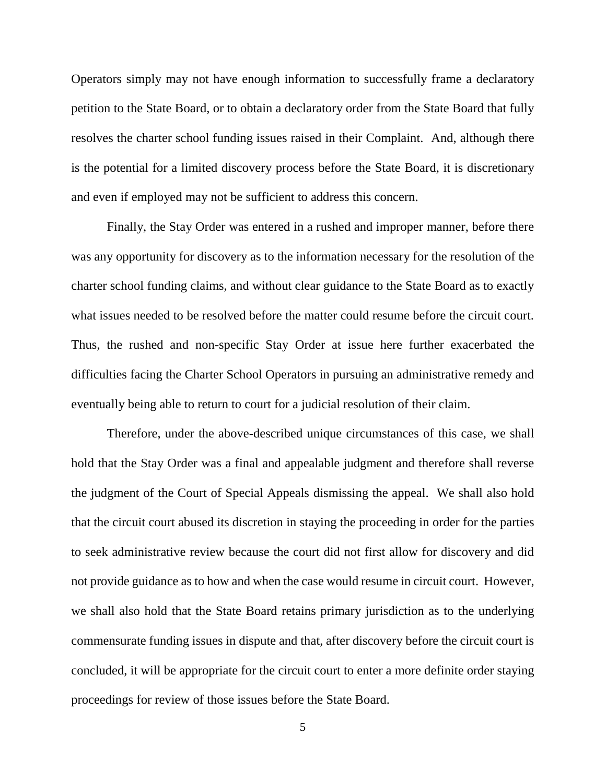Operators simply may not have enough information to successfully frame a declaratory petition to the State Board, or to obtain a declaratory order from the State Board that fully resolves the charter school funding issues raised in their Complaint. And, although there is the potential for a limited discovery process before the State Board, it is discretionary and even if employed may not be sufficient to address this concern.

Finally, the Stay Order was entered in a rushed and improper manner, before there was any opportunity for discovery as to the information necessary for the resolution of the charter school funding claims, and without clear guidance to the State Board as to exactly what issues needed to be resolved before the matter could resume before the circuit court. Thus, the rushed and non-specific Stay Order at issue here further exacerbated the difficulties facing the Charter School Operators in pursuing an administrative remedy and eventually being able to return to court for a judicial resolution of their claim.

Therefore, under the above-described unique circumstances of this case, we shall hold that the Stay Order was a final and appealable judgment and therefore shall reverse the judgment of the Court of Special Appeals dismissing the appeal. We shall also hold that the circuit court abused its discretion in staying the proceeding in order for the parties to seek administrative review because the court did not first allow for discovery and did not provide guidance as to how and when the case would resume in circuit court. However, we shall also hold that the State Board retains primary jurisdiction as to the underlying commensurate funding issues in dispute and that, after discovery before the circuit court is concluded, it will be appropriate for the circuit court to enter a more definite order staying proceedings for review of those issues before the State Board.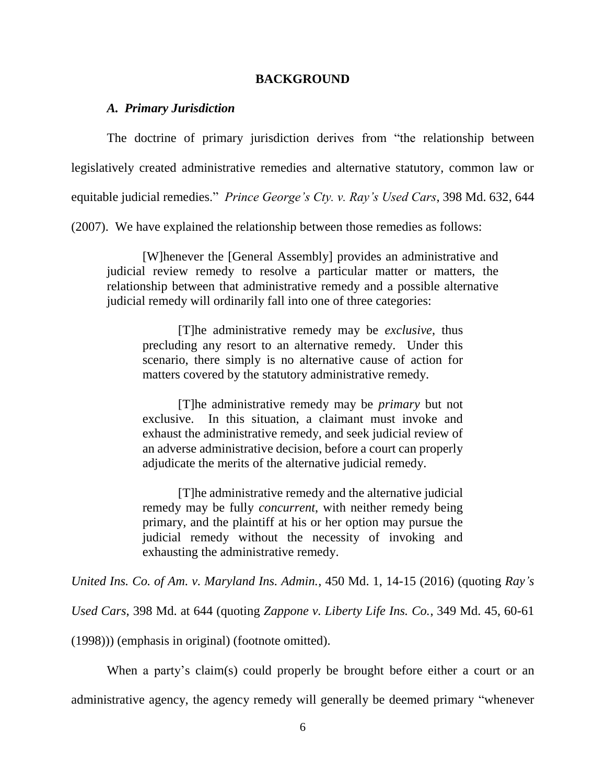#### **BACKGROUND**

#### *A. Primary Jurisdiction*

The doctrine of primary jurisdiction derives from "the relationship between legislatively created administrative remedies and alternative statutory, common law or equitable judicial remedies." *Prince George's Cty. v. Ray's Used Cars*, 398 Md. 632, 644

(2007). We have explained the relationship between those remedies as follows:

[W]henever the [General Assembly] provides an administrative and judicial review remedy to resolve a particular matter or matters, the relationship between that administrative remedy and a possible alternative judicial remedy will ordinarily fall into one of three categories:

[T]he administrative remedy may be *exclusive*, thus precluding any resort to an alternative remedy. Under this scenario, there simply is no alternative cause of action for matters covered by the statutory administrative remedy.

[T]he administrative remedy may be *primary* but not exclusive. In this situation, a claimant must invoke and exhaust the administrative remedy, and seek judicial review of an adverse administrative decision, before a court can properly adjudicate the merits of the alternative judicial remedy.

[T]he administrative remedy and the alternative judicial remedy may be fully *concurrent*, with neither remedy being primary, and the plaintiff at his or her option may pursue the judicial remedy without the necessity of invoking and exhausting the administrative remedy.

*United Ins. Co. of Am. v. Maryland Ins. Admin.*, 450 Md. 1, 14-15 (2016) (quoting *Ray's* 

*Used Cars*, 398 Md. at 644 (quoting *Zappone v. Liberty Life Ins. Co.*, 349 Md. 45, 60-61

(1998))) (emphasis in original) (footnote omitted).

When a party's claim(s) could properly be brought before either a court or an administrative agency, the agency remedy will generally be deemed primary "whenever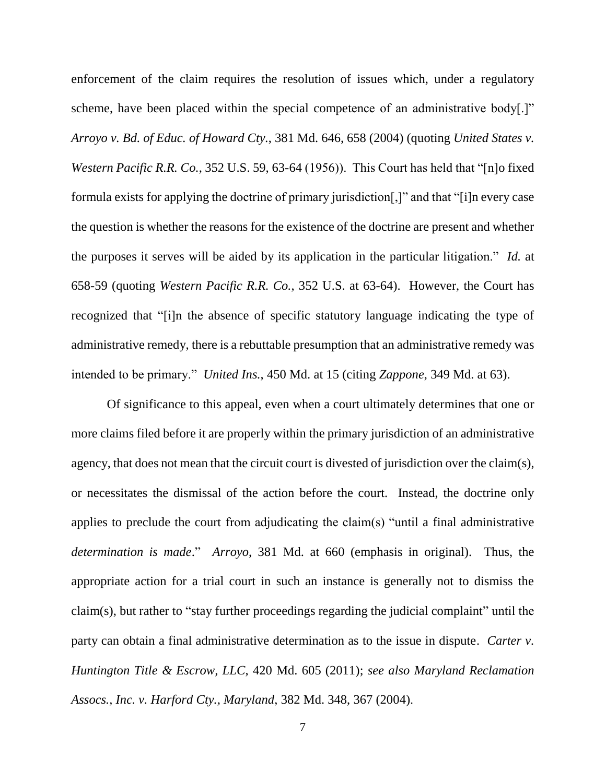enforcement of the claim requires the resolution of issues which, under a regulatory scheme, have been placed within the special competence of an administrative body[.]" *Arroyo v. Bd. of Educ. of Howard Cty.*, 381 Md. 646, 658 (2004) (quoting *United States v. Western Pacific R.R. Co.*, 352 U.S. 59, 63-64 (1956)). This Court has held that "[n]o fixed formula exists for applying the doctrine of primary jurisdiction[,]" and that "[i]n every case the question is whether the reasons for the existence of the doctrine are present and whether the purposes it serves will be aided by its application in the particular litigation." *Id.* at 658-59 (quoting *Western Pacific R.R. Co.*, 352 U.S. at 63-64). However, the Court has recognized that "[i]n the absence of specific statutory language indicating the type of administrative remedy, there is a rebuttable presumption that an administrative remedy was intended to be primary." *United Ins.*, 450 Md. at 15 (citing *Zappone*, 349 Md. at 63).

Of significance to this appeal, even when a court ultimately determines that one or more claims filed before it are properly within the primary jurisdiction of an administrative agency, that does not mean that the circuit court is divested of jurisdiction over the claim(s), or necessitates the dismissal of the action before the court. Instead, the doctrine only applies to preclude the court from adjudicating the claim(s) "until a final administrative *determination is made*." *Arroyo*, 381 Md. at 660 (emphasis in original). Thus, the appropriate action for a trial court in such an instance is generally not to dismiss the claim(s), but rather to "stay further proceedings regarding the judicial complaint" until the party can obtain a final administrative determination as to the issue in dispute. *Carter v. Huntington Title & Escrow, LLC*, 420 Md. 605 (2011); *see also Maryland Reclamation Assocs., Inc. v. Harford Cty., Maryland*, 382 Md. 348, 367 (2004).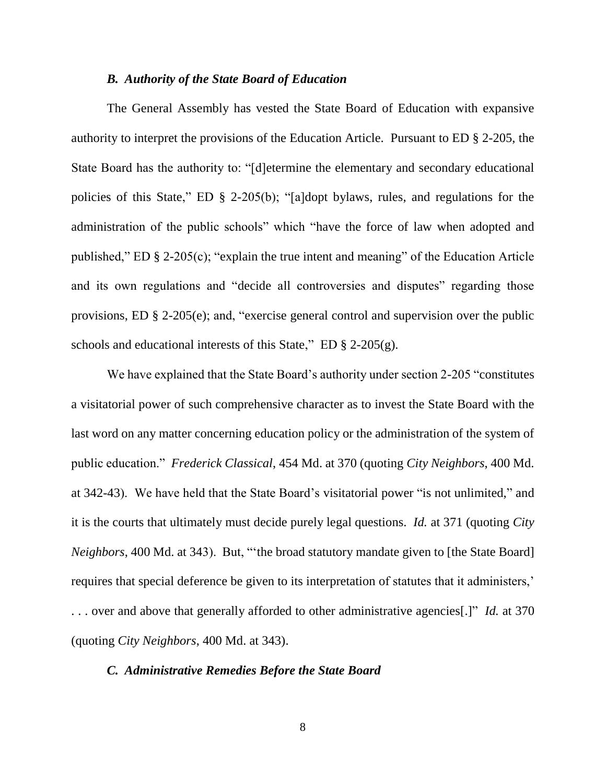#### *B. Authority of the State Board of Education*

The General Assembly has vested the State Board of Education with expansive authority to interpret the provisions of the Education Article. Pursuant to ED § 2-205, the State Board has the authority to: "[d]etermine the elementary and secondary educational policies of this State," ED § 2-205(b); "[a]dopt bylaws, rules, and regulations for the administration of the public schools" which "have the force of law when adopted and published," ED § 2-205(c); "explain the true intent and meaning" of the Education Article and its own regulations and "decide all controversies and disputes" regarding those provisions, ED § 2-205(e); and, "exercise general control and supervision over the public schools and educational interests of this State," ED § 2-205(g).

We have explained that the State Board's authority under section 2-205 "constitutes a visitatorial power of such comprehensive character as to invest the State Board with the last word on any matter concerning education policy or the administration of the system of public education." *Frederick Classical*, 454 Md. at 370 (quoting *City Neighbors*, 400 Md. at 342-43). We have held that the State Board's visitatorial power "is not unlimited," and it is the courts that ultimately must decide purely legal questions. *Id.* at 371 (quoting *City Neighbors*, 400 Md. at 343). But, "'the broad statutory mandate given to [the State Board] requires that special deference be given to its interpretation of statutes that it administers,' . . . over and above that generally afforded to other administrative agencies[.]" *Id.* at 370 (quoting *City Neighbors*, 400 Md. at 343).

#### *C. Administrative Remedies Before the State Board*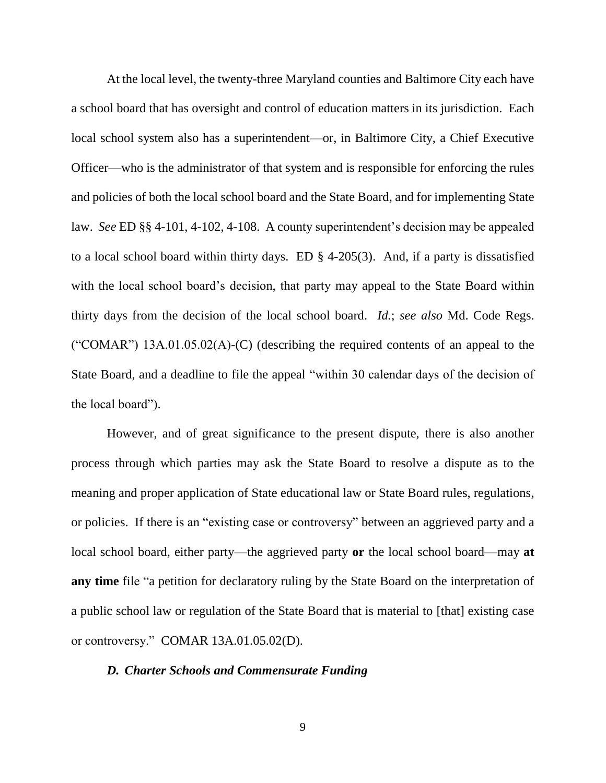At the local level, the twenty-three Maryland counties and Baltimore City each have a school board that has oversight and control of education matters in its jurisdiction. Each local school system also has a superintendent—or, in Baltimore City, a Chief Executive Officer—who is the administrator of that system and is responsible for enforcing the rules and policies of both the local school board and the State Board, and for implementing State law. *See* ED §§ 4-101, 4-102, 4-108. A county superintendent's decision may be appealed to a local school board within thirty days. ED § 4-205(3). And, if a party is dissatisfied with the local school board's decision, that party may appeal to the State Board within thirty days from the decision of the local school board. *Id.*; *see also* Md. Code Regs. ("COMAR")  $13A.01.05.02(A)$ -(C) (describing the required contents of an appeal to the State Board, and a deadline to file the appeal "within 30 calendar days of the decision of the local board").

However, and of great significance to the present dispute, there is also another process through which parties may ask the State Board to resolve a dispute as to the meaning and proper application of State educational law or State Board rules, regulations, or policies. If there is an "existing case or controversy" between an aggrieved party and a local school board, either party—the aggrieved party **or** the local school board—may **at any time** file "a petition for declaratory ruling by the State Board on the interpretation of a public school law or regulation of the State Board that is material to [that] existing case or controversy." COMAR 13A.01.05.02(D).

#### *D. Charter Schools and Commensurate Funding*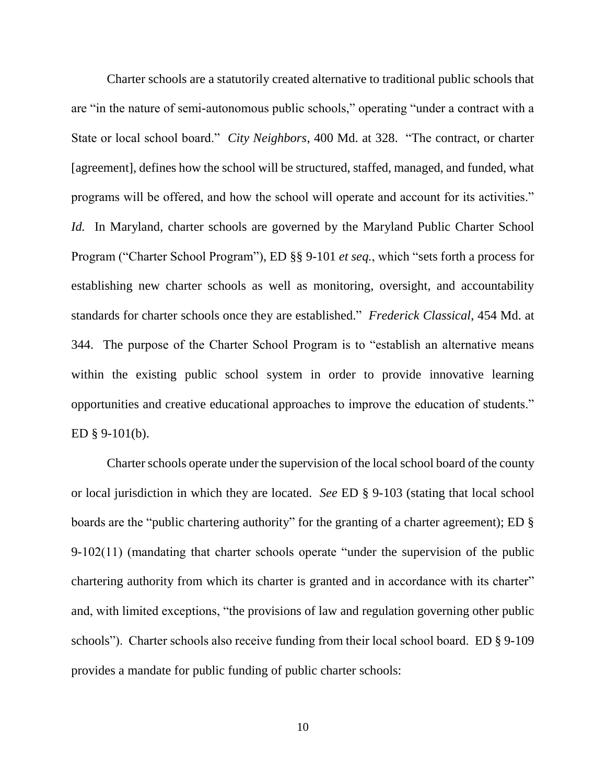Charter schools are a statutorily created alternative to traditional public schools that are "in the nature of semi-autonomous public schools," operating "under a contract with a State or local school board." *City Neighbors*, 400 Md. at 328. "The contract, or charter [agreement], defines how the school will be structured, staffed, managed, and funded, what programs will be offered, and how the school will operate and account for its activities." *Id.* In Maryland, charter schools are governed by the Maryland Public Charter School Program ("Charter School Program"), ED §§ 9-101 *et seq.*, which "sets forth a process for establishing new charter schools as well as monitoring, oversight, and accountability standards for charter schools once they are established." *Frederick Classical*, 454 Md. at 344. The purpose of the Charter School Program is to "establish an alternative means within the existing public school system in order to provide innovative learning opportunities and creative educational approaches to improve the education of students." ED  $§$  9-101(b).

Charter schools operate under the supervision of the local school board of the county or local jurisdiction in which they are located. *See* ED § 9-103 (stating that local school boards are the "public chartering authority" for the granting of a charter agreement); ED § 9-102(11) (mandating that charter schools operate "under the supervision of the public chartering authority from which its charter is granted and in accordance with its charter" and, with limited exceptions, "the provisions of law and regulation governing other public schools"). Charter schools also receive funding from their local school board. ED § 9-109 provides a mandate for public funding of public charter schools: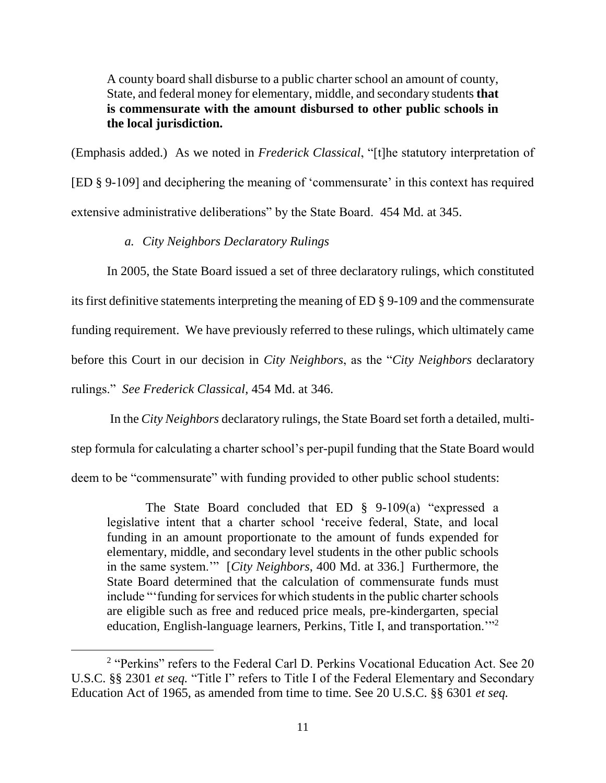A county board shall disburse to a public charter school an amount of county, State, and federal money for elementary, middle, and secondary students **that is commensurate with the amount disbursed to other public schools in the local jurisdiction.**

(Emphasis added.) As we noted in *Frederick Classical*, "[t]he statutory interpretation of [ED § 9-109] and deciphering the meaning of 'commensurate' in this context has required extensive administrative deliberations" by the State Board. 454 Md. at 345.

*a. City Neighbors Declaratory Rulings*

 $\overline{a}$ 

In 2005, the State Board issued a set of three declaratory rulings, which constituted its first definitive statements interpreting the meaning of ED § 9-109 and the commensurate funding requirement. We have previously referred to these rulings, which ultimately came before this Court in our decision in *City Neighbors*, as the "*City Neighbors* declaratory rulings." *See Frederick Classical*, 454 Md. at 346.

In the *City Neighbors* declaratory rulings, the State Board set forth a detailed, multistep formula for calculating a charter school's per-pupil funding that the State Board would deem to be "commensurate" with funding provided to other public school students:

The State Board concluded that ED § 9-109(a) "expressed a legislative intent that a charter school 'receive federal, State, and local funding in an amount proportionate to the amount of funds expended for elementary, middle, and secondary level students in the other public schools in the same system.'" [*City Neighbors*, 400 Md. at 336.] Furthermore, the State Board determined that the calculation of commensurate funds must include "'funding for services for which students in the public charter schools are eligible such as free and reduced price meals, pre-kindergarten, special education, English-language learners, Perkins, Title I, and transportation."<sup>2</sup>

<sup>&</sup>lt;sup>2</sup> "Perkins" refers to the Federal Carl D. Perkins Vocational Education Act. See 20 U.S.C. §§ 2301 *et seq.* "Title I" refers to Title I of the Federal Elementary and Secondary Education Act of 1965, as amended from time to time. See 20 U.S.C. §§ 6301 *et seq.*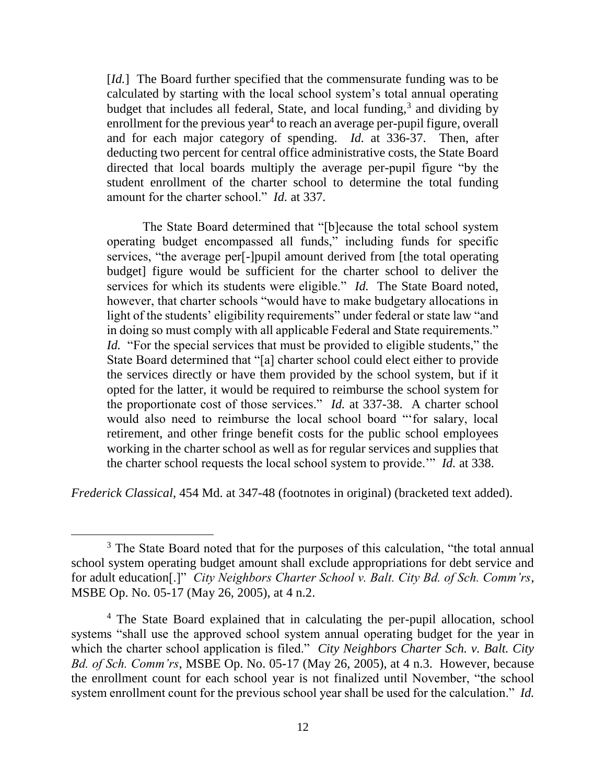[*Id.*] The Board further specified that the commensurate funding was to be calculated by starting with the local school system's total annual operating budget that includes all federal, State, and local funding,<sup>3</sup> and dividing by enrollment for the previous year<sup>4</sup> to reach an average per-pupil figure, overall and for each major category of spending. *Id.* at 336-37. Then, after deducting two percent for central office administrative costs, the State Board directed that local boards multiply the average per-pupil figure "by the student enrollment of the charter school to determine the total funding amount for the charter school." *Id.* at 337.

The State Board determined that "[b]ecause the total school system operating budget encompassed all funds," including funds for specific services, "the average per[-]pupil amount derived from [the total operating budget] figure would be sufficient for the charter school to deliver the services for which its students were eligible." *Id.* The State Board noted, however, that charter schools "would have to make budgetary allocations in light of the students' eligibility requirements" under federal or state law "and in doing so must comply with all applicable Federal and State requirements." *Id.* "For the special services that must be provided to eligible students," the State Board determined that "[a] charter school could elect either to provide the services directly or have them provided by the school system, but if it opted for the latter, it would be required to reimburse the school system for the proportionate cost of those services." *Id.* at 337-38. A charter school would also need to reimburse the local school board "'for salary, local retirement, and other fringe benefit costs for the public school employees working in the charter school as well as for regular services and supplies that the charter school requests the local school system to provide.'" *Id.* at 338.

*Frederick Classical*, 454 Md. at 347-48 (footnotes in original) (bracketed text added).

<sup>&</sup>lt;sup>3</sup> The State Board noted that for the purposes of this calculation, "the total annual school system operating budget amount shall exclude appropriations for debt service and for adult education[.]" *City Neighbors Charter School v. Balt. City Bd. of Sch. Comm'rs*, MSBE Op. No. 05-17 (May 26, 2005), at 4 n.2.

<sup>&</sup>lt;sup>4</sup> The State Board explained that in calculating the per-pupil allocation, school systems "shall use the approved school system annual operating budget for the year in which the charter school application is filed." *City Neighbors Charter Sch. v. Balt. City Bd. of Sch. Comm'rs*, MSBE Op. No. 05-17 (May 26, 2005), at 4 n.3. However, because the enrollment count for each school year is not finalized until November, "the school system enrollment count for the previous school year shall be used for the calculation." *Id.*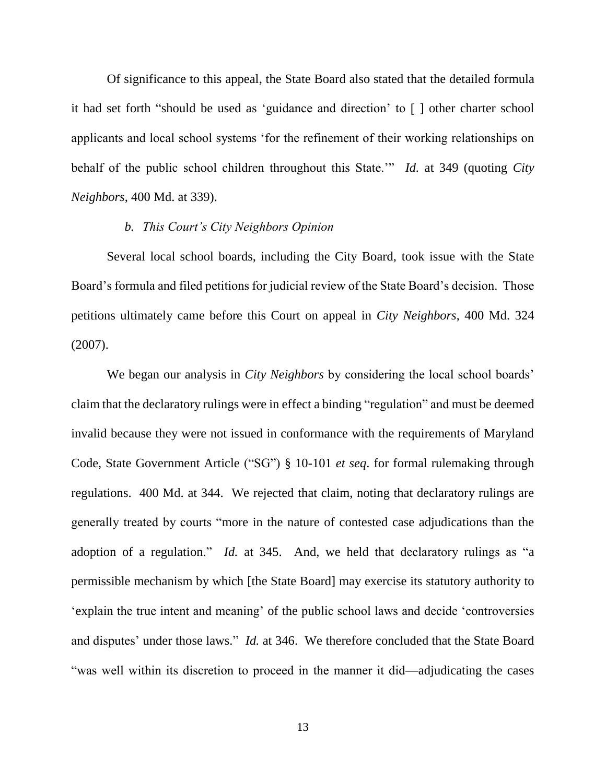Of significance to this appeal, the State Board also stated that the detailed formula it had set forth "should be used as 'guidance and direction' to [ ] other charter school applicants and local school systems 'for the refinement of their working relationships on behalf of the public school children throughout this State.'" *Id.* at 349 (quoting *City Neighbors*, 400 Md. at 339).

### *b. This Court's City Neighbors Opinion*

Several local school boards, including the City Board, took issue with the State Board's formula and filed petitions for judicial review of the State Board's decision. Those petitions ultimately came before this Court on appeal in *City Neighbors*, 400 Md. 324 (2007).

We began our analysis in *City Neighbors* by considering the local school boards' claim that the declaratory rulings were in effect a binding "regulation" and must be deemed invalid because they were not issued in conformance with the requirements of Maryland Code, State Government Article ("SG") § 10-101 *et seq*. for formal rulemaking through regulations. 400 Md. at 344. We rejected that claim, noting that declaratory rulings are generally treated by courts "more in the nature of contested case adjudications than the adoption of a regulation." *Id.* at 345. And, we held that declaratory rulings as "a permissible mechanism by which [the State Board] may exercise its statutory authority to 'explain the true intent and meaning' of the public school laws and decide 'controversies and disputes' under those laws." *Id.* at 346. We therefore concluded that the State Board "was well within its discretion to proceed in the manner it did—adjudicating the cases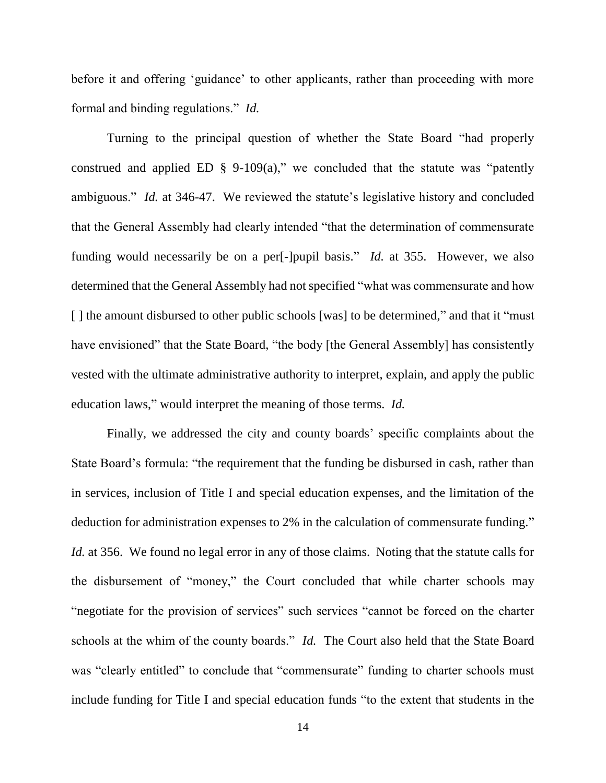before it and offering 'guidance' to other applicants, rather than proceeding with more formal and binding regulations." *Id.* 

Turning to the principal question of whether the State Board "had properly construed and applied ED  $\S$  9-109(a)," we concluded that the statute was "patently ambiguous." *Id.* at 346-47. We reviewed the statute's legislative history and concluded that the General Assembly had clearly intended "that the determination of commensurate funding would necessarily be on a per[-]pupil basis." *Id.* at 355. However, we also determined that the General Assembly had not specified "what was commensurate and how [] the amount disbursed to other public schools [was] to be determined," and that it "must" have envisioned" that the State Board, "the body [the General Assembly] has consistently vested with the ultimate administrative authority to interpret, explain, and apply the public education laws," would interpret the meaning of those terms. *Id.*

Finally, we addressed the city and county boards' specific complaints about the State Board's formula: "the requirement that the funding be disbursed in cash, rather than in services, inclusion of Title I and special education expenses, and the limitation of the deduction for administration expenses to 2% in the calculation of commensurate funding." *Id.* at 356. We found no legal error in any of those claims. Noting that the statute calls for the disbursement of "money," the Court concluded that while charter schools may "negotiate for the provision of services" such services "cannot be forced on the charter schools at the whim of the county boards." *Id.* The Court also held that the State Board was "clearly entitled" to conclude that "commensurate" funding to charter schools must include funding for Title I and special education funds "to the extent that students in the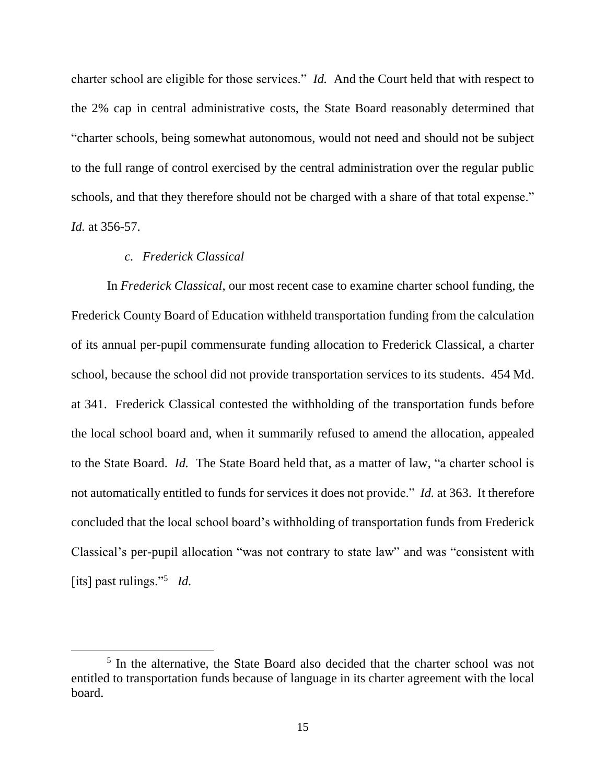charter school are eligible for those services." *Id.* And the Court held that with respect to the 2% cap in central administrative costs, the State Board reasonably determined that "charter schools, being somewhat autonomous, would not need and should not be subject to the full range of control exercised by the central administration over the regular public schools, and that they therefore should not be charged with a share of that total expense." *Id.* at 356-57.

### *c. Frederick Classical*

 $\overline{a}$ 

In *Frederick Classical*, our most recent case to examine charter school funding, the Frederick County Board of Education withheld transportation funding from the calculation of its annual per-pupil commensurate funding allocation to Frederick Classical, a charter school, because the school did not provide transportation services to its students. 454 Md. at 341. Frederick Classical contested the withholding of the transportation funds before the local school board and, when it summarily refused to amend the allocation, appealed to the State Board. *Id.* The State Board held that, as a matter of law, "a charter school is not automatically entitled to funds for services it does not provide." *Id.* at 363. It therefore concluded that the local school board's withholding of transportation funds from Frederick Classical's per-pupil allocation "was not contrary to state law" and was "consistent with [its] past rulings."<sup>5</sup> *Id.*

<sup>&</sup>lt;sup>5</sup> In the alternative, the State Board also decided that the charter school was not entitled to transportation funds because of language in its charter agreement with the local board.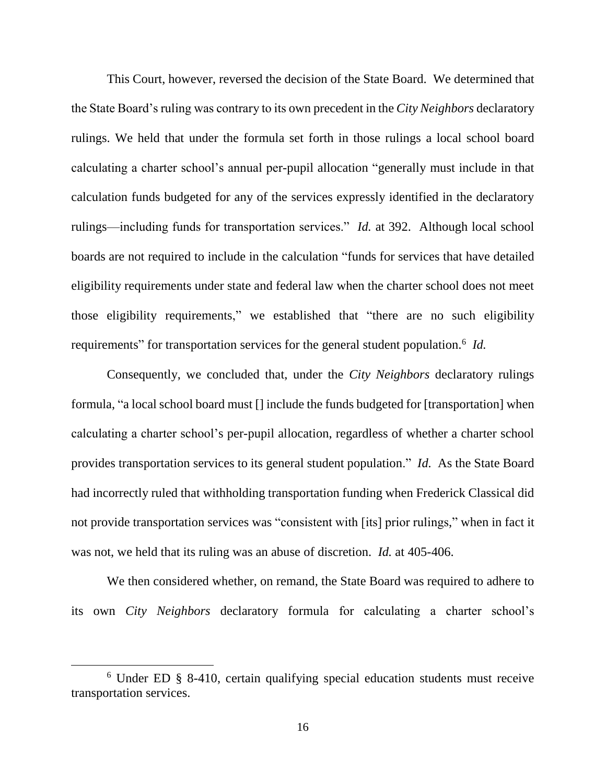This Court, however, reversed the decision of the State Board. We determined that the State Board's ruling was contrary to its own precedent in the *City Neighbors* declaratory rulings. We held that under the formula set forth in those rulings a local school board calculating a charter school's annual per-pupil allocation "generally must include in that calculation funds budgeted for any of the services expressly identified in the declaratory rulings—including funds for transportation services." *Id.* at 392. Although local school boards are not required to include in the calculation "funds for services that have detailed eligibility requirements under state and federal law when the charter school does not meet those eligibility requirements," we established that "there are no such eligibility requirements" for transportation services for the general student population.<sup>6</sup> *Id.* 

Consequently, we concluded that, under the *City Neighbors* declaratory rulings formula, "a local school board must [] include the funds budgeted for [transportation] when calculating a charter school's per-pupil allocation, regardless of whether a charter school provides transportation services to its general student population." *Id.* As the State Board had incorrectly ruled that withholding transportation funding when Frederick Classical did not provide transportation services was "consistent with [its] prior rulings," when in fact it was not, we held that its ruling was an abuse of discretion. *Id.* at 405-406.

We then considered whether, on remand, the State Board was required to adhere to its own *City Neighbors* declaratory formula for calculating a charter school's

<sup>6</sup> Under ED § 8-410, certain qualifying special education students must receive transportation services.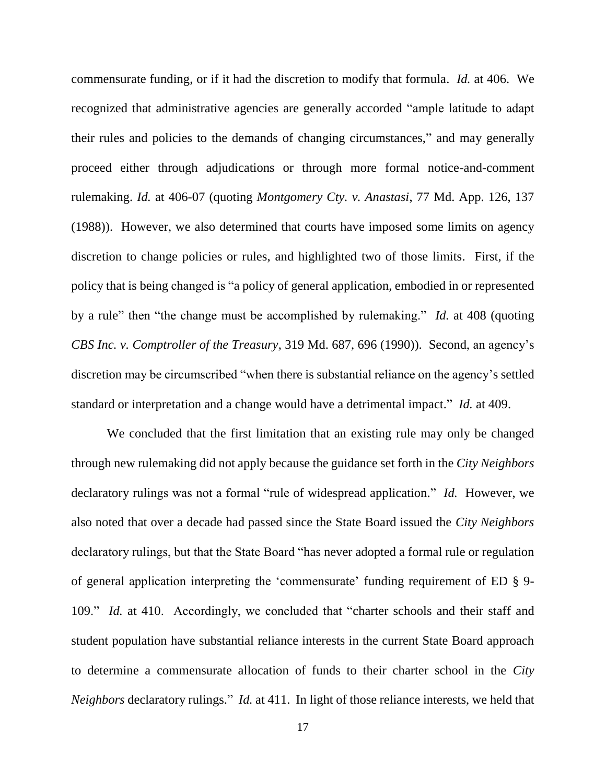commensurate funding, or if it had the discretion to modify that formula. *Id.* at 406. We recognized that administrative agencies are generally accorded "ample latitude to adapt their rules and policies to the demands of changing circumstances," and may generally proceed either through adjudications or through more formal notice-and-comment rulemaking. *Id.* at 406-07 (quoting *Montgomery Cty. v. Anastasi*, 77 Md. App. 126, 137 (1988)). However, we also determined that courts have imposed some limits on agency discretion to change policies or rules, and highlighted two of those limits. First, if the policy that is being changed is "a policy of general application, embodied in or represented by a rule" then "the change must be accomplished by rulemaking." *Id.* at 408 (quoting *CBS Inc. v. Comptroller of the Treasury*, 319 Md. 687, 696 (1990)). Second, an agency's discretion may be circumscribed "when there is substantial reliance on the agency's settled standard or interpretation and a change would have a detrimental impact." *Id.* at 409.

We concluded that the first limitation that an existing rule may only be changed through new rulemaking did not apply because the guidance set forth in the *City Neighbors* declaratory rulings was not a formal "rule of widespread application." *Id.* However, we also noted that over a decade had passed since the State Board issued the *City Neighbors* declaratory rulings, but that the State Board "has never adopted a formal rule or regulation of general application interpreting the 'commensurate' funding requirement of ED § 9- 109." *Id.* at 410. Accordingly, we concluded that "charter schools and their staff and student population have substantial reliance interests in the current State Board approach to determine a commensurate allocation of funds to their charter school in the *City Neighbors* declaratory rulings." *Id.* at 411. In light of those reliance interests, we held that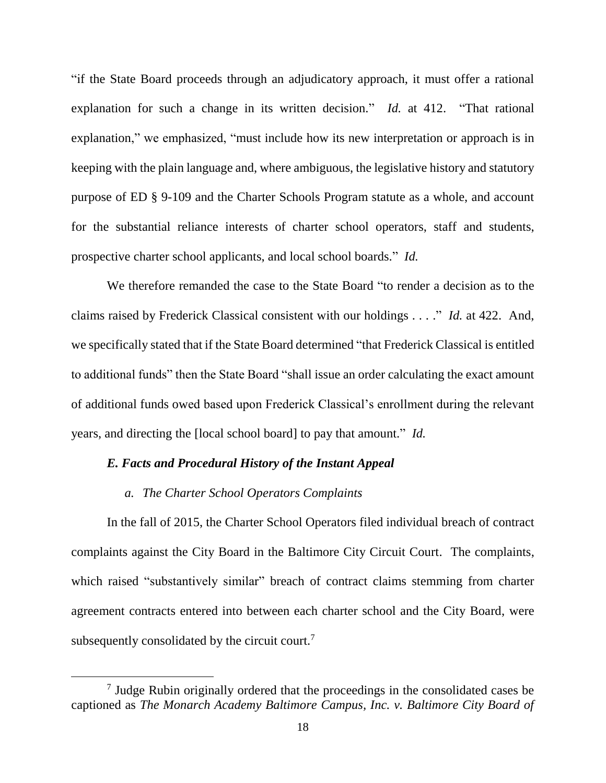"if the State Board proceeds through an adjudicatory approach, it must offer a rational explanation for such a change in its written decision." *Id.* at 412. "That rational explanation," we emphasized, "must include how its new interpretation or approach is in keeping with the plain language and, where ambiguous, the legislative history and statutory purpose of ED § 9-109 and the Charter Schools Program statute as a whole, and account for the substantial reliance interests of charter school operators, staff and students, prospective charter school applicants, and local school boards." *Id.*

We therefore remanded the case to the State Board "to render a decision as to the claims raised by Frederick Classical consistent with our holdings . . . ." *Id.* at 422. And, we specifically stated that if the State Board determined "that Frederick Classical is entitled to additional funds" then the State Board "shall issue an order calculating the exact amount of additional funds owed based upon Frederick Classical's enrollment during the relevant years, and directing the [local school board] to pay that amount." *Id.*

### *E. Facts and Procedural History of the Instant Appeal*

#### *a. The Charter School Operators Complaints*

 $\overline{a}$ 

In the fall of 2015, the Charter School Operators filed individual breach of contract complaints against the City Board in the Baltimore City Circuit Court. The complaints, which raised "substantively similar" breach of contract claims stemming from charter agreement contracts entered into between each charter school and the City Board, were subsequently consolidated by the circuit court.<sup>7</sup>

<sup>7</sup> Judge Rubin originally ordered that the proceedings in the consolidated cases be captioned as *The Monarch Academy Baltimore Campus, Inc. v. Baltimore City Board of*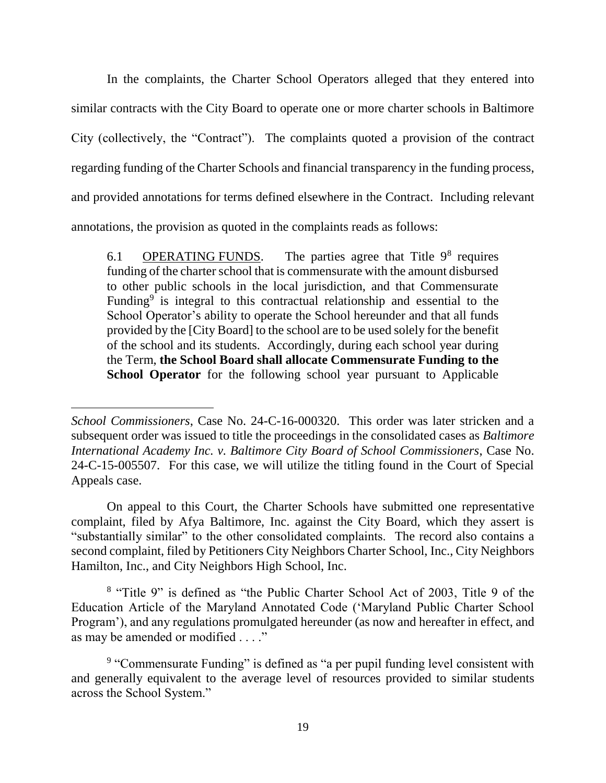In the complaints, the Charter School Operators alleged that they entered into similar contracts with the City Board to operate one or more charter schools in Baltimore City (collectively, the "Contract"). The complaints quoted a provision of the contract regarding funding of the Charter Schools and financial transparency in the funding process, and provided annotations for terms defined elsewhere in the Contract. Including relevant annotations, the provision as quoted in the complaints reads as follows:

6.1 **OPERATING FUNDS**. The parties agree that Title  $9^8$  requires funding of the charter school that is commensurate with the amount disbursed to other public schools in the local jurisdiction, and that Commensurate Funding<sup>9</sup> is integral to this contractual relationship and essential to the School Operator's ability to operate the School hereunder and that all funds provided by the [City Board] to the school are to be used solely for the benefit of the school and its students. Accordingly, during each school year during the Term, **the School Board shall allocate Commensurate Funding to the School Operator** for the following school year pursuant to Applicable

 $\overline{a}$ 

On appeal to this Court, the Charter Schools have submitted one representative complaint, filed by Afya Baltimore, Inc. against the City Board, which they assert is "substantially similar" to the other consolidated complaints. The record also contains a second complaint, filed by Petitioners City Neighbors Charter School, Inc., City Neighbors Hamilton, Inc., and City Neighbors High School, Inc.

<sup>8</sup> "Title 9" is defined as "the Public Charter School Act of 2003, Title 9 of the Education Article of the Maryland Annotated Code ('Maryland Public Charter School Program'), and any regulations promulgated hereunder (as now and hereafter in effect, and as may be amended or modified . . . ."

*School Commissioners*, Case No. 24-C-16-000320. This order was later stricken and a subsequent order was issued to title the proceedings in the consolidated cases as *Baltimore International Academy Inc. v. Baltimore City Board of School Commissioners*, Case No. 24-C-15-005507. For this case, we will utilize the titling found in the Court of Special Appeals case.

<sup>&</sup>lt;sup>9</sup> "Commensurate Funding" is defined as "a per pupil funding level consistent with and generally equivalent to the average level of resources provided to similar students across the School System."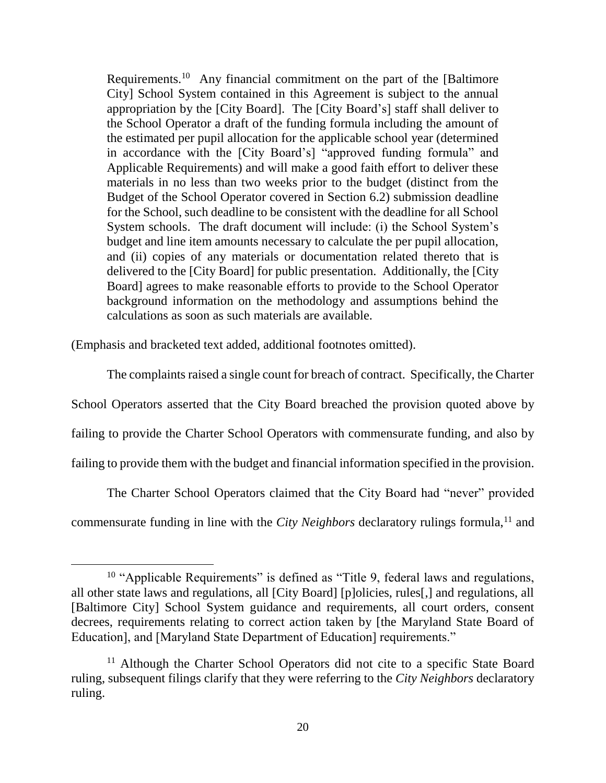Requirements.<sup>10</sup> Any financial commitment on the part of the [Baltimore] City] School System contained in this Agreement is subject to the annual appropriation by the [City Board]. The [City Board's] staff shall deliver to the School Operator a draft of the funding formula including the amount of the estimated per pupil allocation for the applicable school year (determined in accordance with the [City Board's] "approved funding formula" and Applicable Requirements) and will make a good faith effort to deliver these materials in no less than two weeks prior to the budget (distinct from the Budget of the School Operator covered in Section 6.2) submission deadline for the School, such deadline to be consistent with the deadline for all School System schools. The draft document will include: (i) the School System's budget and line item amounts necessary to calculate the per pupil allocation, and (ii) copies of any materials or documentation related thereto that is delivered to the [City Board] for public presentation. Additionally, the [City Board] agrees to make reasonable efforts to provide to the School Operator background information on the methodology and assumptions behind the calculations as soon as such materials are available.

(Emphasis and bracketed text added, additional footnotes omitted).

 $\overline{a}$ 

The complaints raised a single count for breach of contract. Specifically, the Charter School Operators asserted that the City Board breached the provision quoted above by failing to provide the Charter School Operators with commensurate funding, and also by failing to provide them with the budget and financial information specified in the provision.

The Charter School Operators claimed that the City Board had "never" provided commensurate funding in line with the *City Neighbors* declaratory rulings formula,<sup>11</sup> and

<sup>&</sup>lt;sup>10</sup> "Applicable Requirements" is defined as "Title 9, federal laws and regulations, all other state laws and regulations, all [City Board] [p]olicies, rules[,] and regulations, all [Baltimore City] School System guidance and requirements, all court orders, consent decrees, requirements relating to correct action taken by [the Maryland State Board of Education], and [Maryland State Department of Education] requirements."

<sup>&</sup>lt;sup>11</sup> Although the Charter School Operators did not cite to a specific State Board ruling, subsequent filings clarify that they were referring to the *City Neighbors* declaratory ruling.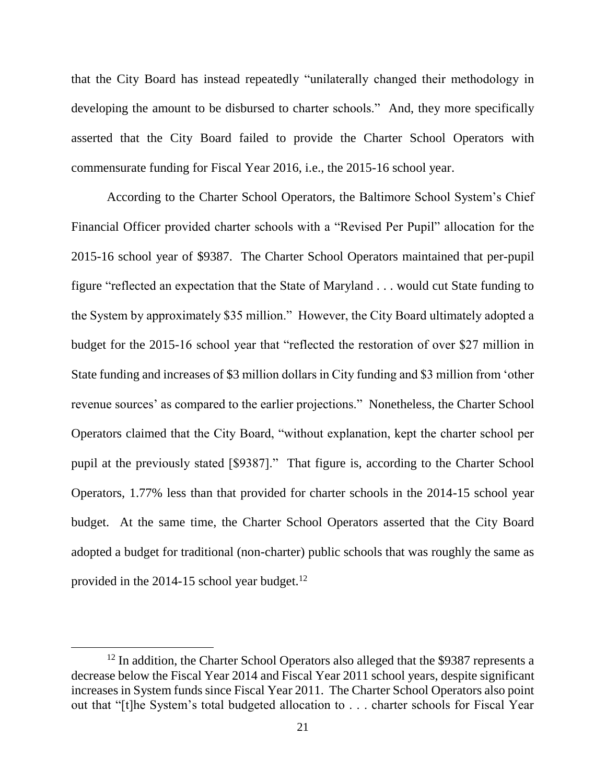that the City Board has instead repeatedly "unilaterally changed their methodology in developing the amount to be disbursed to charter schools." And, they more specifically asserted that the City Board failed to provide the Charter School Operators with commensurate funding for Fiscal Year 2016, i.e., the 2015-16 school year.

According to the Charter School Operators, the Baltimore School System's Chief Financial Officer provided charter schools with a "Revised Per Pupil" allocation for the 2015-16 school year of \$9387. The Charter School Operators maintained that per-pupil figure "reflected an expectation that the State of Maryland . . . would cut State funding to the System by approximately \$35 million." However, the City Board ultimately adopted a budget for the 2015-16 school year that "reflected the restoration of over \$27 million in State funding and increases of \$3 million dollars in City funding and \$3 million from 'other revenue sources' as compared to the earlier projections." Nonetheless, the Charter School Operators claimed that the City Board, "without explanation, kept the charter school per pupil at the previously stated [\$9387]." That figure is, according to the Charter School Operators, 1.77% less than that provided for charter schools in the 2014-15 school year budget. At the same time, the Charter School Operators asserted that the City Board adopted a budget for traditional (non-charter) public schools that was roughly the same as provided in the 2014-15 school year budget. $^{12}$ 

<sup>&</sup>lt;sup>12</sup> In addition, the Charter School Operators also alleged that the \$9387 represents a decrease below the Fiscal Year 2014 and Fiscal Year 2011 school years, despite significant increases in System funds since Fiscal Year 2011. The Charter School Operators also point out that "[t]he System's total budgeted allocation to . . . charter schools for Fiscal Year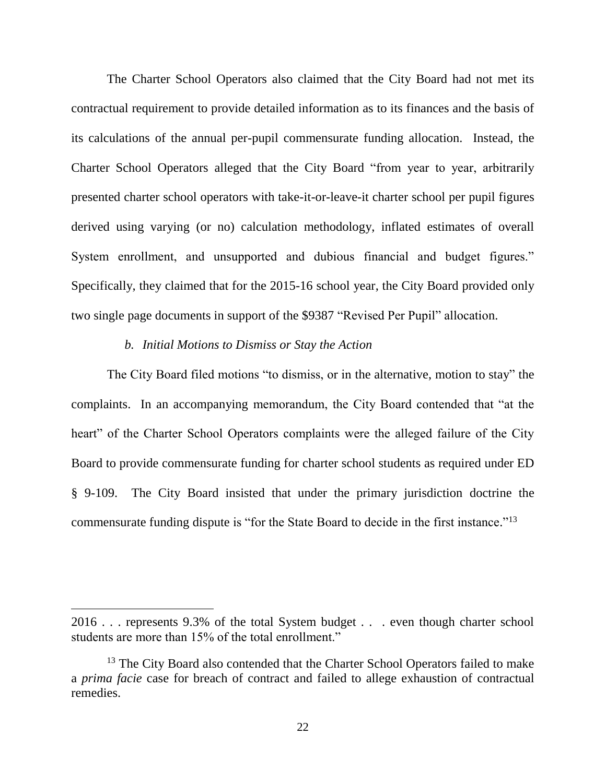The Charter School Operators also claimed that the City Board had not met its contractual requirement to provide detailed information as to its finances and the basis of its calculations of the annual per-pupil commensurate funding allocation. Instead, the Charter School Operators alleged that the City Board "from year to year, arbitrarily presented charter school operators with take-it-or-leave-it charter school per pupil figures derived using varying (or no) calculation methodology, inflated estimates of overall System enrollment, and unsupported and dubious financial and budget figures." Specifically, they claimed that for the 2015-16 school year, the City Board provided only two single page documents in support of the \$9387 "Revised Per Pupil" allocation.

#### *b. Initial Motions to Dismiss or Stay the Action*

 $\overline{a}$ 

The City Board filed motions "to dismiss, or in the alternative, motion to stay" the complaints. In an accompanying memorandum, the City Board contended that "at the heart" of the Charter School Operators complaints were the alleged failure of the City Board to provide commensurate funding for charter school students as required under ED § 9-109. The City Board insisted that under the primary jurisdiction doctrine the commensurate funding dispute is "for the State Board to decide in the first instance."<sup>13</sup>

<sup>2016 . . .</sup> represents 9.3% of the total System budget . . . even though charter school students are more than 15% of the total enrollment."

<sup>&</sup>lt;sup>13</sup> The City Board also contended that the Charter School Operators failed to make a *prima facie* case for breach of contract and failed to allege exhaustion of contractual remedies.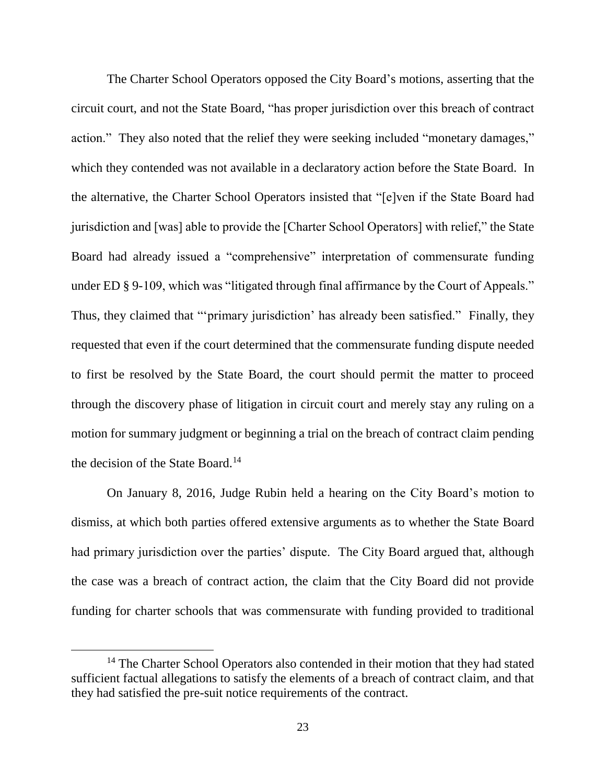The Charter School Operators opposed the City Board's motions, asserting that the circuit court, and not the State Board, "has proper jurisdiction over this breach of contract action." They also noted that the relief they were seeking included "monetary damages," which they contended was not available in a declaratory action before the State Board. In the alternative, the Charter School Operators insisted that "[e]ven if the State Board had jurisdiction and [was] able to provide the [Charter School Operators] with relief," the State Board had already issued a "comprehensive" interpretation of commensurate funding under ED § 9-109, which was "litigated through final affirmance by the Court of Appeals." Thus, they claimed that "'primary jurisdiction' has already been satisfied." Finally, they requested that even if the court determined that the commensurate funding dispute needed to first be resolved by the State Board, the court should permit the matter to proceed through the discovery phase of litigation in circuit court and merely stay any ruling on a motion for summary judgment or beginning a trial on the breach of contract claim pending the decision of the State Board.<sup>14</sup>

On January 8, 2016, Judge Rubin held a hearing on the City Board's motion to dismiss, at which both parties offered extensive arguments as to whether the State Board had primary jurisdiction over the parties' dispute. The City Board argued that, although the case was a breach of contract action, the claim that the City Board did not provide funding for charter schools that was commensurate with funding provided to traditional

<sup>&</sup>lt;sup>14</sup> The Charter School Operators also contended in their motion that they had stated sufficient factual allegations to satisfy the elements of a breach of contract claim, and that they had satisfied the pre-suit notice requirements of the contract.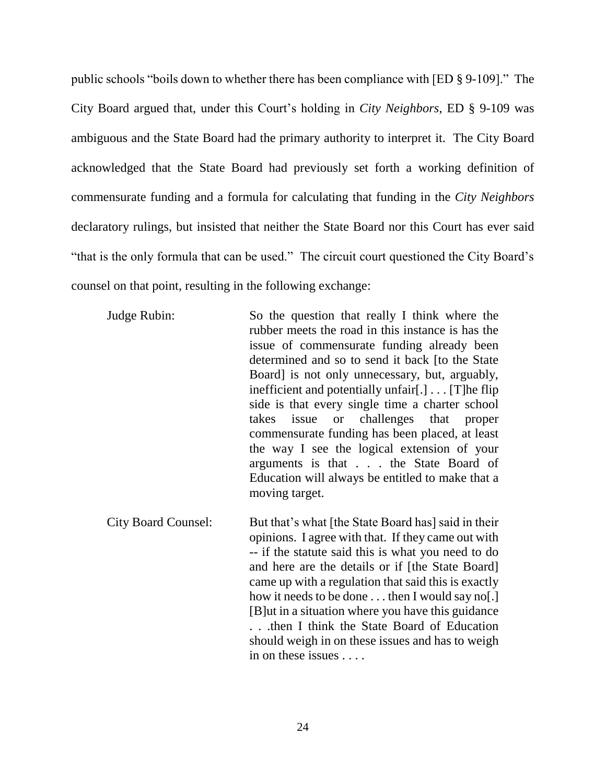public schools "boils down to whether there has been compliance with [ED § 9-109]." The City Board argued that, under this Court's holding in *City Neighbors*, ED § 9-109 was ambiguous and the State Board had the primary authority to interpret it. The City Board acknowledged that the State Board had previously set forth a working definition of commensurate funding and a formula for calculating that funding in the *City Neighbors* declaratory rulings, but insisted that neither the State Board nor this Court has ever said "that is the only formula that can be used." The circuit court questioned the City Board's counsel on that point, resulting in the following exchange:

Judge Rubin: So the question that really I think where the rubber meets the road in this instance is has the issue of commensurate funding already been determined and so to send it back [to the State Board] is not only unnecessary, but, arguably, inefficient and potentially unfair[.] . . . [T]he flip side is that every single time a charter school takes issue or challenges that proper commensurate funding has been placed, at least the way I see the logical extension of your arguments is that . . . the State Board of Education will always be entitled to make that a moving target.

City Board Counsel: But that's what [the State Board has] said in their opinions. I agree with that. If they came out with -- if the statute said this is what you need to do and here are the details or if [the State Board] came up with a regulation that said this is exactly how it needs to be done . . . then I would say no. ] [B]ut in a situation where you have this guidance . . .then I think the State Board of Education should weigh in on these issues and has to weigh in on these issues . . . .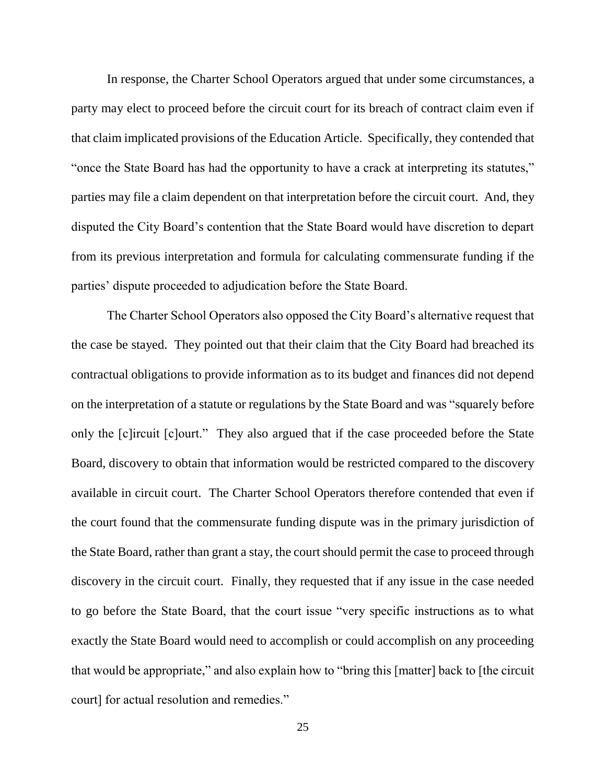In response, the Charter School Operators argued that under some circumstances, a party may elect to proceed before the circuit court for its breach of contract claim even if that claim implicated provisions of the Education Article. Specifically, they contended that "once the State Board has had the opportunity to have a crack at interpreting its statutes," parties may file a claim dependent on that interpretation before the circuit court. And, they disputed the City Board's contention that the State Board would have discretion to depart from its previous interpretation and formula for calculating commensurate funding if the parties' dispute proceeded to adjudication before the State Board.

The Charter School Operators also opposed the City Board's alternative request that the case be stayed. They pointed out that their claim that the City Board had breached its contractual obligations to provide information as to its budget and finances did not depend on the interpretation of a statute or regulations by the State Board and was "squarely before only the [c]ircuit [c]ourt." They also argued that if the case proceeded before the State Board, discovery to obtain that information would be restricted compared to the discovery available in circuit court. The Charter School Operators therefore contended that even if the court found that the commensurate funding dispute was in the primary jurisdiction of the State Board, rather than grant a stay, the court should permit the case to proceed through discovery in the circuit court. Finally, they requested that if any issue in the case needed to go before the State Board, that the court issue "very specific instructions as to what exactly the State Board would need to accomplish or could accomplish on any proceeding that would be appropriate," and also explain how to "bring this [matter] back to [the circuit court] for actual resolution and remedies."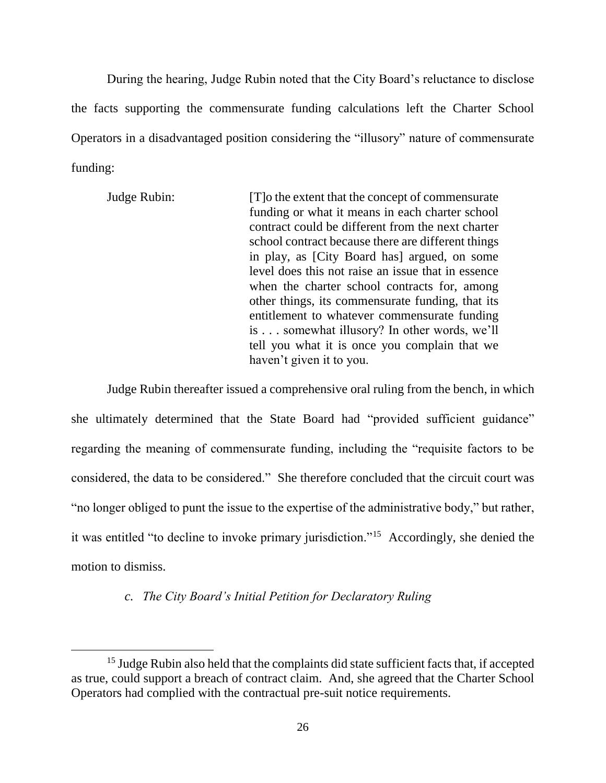During the hearing, Judge Rubin noted that the City Board's reluctance to disclose the facts supporting the commensurate funding calculations left the Charter School Operators in a disadvantaged position considering the "illusory" nature of commensurate funding:

Judge Rubin: [T]o the extent that the concept of commensurate funding or what it means in each charter school contract could be different from the next charter school contract because there are different things in play, as [City Board has] argued, on some level does this not raise an issue that in essence when the charter school contracts for, among other things, its commensurate funding, that its entitlement to whatever commensurate funding is . . . somewhat illusory? In other words, we'll tell you what it is once you complain that we haven't given it to you.

Judge Rubin thereafter issued a comprehensive oral ruling from the bench, in which she ultimately determined that the State Board had "provided sufficient guidance" regarding the meaning of commensurate funding, including the "requisite factors to be considered, the data to be considered." She therefore concluded that the circuit court was "no longer obliged to punt the issue to the expertise of the administrative body," but rather, it was entitled "to decline to invoke primary jurisdiction."<sup>15</sup> Accordingly, she denied the motion to dismiss.

### *c. The City Board's Initial Petition for Declaratory Ruling*

<sup>&</sup>lt;sup>15</sup> Judge Rubin also held that the complaints did state sufficient facts that, if accepted as true, could support a breach of contract claim. And, she agreed that the Charter School Operators had complied with the contractual pre-suit notice requirements.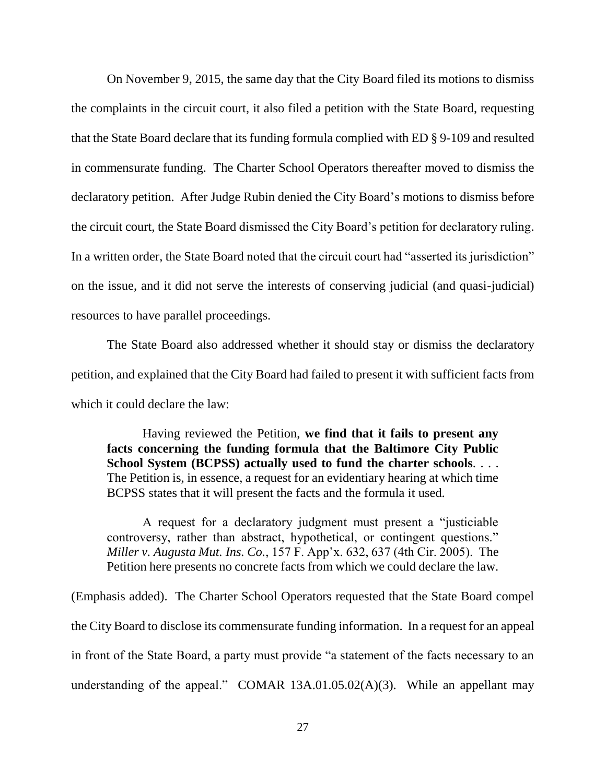On November 9, 2015, the same day that the City Board filed its motions to dismiss the complaints in the circuit court, it also filed a petition with the State Board, requesting that the State Board declare that its funding formula complied with ED § 9-109 and resulted in commensurate funding. The Charter School Operators thereafter moved to dismiss the declaratory petition. After Judge Rubin denied the City Board's motions to dismiss before the circuit court, the State Board dismissed the City Board's petition for declaratory ruling. In a written order, the State Board noted that the circuit court had "asserted its jurisdiction" on the issue, and it did not serve the interests of conserving judicial (and quasi-judicial) resources to have parallel proceedings.

The State Board also addressed whether it should stay or dismiss the declaratory petition, and explained that the City Board had failed to present it with sufficient facts from which it could declare the law:

Having reviewed the Petition, **we find that it fails to present any facts concerning the funding formula that the Baltimore City Public School System (BCPSS) actually used to fund the charter schools**. . . . The Petition is, in essence, a request for an evidentiary hearing at which time BCPSS states that it will present the facts and the formula it used.

A request for a declaratory judgment must present a "justiciable controversy, rather than abstract, hypothetical, or contingent questions." *Miller v. Augusta Mut. Ins. Co.*, 157 F. App'x. 632, 637 (4th Cir. 2005). The Petition here presents no concrete facts from which we could declare the law.

(Emphasis added). The Charter School Operators requested that the State Board compel the City Board to disclose its commensurate funding information. In a request for an appeal in front of the State Board, a party must provide "a statement of the facts necessary to an understanding of the appeal." COMAR 13A.01.05.02(A)(3). While an appellant may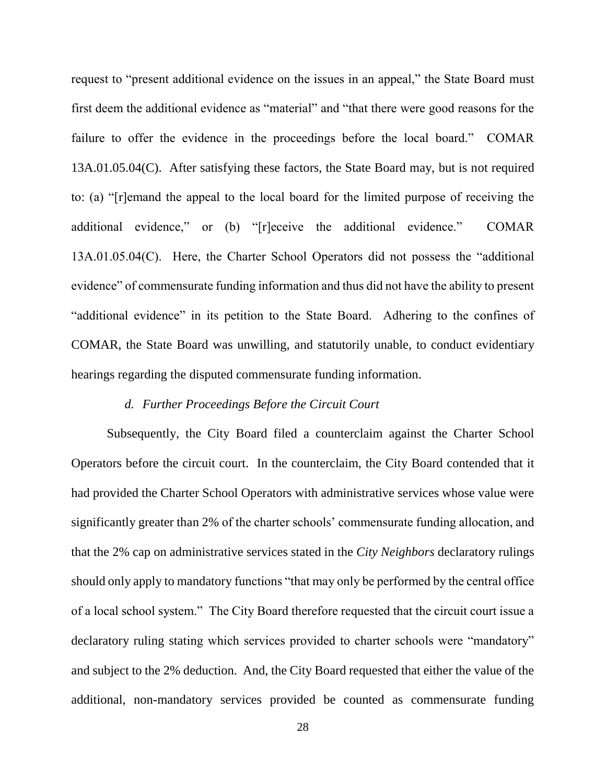request to "present additional evidence on the issues in an appeal," the State Board must first deem the additional evidence as "material" and "that there were good reasons for the failure to offer the evidence in the proceedings before the local board." COMAR 13A.01.05.04(C). After satisfying these factors, the State Board may, but is not required to: (a) "[r]emand the appeal to the local board for the limited purpose of receiving the additional evidence," or (b) "[r]eceive the additional evidence." COMAR 13A.01.05.04(C). Here, the Charter School Operators did not possess the "additional evidence" of commensurate funding information and thus did not have the ability to present "additional evidence" in its petition to the State Board. Adhering to the confines of COMAR, the State Board was unwilling, and statutorily unable, to conduct evidentiary hearings regarding the disputed commensurate funding information.

### *d. Further Proceedings Before the Circuit Court*

Subsequently, the City Board filed a counterclaim against the Charter School Operators before the circuit court. In the counterclaim, the City Board contended that it had provided the Charter School Operators with administrative services whose value were significantly greater than 2% of the charter schools' commensurate funding allocation, and that the 2% cap on administrative services stated in the *City Neighbors* declaratory rulings should only apply to mandatory functions "that may only be performed by the central office of a local school system." The City Board therefore requested that the circuit court issue a declaratory ruling stating which services provided to charter schools were "mandatory" and subject to the 2% deduction. And, the City Board requested that either the value of the additional, non-mandatory services provided be counted as commensurate funding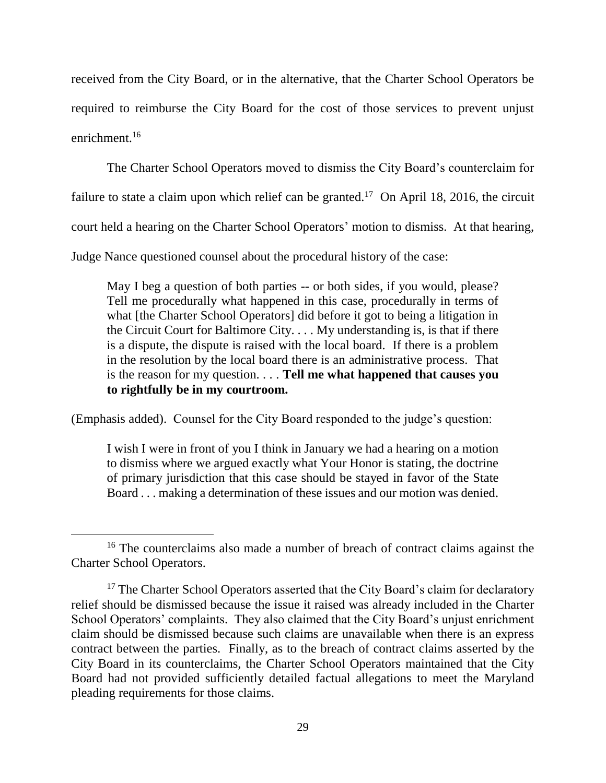received from the City Board, or in the alternative, that the Charter School Operators be required to reimburse the City Board for the cost of those services to prevent unjust enrichment.<sup>16</sup>

The Charter School Operators moved to dismiss the City Board's counterclaim for

failure to state a claim upon which relief can be granted.<sup>17</sup> On April 18, 2016, the circuit

court held a hearing on the Charter School Operators' motion to dismiss. At that hearing,

Judge Nance questioned counsel about the procedural history of the case:

May I beg a question of both parties -- or both sides, if you would, please? Tell me procedurally what happened in this case, procedurally in terms of what [the Charter School Operators] did before it got to being a litigation in the Circuit Court for Baltimore City. . . . My understanding is, is that if there is a dispute, the dispute is raised with the local board. If there is a problem in the resolution by the local board there is an administrative process. That is the reason for my question. . . . **Tell me what happened that causes you to rightfully be in my courtroom.**

(Emphasis added). Counsel for the City Board responded to the judge's question:

 $\overline{a}$ 

I wish I were in front of you I think in January we had a hearing on a motion to dismiss where we argued exactly what Your Honor is stating, the doctrine of primary jurisdiction that this case should be stayed in favor of the State Board . . . making a determination of these issues and our motion was denied.

<sup>&</sup>lt;sup>16</sup> The counterclaims also made a number of breach of contract claims against the Charter School Operators.

<sup>&</sup>lt;sup>17</sup> The Charter School Operators asserted that the City Board's claim for declaratory relief should be dismissed because the issue it raised was already included in the Charter School Operators' complaints. They also claimed that the City Board's unjust enrichment claim should be dismissed because such claims are unavailable when there is an express contract between the parties. Finally, as to the breach of contract claims asserted by the City Board in its counterclaims, the Charter School Operators maintained that the City Board had not provided sufficiently detailed factual allegations to meet the Maryland pleading requirements for those claims.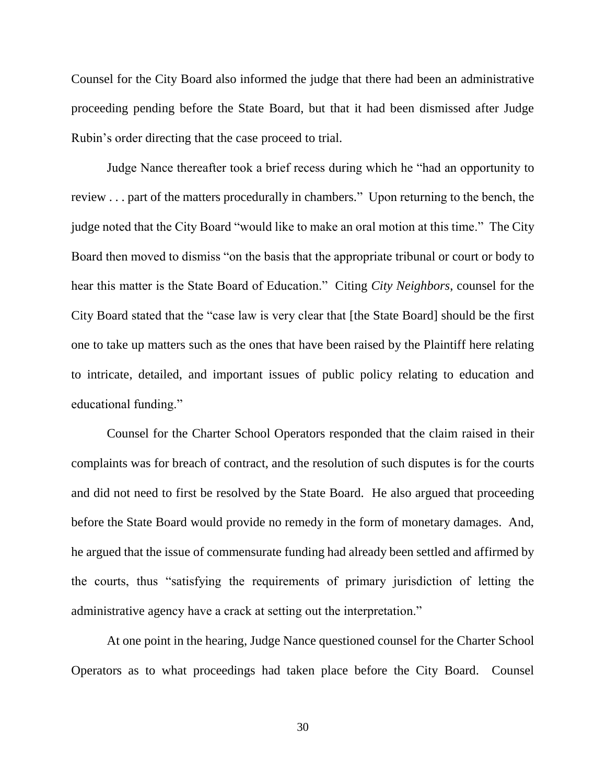Counsel for the City Board also informed the judge that there had been an administrative proceeding pending before the State Board, but that it had been dismissed after Judge Rubin's order directing that the case proceed to trial.

Judge Nance thereafter took a brief recess during which he "had an opportunity to review . . . part of the matters procedurally in chambers." Upon returning to the bench, the judge noted that the City Board "would like to make an oral motion at this time." The City Board then moved to dismiss "on the basis that the appropriate tribunal or court or body to hear this matter is the State Board of Education." Citing *City Neighbors*, counsel for the City Board stated that the "case law is very clear that [the State Board] should be the first one to take up matters such as the ones that have been raised by the Plaintiff here relating to intricate, detailed, and important issues of public policy relating to education and educational funding."

Counsel for the Charter School Operators responded that the claim raised in their complaints was for breach of contract, and the resolution of such disputes is for the courts and did not need to first be resolved by the State Board. He also argued that proceeding before the State Board would provide no remedy in the form of monetary damages. And, he argued that the issue of commensurate funding had already been settled and affirmed by the courts, thus "satisfying the requirements of primary jurisdiction of letting the administrative agency have a crack at setting out the interpretation."

At one point in the hearing, Judge Nance questioned counsel for the Charter School Operators as to what proceedings had taken place before the City Board. Counsel

30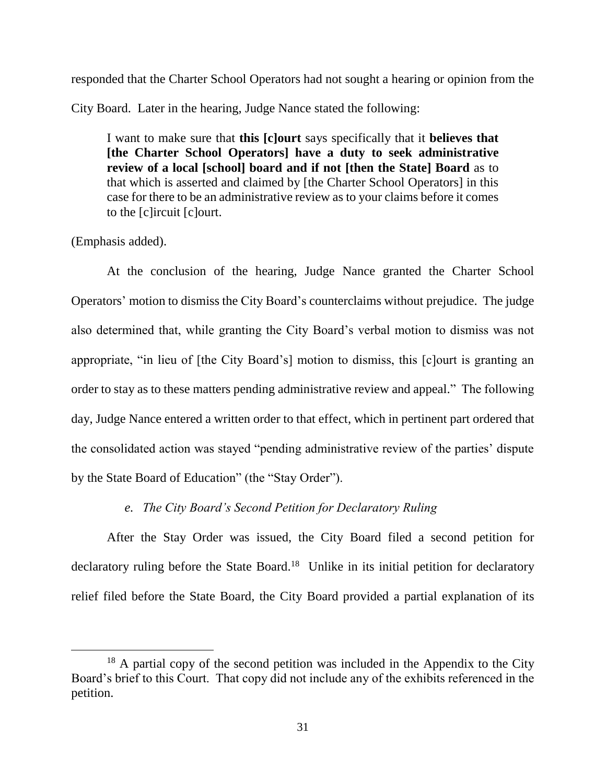responded that the Charter School Operators had not sought a hearing or opinion from the

City Board. Later in the hearing, Judge Nance stated the following:

I want to make sure that **this [c]ourt** says specifically that it **believes that [the Charter School Operators] have a duty to seek administrative review of a local [school] board and if not [then the State] Board** as to that which is asserted and claimed by [the Charter School Operators] in this case for there to be an administrative review as to your claims before it comes to the [c]ircuit [c]ourt.

(Emphasis added).

 $\overline{a}$ 

At the conclusion of the hearing, Judge Nance granted the Charter School Operators' motion to dismiss the City Board's counterclaims without prejudice. The judge also determined that, while granting the City Board's verbal motion to dismiss was not appropriate, "in lieu of [the City Board's] motion to dismiss, this [c]ourt is granting an order to stay as to these matters pending administrative review and appeal." The following day, Judge Nance entered a written order to that effect, which in pertinent part ordered that the consolidated action was stayed "pending administrative review of the parties' dispute by the State Board of Education" (the "Stay Order").

## *e. The City Board's Second Petition for Declaratory Ruling*

After the Stay Order was issued, the City Board filed a second petition for declaratory ruling before the State Board.<sup>18</sup> Unlike in its initial petition for declaratory relief filed before the State Board, the City Board provided a partial explanation of its

<sup>&</sup>lt;sup>18</sup> A partial copy of the second petition was included in the Appendix to the City Board's brief to this Court. That copy did not include any of the exhibits referenced in the petition.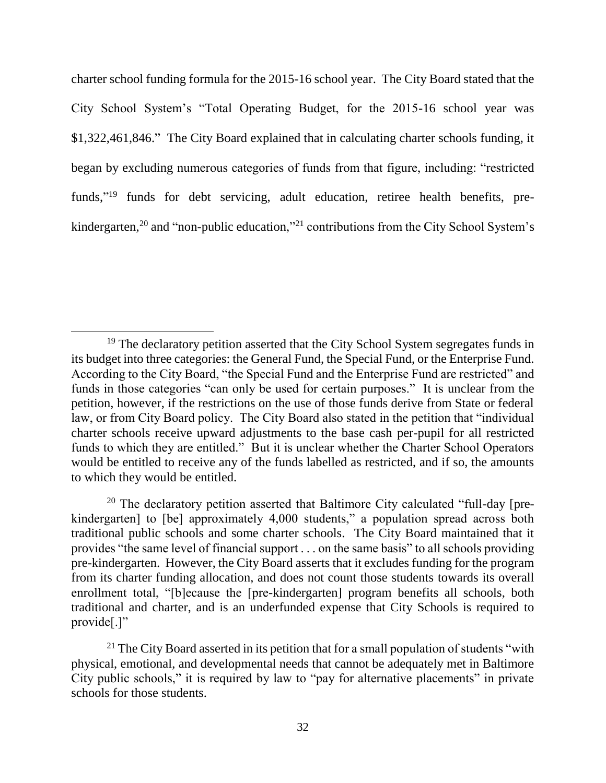charter school funding formula for the 2015-16 school year. The City Board stated that the City School System's "Total Operating Budget, for the 2015-16 school year was \$1,322,461,846." The City Board explained that in calculating charter schools funding, it began by excluding numerous categories of funds from that figure, including: "restricted funds,"<sup>19</sup> funds for debt servicing, adult education, retiree health benefits, prekindergarten,<sup>20</sup> and "non-public education,"<sup>21</sup> contributions from the City School System's

<sup>&</sup>lt;sup>19</sup> The declaratory petition asserted that the City School System segregates funds in its budget into three categories: the General Fund, the Special Fund, or the Enterprise Fund. According to the City Board, "the Special Fund and the Enterprise Fund are restricted" and funds in those categories "can only be used for certain purposes." It is unclear from the petition, however, if the restrictions on the use of those funds derive from State or federal law, or from City Board policy. The City Board also stated in the petition that "individual charter schools receive upward adjustments to the base cash per-pupil for all restricted funds to which they are entitled." But it is unclear whether the Charter School Operators would be entitled to receive any of the funds labelled as restricted, and if so, the amounts to which they would be entitled.

<sup>&</sup>lt;sup>20</sup> The declaratory petition asserted that Baltimore City calculated "full-day [prekindergarten] to [be] approximately 4,000 students," a population spread across both traditional public schools and some charter schools. The City Board maintained that it provides "the same level of financial support . . . on the same basis" to all schools providing pre-kindergarten. However, the City Board asserts that it excludes funding for the program from its charter funding allocation, and does not count those students towards its overall enrollment total, "[b]ecause the [pre-kindergarten] program benefits all schools, both traditional and charter, and is an underfunded expense that City Schools is required to provide[.]"

<sup>&</sup>lt;sup>21</sup> The City Board asserted in its petition that for a small population of students "with" physical, emotional, and developmental needs that cannot be adequately met in Baltimore City public schools," it is required by law to "pay for alternative placements" in private schools for those students.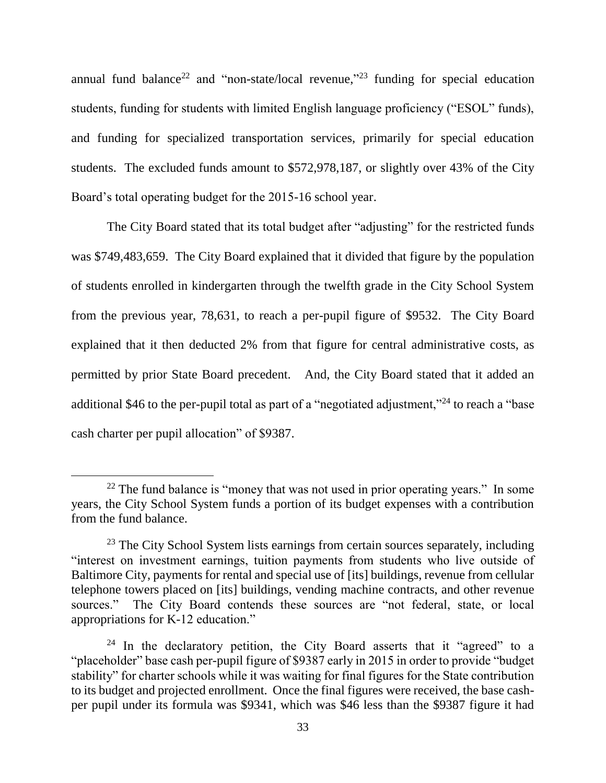annual fund balance<sup>22</sup> and "non-state/local revenue,"<sup>23</sup> funding for special education students, funding for students with limited English language proficiency ("ESOL" funds), and funding for specialized transportation services, primarily for special education students. The excluded funds amount to \$572,978,187, or slightly over 43% of the City Board's total operating budget for the 2015-16 school year.

The City Board stated that its total budget after "adjusting" for the restricted funds was \$749,483,659. The City Board explained that it divided that figure by the population of students enrolled in kindergarten through the twelfth grade in the City School System from the previous year, 78,631, to reach a per-pupil figure of \$9532. The City Board explained that it then deducted 2% from that figure for central administrative costs, as permitted by prior State Board precedent. And, the City Board stated that it added an additional \$46 to the per-pupil total as part of a "negotiated adjustment,"<sup>24</sup> to reach a "base" cash charter per pupil allocation" of \$9387.

 $22$  The fund balance is "money that was not used in prior operating years." In some years, the City School System funds a portion of its budget expenses with a contribution from the fund balance.

 $23$  The City School System lists earnings from certain sources separately, including "interest on investment earnings, tuition payments from students who live outside of Baltimore City, payments for rental and special use of [its] buildings, revenue from cellular telephone towers placed on [its] buildings, vending machine contracts, and other revenue sources." The City Board contends these sources are "not federal, state, or local appropriations for K-12 education."

 $24$  In the declaratory petition, the City Board asserts that it "agreed" to a "placeholder" base cash per-pupil figure of \$9387 early in 2015 in order to provide "budget stability" for charter schools while it was waiting for final figures for the State contribution to its budget and projected enrollment. Once the final figures were received, the base cashper pupil under its formula was \$9341, which was \$46 less than the \$9387 figure it had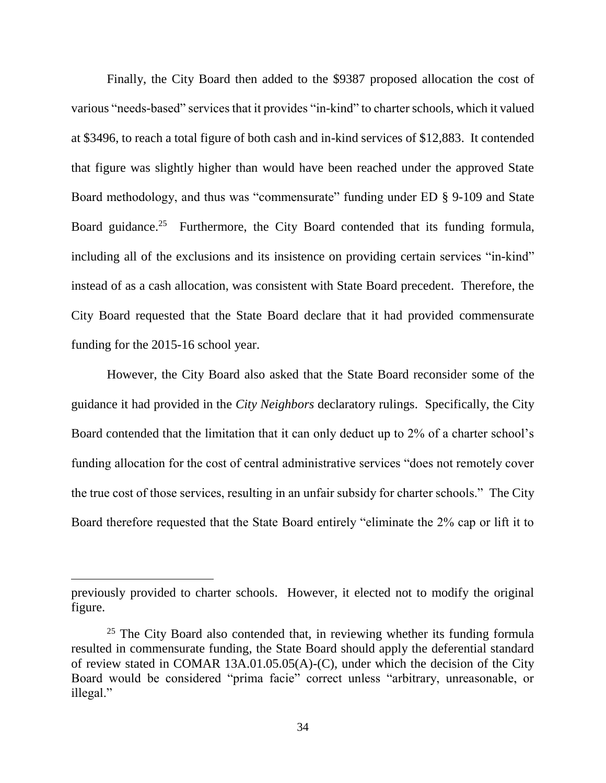Finally, the City Board then added to the \$9387 proposed allocation the cost of various "needs-based" services that it provides "in-kind" to charter schools, which it valued at \$3496, to reach a total figure of both cash and in-kind services of \$12,883. It contended that figure was slightly higher than would have been reached under the approved State Board methodology, and thus was "commensurate" funding under ED § 9-109 and State Board guidance.<sup>25</sup> Furthermore, the City Board contended that its funding formula, including all of the exclusions and its insistence on providing certain services "in-kind" instead of as a cash allocation, was consistent with State Board precedent. Therefore, the City Board requested that the State Board declare that it had provided commensurate funding for the 2015-16 school year.

However, the City Board also asked that the State Board reconsider some of the guidance it had provided in the *City Neighbors* declaratory rulings. Specifically, the City Board contended that the limitation that it can only deduct up to 2% of a charter school's funding allocation for the cost of central administrative services "does not remotely cover the true cost of those services, resulting in an unfair subsidy for charter schools." The City Board therefore requested that the State Board entirely "eliminate the 2% cap or lift it to

previously provided to charter schools. However, it elected not to modify the original figure.

 $25$  The City Board also contended that, in reviewing whether its funding formula resulted in commensurate funding, the State Board should apply the deferential standard of review stated in COMAR 13A.01.05.05(A)-(C), under which the decision of the City Board would be considered "prima facie" correct unless "arbitrary, unreasonable, or illegal."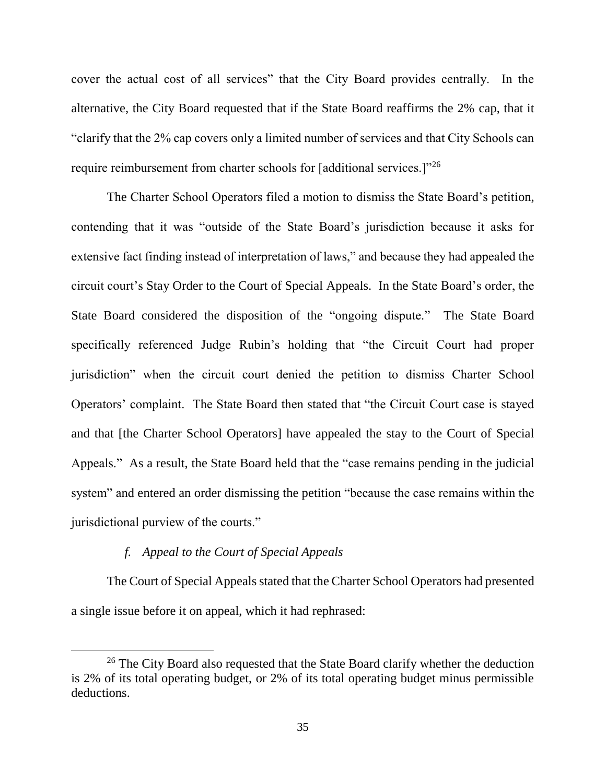cover the actual cost of all services" that the City Board provides centrally. In the alternative, the City Board requested that if the State Board reaffirms the 2% cap, that it "clarify that the 2% cap covers only a limited number of services and that City Schools can require reimbursement from charter schools for [additional services.]"<sup>26</sup>

The Charter School Operators filed a motion to dismiss the State Board's petition, contending that it was "outside of the State Board's jurisdiction because it asks for extensive fact finding instead of interpretation of laws," and because they had appealed the circuit court's Stay Order to the Court of Special Appeals. In the State Board's order, the State Board considered the disposition of the "ongoing dispute." The State Board specifically referenced Judge Rubin's holding that "the Circuit Court had proper jurisdiction" when the circuit court denied the petition to dismiss Charter School Operators' complaint. The State Board then stated that "the Circuit Court case is stayed and that [the Charter School Operators] have appealed the stay to the Court of Special Appeals." As a result, the State Board held that the "case remains pending in the judicial system" and entered an order dismissing the petition "because the case remains within the jurisdictional purview of the courts."

# *f. Appeal to the Court of Special Appeals*

 $\overline{a}$ 

The Court of Special Appeals stated that the Charter School Operators had presented a single issue before it on appeal, which it had rephrased:

<sup>&</sup>lt;sup>26</sup> The City Board also requested that the State Board clarify whether the deduction is 2% of its total operating budget, or 2% of its total operating budget minus permissible deductions.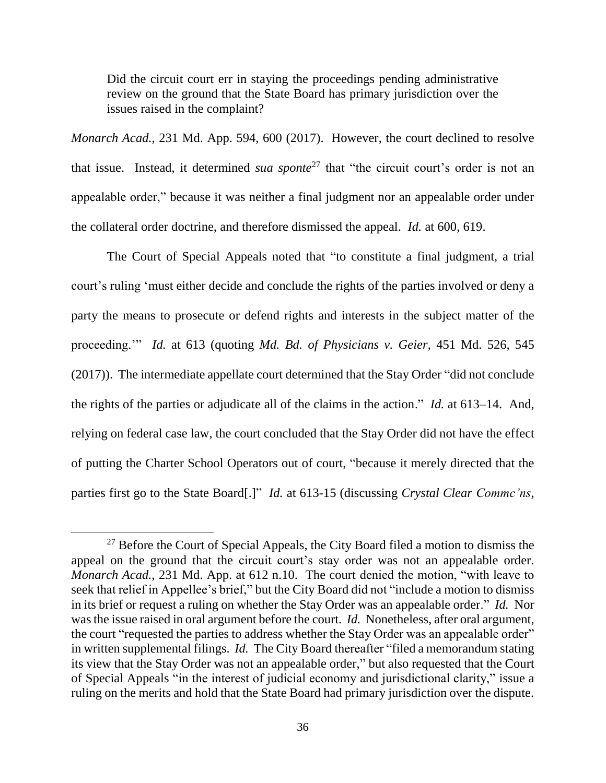Did the circuit court err in staying the proceedings pending administrative review on the ground that the State Board has primary jurisdiction over the issues raised in the complaint?

*Monarch Acad.*, 231 Md. App. 594, 600 (2017). However, the court declined to resolve that issue. Instead, it determined *sua sponte*<sup>27</sup> that "the circuit court's order is not an appealable order," because it was neither a final judgment nor an appealable order under the collateral order doctrine, and therefore dismissed the appeal. *Id.* at 600, 619.

The Court of Special Appeals noted that "to constitute a final judgment, a trial court's ruling 'must either decide and conclude the rights of the parties involved or deny a party the means to prosecute or defend rights and interests in the subject matter of the proceeding.'" *Id.* at 613 (quoting *Md. Bd. of Physicians v. Geier*, 451 Md. 526, 545 (2017)). The intermediate appellate court determined that the Stay Order "did not conclude the rights of the parties or adjudicate all of the claims in the action." *Id.* at 613–14. And, relying on federal case law, the court concluded that the Stay Order did not have the effect of putting the Charter School Operators out of court, "because it merely directed that the parties first go to the State Board[.]" *Id.* at 613-15 (discussing *Crystal Clear Commc'ns,* 

<sup>&</sup>lt;sup>27</sup> Before the Court of Special Appeals, the City Board filed a motion to dismiss the appeal on the ground that the circuit court's stay order was not an appealable order. *Monarch Acad.*, 231 Md. App. at 612 n.10. The court denied the motion, "with leave to seek that relief in Appellee's brief," but the City Board did not "include a motion to dismiss in its brief or request a ruling on whether the Stay Order was an appealable order." *Id.* Nor was the issue raised in oral argument before the court. *Id.* Nonetheless, after oral argument, the court "requested the parties to address whether the Stay Order was an appealable order" in written supplemental filings. *Id.* The City Board thereafter "filed a memorandum stating its view that the Stay Order was not an appealable order," but also requested that the Court of Special Appeals "in the interest of judicial economy and jurisdictional clarity," issue a ruling on the merits and hold that the State Board had primary jurisdiction over the dispute.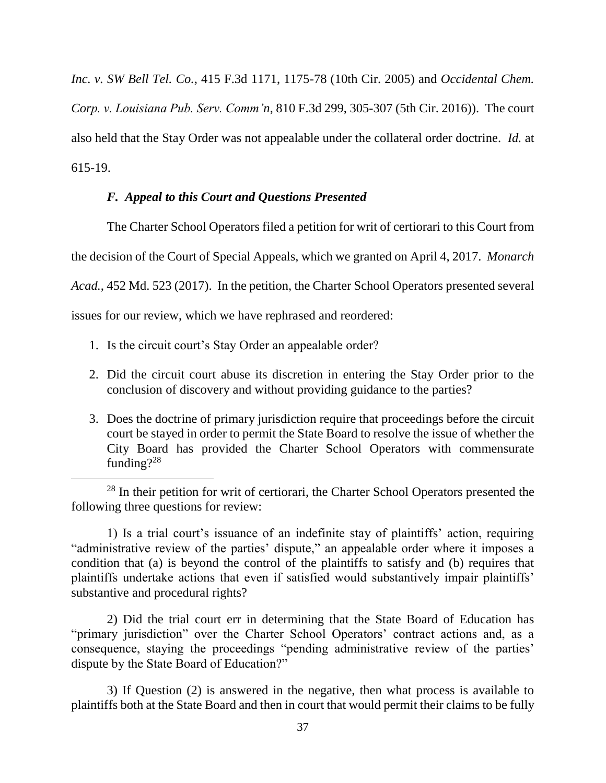*Inc. v. SW Bell Tel. Co.*, 415 F.3d 1171, 1175-78 (10th Cir. 2005) and *Occidental Chem. Corp. v. Louisiana Pub. Serv. Comm'n*, 810 F.3d 299, 305-307 (5th Cir. 2016)). The court also held that the Stay Order was not appealable under the collateral order doctrine. *Id.* at 615-19.

## *F. Appeal to this Court and Questions Presented*

The Charter School Operators filed a petition for writ of certiorari to this Court from the decision of the Court of Special Appeals, which we granted on April 4, 2017. *Monarch Acad.*, 452 Md. 523 (2017). In the petition, the Charter School Operators presented several issues for our review, which we have rephrased and reordered:

1. Is the circuit court's Stay Order an appealable order?

 $\overline{a}$ 

- 2. Did the circuit court abuse its discretion in entering the Stay Order prior to the conclusion of discovery and without providing guidance to the parties?
- 3. Does the doctrine of primary jurisdiction require that proceedings before the circuit court be stayed in order to permit the State Board to resolve the issue of whether the City Board has provided the Charter School Operators with commensurate funding?<sup>28</sup>

1) Is a trial court's issuance of an indefinite stay of plaintiffs' action, requiring "administrative review of the parties' dispute," an appealable order where it imposes a condition that (a) is beyond the control of the plaintiffs to satisfy and (b) requires that plaintiffs undertake actions that even if satisfied would substantively impair plaintiffs' substantive and procedural rights?

2) Did the trial court err in determining that the State Board of Education has "primary jurisdiction" over the Charter School Operators' contract actions and, as a consequence, staying the proceedings "pending administrative review of the parties' dispute by the State Board of Education?"

3) If Question (2) is answered in the negative, then what process is available to plaintiffs both at the State Board and then in court that would permit their claims to be fully

<sup>&</sup>lt;sup>28</sup> In their petition for writ of certiorari, the Charter School Operators presented the following three questions for review: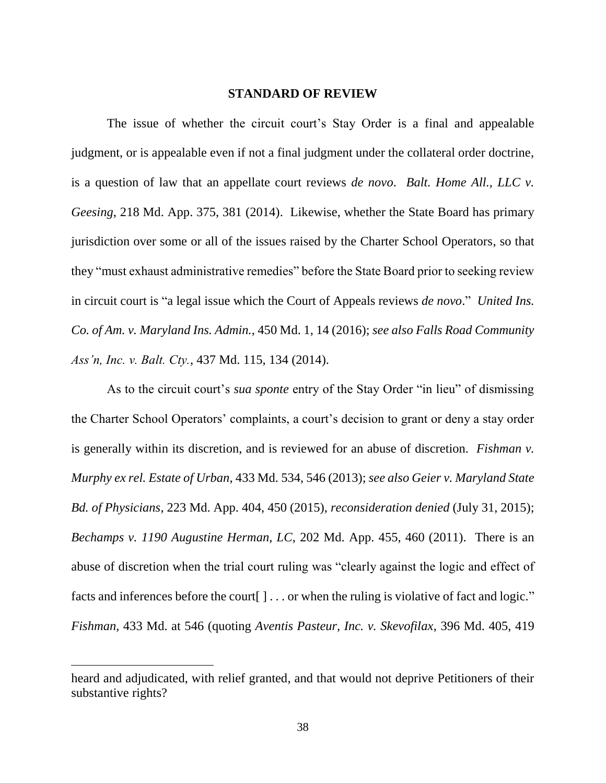#### **STANDARD OF REVIEW**

The issue of whether the circuit court's Stay Order is a final and appealable judgment, or is appealable even if not a final judgment under the collateral order doctrine, is a question of law that an appellate court reviews *de novo*. *Balt. Home All., LLC v. Geesing*, 218 Md. App. 375, 381 (2014). Likewise, whether the State Board has primary jurisdiction over some or all of the issues raised by the Charter School Operators, so that they "must exhaust administrative remedies" before the State Board prior to seeking review in circuit court is "a legal issue which the Court of Appeals reviews *de novo*." *United Ins. Co. of Am. v. Maryland Ins. Admin.*, 450 Md. 1, 14 (2016); *see also Falls Road Community Ass'n, Inc. v. Balt. Cty.*, 437 Md. 115, 134 (2014).

As to the circuit court's *sua sponte* entry of the Stay Order "in lieu" of dismissing the Charter School Operators' complaints, a court's decision to grant or deny a stay order is generally within its discretion, and is reviewed for an abuse of discretion. *Fishman v. Murphy ex rel. Estate of Urban*, 433 Md. 534, 546 (2013); *see also Geier v. Maryland State Bd. of Physicians*, 223 Md. App. 404, 450 (2015), *reconsideration denied* (July 31, 2015); *Bechamps v. 1190 Augustine Herman, LC*, 202 Md. App. 455, 460 (2011). There is an abuse of discretion when the trial court ruling was "clearly against the logic and effect of facts and inferences before the court [ ] . . . or when the ruling is violative of fact and logic." *Fishman*, 433 Md. at 546 (quoting *Aventis Pasteur, Inc. v. Skevofilax*, 396 Md. 405, 419

heard and adjudicated, with relief granted, and that would not deprive Petitioners of their substantive rights?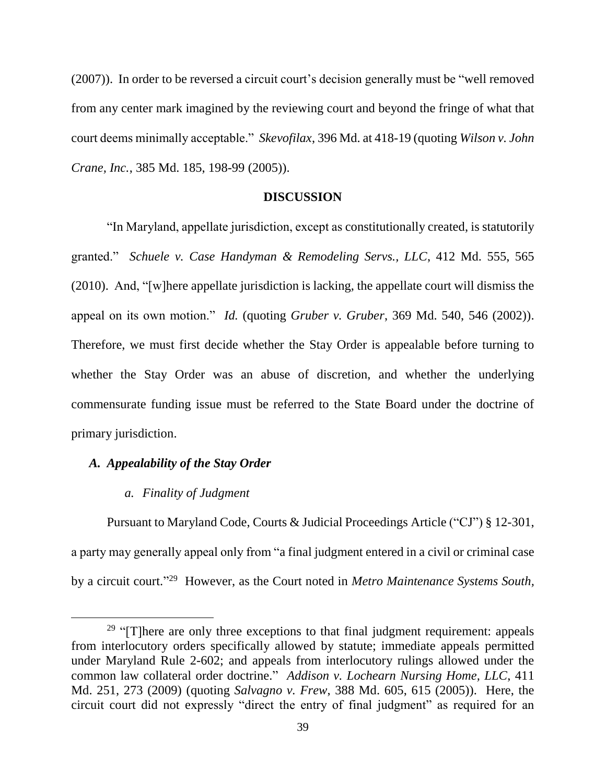(2007)). In order to be reversed a circuit court's decision generally must be "well removed from any center mark imagined by the reviewing court and beyond the fringe of what that court deems minimally acceptable." *Skevofilax*, 396 Md. at 418-19 (quoting *Wilson v. John Crane, Inc.*, 385 Md. 185, 198-99 (2005)).

#### **DISCUSSION**

"In Maryland, appellate jurisdiction, except as constitutionally created, is statutorily granted." *Schuele v. Case Handyman & Remodeling Servs., LLC*, 412 Md. 555, 565 (2010). And, "[w]here appellate jurisdiction is lacking, the appellate court will dismiss the appeal on its own motion." *Id.* (quoting *Gruber v. Gruber*, 369 Md. 540, 546 (2002)). Therefore, we must first decide whether the Stay Order is appealable before turning to whether the Stay Order was an abuse of discretion, and whether the underlying commensurate funding issue must be referred to the State Board under the doctrine of primary jurisdiction.

## *A. Appealability of the Stay Order*

 $\overline{a}$ 

## *a. Finality of Judgment*

Pursuant to Maryland Code, Courts & Judicial Proceedings Article ("CJ") § 12-301, a party may generally appeal only from "a final judgment entered in a civil or criminal case by a circuit court."<sup>29</sup> However, as the Court noted in *Metro Maintenance Systems South*,

 $29$  "[T]here are only three exceptions to that final judgment requirement: appeals from interlocutory orders specifically allowed by statute; immediate appeals permitted under Maryland Rule 2-602; and appeals from interlocutory rulings allowed under the common law collateral order doctrine." *Addison v. Lochearn Nursing Home, LLC*, 411 Md. 251, 273 (2009) (quoting *Salvagno v. Frew*, 388 Md. 605, 615 (2005)). Here, the circuit court did not expressly "direct the entry of final judgment" as required for an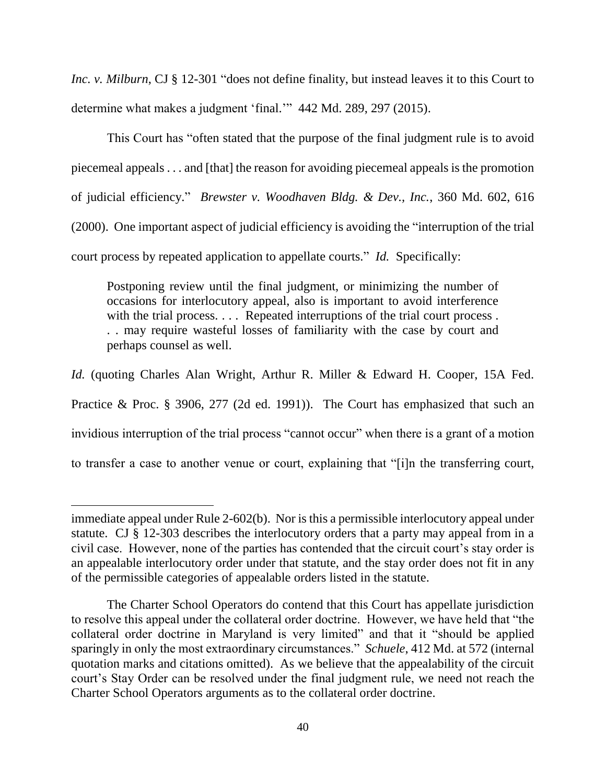*Inc. v. Milburn*, CJ § 12-301 "does not define finality, but instead leaves it to this Court to determine what makes a judgment 'final.'" 442 Md. 289, 297 (2015).

This Court has "often stated that the purpose of the final judgment rule is to avoid piecemeal appeals . . . and [that] the reason for avoiding piecemeal appeals is the promotion of judicial efficiency." *Brewster v. Woodhaven Bldg. & Dev., Inc.*, 360 Md. 602, 616 (2000). One important aspect of judicial efficiency is avoiding the "interruption of the trial court process by repeated application to appellate courts." *Id.* Specifically:

Postponing review until the final judgment, or minimizing the number of occasions for interlocutory appeal, also is important to avoid interference with the trial process. . . . Repeated interruptions of the trial court process. . . may require wasteful losses of familiarity with the case by court and perhaps counsel as well.

*Id.* (quoting Charles Alan Wright, Arthur R. Miller & Edward H. Cooper, 15A Fed. Practice & Proc. § 3906, 277 (2d ed. 1991)). The Court has emphasized that such an invidious interruption of the trial process "cannot occur" when there is a grant of a motion to transfer a case to another venue or court, explaining that "[i]n the transferring court,

immediate appeal under Rule 2-602(b). Nor is this a permissible interlocutory appeal under statute. CJ § 12-303 describes the interlocutory orders that a party may appeal from in a civil case. However, none of the parties has contended that the circuit court's stay order is an appealable interlocutory order under that statute, and the stay order does not fit in any of the permissible categories of appealable orders listed in the statute.

The Charter School Operators do contend that this Court has appellate jurisdiction to resolve this appeal under the collateral order doctrine. However, we have held that "the collateral order doctrine in Maryland is very limited" and that it "should be applied sparingly in only the most extraordinary circumstances." *Schuele*, 412 Md. at 572 (internal quotation marks and citations omitted). As we believe that the appealability of the circuit court's Stay Order can be resolved under the final judgment rule, we need not reach the Charter School Operators arguments as to the collateral order doctrine.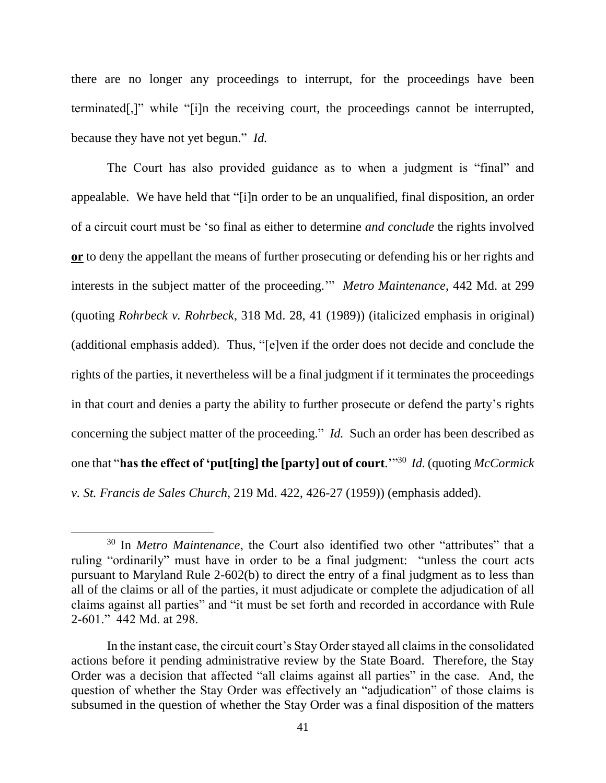there are no longer any proceedings to interrupt, for the proceedings have been terminated[,]" while "[i]n the receiving court, the proceedings cannot be interrupted, because they have not yet begun." *Id.*

The Court has also provided guidance as to when a judgment is "final" and appealable. We have held that "[i]n order to be an unqualified, final disposition, an order of a circuit court must be 'so final as either to determine *and conclude* the rights involved **or** to deny the appellant the means of further prosecuting or defending his or her rights and interests in the subject matter of the proceeding.'" *Metro Maintenance*, 442 Md. at 299 (quoting *Rohrbeck v. Rohrbeck*, 318 Md. 28, 41 (1989)) (italicized emphasis in original) (additional emphasis added). Thus, "[e]ven if the order does not decide and conclude the rights of the parties, it nevertheless will be a final judgment if it terminates the proceedings in that court and denies a party the ability to further prosecute or defend the party's rights concerning the subject matter of the proceeding." *Id.* Such an order has been described as one that "**has the effect of 'put[ting] the [party] out of court**.'" 30 *Id.* (quoting *McCormick v. St. Francis de Sales Church*, 219 Md. 422, 426-27 (1959)) (emphasis added).

<sup>30</sup> In *Metro Maintenance*, the Court also identified two other "attributes" that a ruling "ordinarily" must have in order to be a final judgment: "unless the court acts pursuant to Maryland Rule 2-602(b) to direct the entry of a final judgment as to less than all of the claims or all of the parties, it must adjudicate or complete the adjudication of all claims against all parties" and "it must be set forth and recorded in accordance with Rule 2-601." 442 Md. at 298.

In the instant case, the circuit court's Stay Order stayed all claims in the consolidated actions before it pending administrative review by the State Board. Therefore, the Stay Order was a decision that affected "all claims against all parties" in the case. And, the question of whether the Stay Order was effectively an "adjudication" of those claims is subsumed in the question of whether the Stay Order was a final disposition of the matters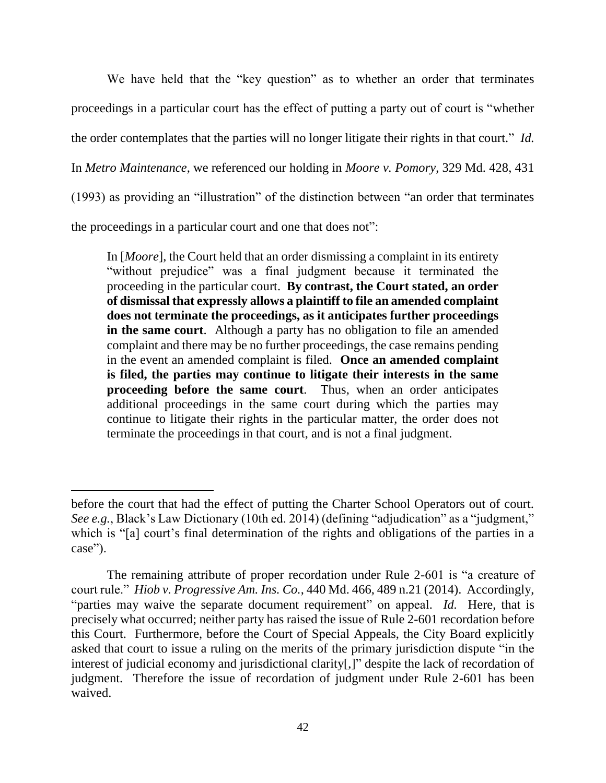We have held that the "key question" as to whether an order that terminates proceedings in a particular court has the effect of putting a party out of court is "whether the order contemplates that the parties will no longer litigate their rights in that court." *Id.* In *Metro Maintenance*, we referenced our holding in *Moore v. Pomory*, 329 Md. 428, 431 (1993) as providing an "illustration" of the distinction between "an order that terminates the proceedings in a particular court and one that does not":

In [*Moore*], the Court held that an order dismissing a complaint in its entirety "without prejudice" was a final judgment because it terminated the proceeding in the particular court. **By contrast, the Court stated, an order of dismissal that expressly allows a plaintiff to file an amended complaint does not terminate the proceedings, as it anticipates further proceedings in the same court**. Although a party has no obligation to file an amended complaint and there may be no further proceedings, the case remains pending in the event an amended complaint is filed. **Once an amended complaint is filed, the parties may continue to litigate their interests in the same proceeding before the same court**. Thus, when an order anticipates additional proceedings in the same court during which the parties may continue to litigate their rights in the particular matter, the order does not terminate the proceedings in that court, and is not a final judgment.

before the court that had the effect of putting the Charter School Operators out of court. *See e.g.*, Black's Law Dictionary (10th ed. 2014) (defining "adjudication" as a "judgment," which is "[a] court's final determination of the rights and obligations of the parties in a case").

The remaining attribute of proper recordation under Rule 2-601 is "a creature of court rule." *Hiob v. Progressive Am. Ins. Co.*, 440 Md. 466, 489 n.21 (2014). Accordingly, "parties may waive the separate document requirement" on appeal. *Id.* Here, that is precisely what occurred; neither party has raised the issue of Rule 2-601 recordation before this Court. Furthermore, before the Court of Special Appeals, the City Board explicitly asked that court to issue a ruling on the merits of the primary jurisdiction dispute "in the interest of judicial economy and jurisdictional clarity[,]" despite the lack of recordation of judgment. Therefore the issue of recordation of judgment under Rule 2-601 has been waived.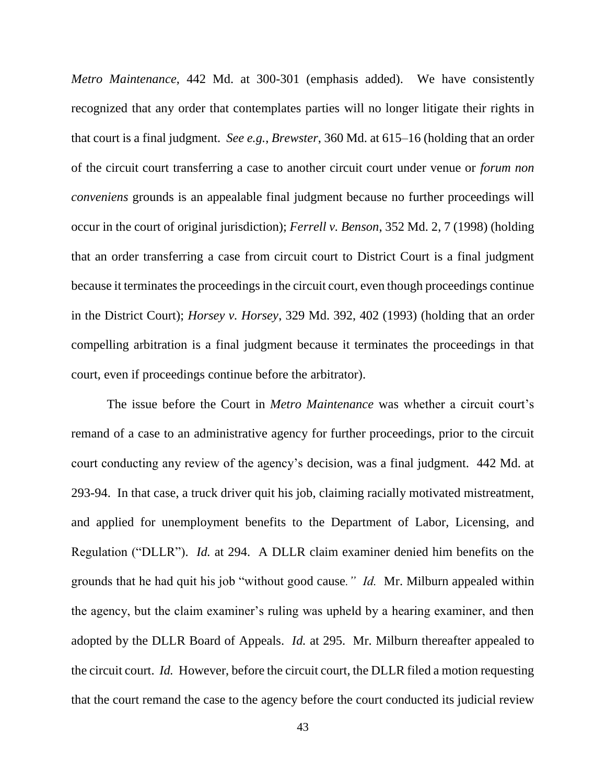*Metro Maintenance*, 442 Md. at 300-301 (emphasis added). We have consistently recognized that any order that contemplates parties will no longer litigate their rights in that court is a final judgment. *See e.g.*, *Brewster*, 360 Md. at 615–16 (holding that an order of the circuit court transferring a case to another circuit court under venue or *forum non conveniens* grounds is an appealable final judgment because no further proceedings will occur in the court of original jurisdiction); *Ferrell v. Benson*, 352 Md. 2, 7 (1998) (holding that an order transferring a case from circuit court to District Court is a final judgment because it terminates the proceedings in the circuit court, even though proceedings continue in the District Court); *Horsey v. Horsey*, 329 Md. 392, 402 (1993) (holding that an order compelling arbitration is a final judgment because it terminates the proceedings in that court, even if proceedings continue before the arbitrator).

The issue before the Court in *Metro Maintenance* was whether a circuit court's remand of a case to an administrative agency for further proceedings, prior to the circuit court conducting any review of the agency's decision, was a final judgment. 442 Md. at 293-94. In that case, a truck driver quit his job, claiming racially motivated mistreatment, and applied for unemployment benefits to the Department of Labor, Licensing, and Regulation ("DLLR"). *Id.* at 294. A DLLR claim examiner denied him benefits on the grounds that he had quit his job "without good cause*." Id.* Mr. Milburn appealed within the agency, but the claim examiner's ruling was upheld by a hearing examiner, and then adopted by the DLLR Board of Appeals. *Id.* at 295. Mr. Milburn thereafter appealed to the circuit court. *Id.* However, before the circuit court, the DLLR filed a motion requesting that the court remand the case to the agency before the court conducted its judicial review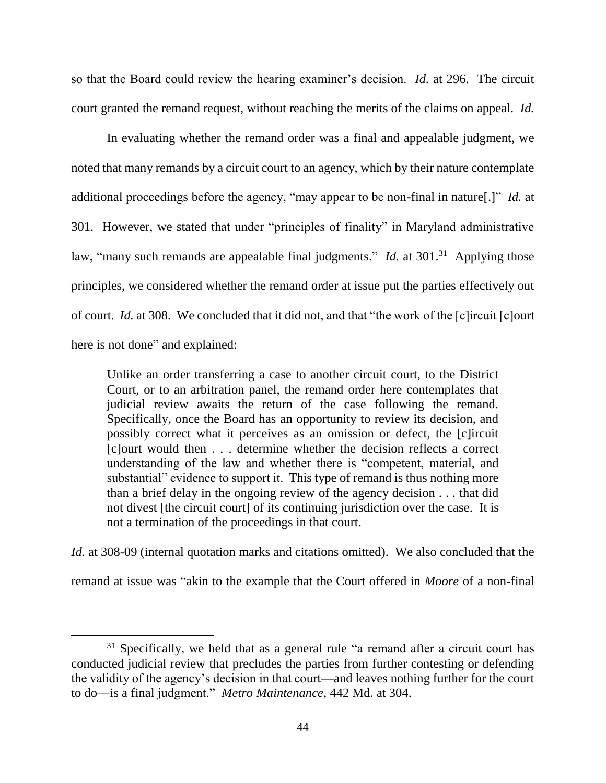so that the Board could review the hearing examiner's decision. *Id.* at 296. The circuit court granted the remand request, without reaching the merits of the claims on appeal. *Id.*

In evaluating whether the remand order was a final and appealable judgment, we noted that many remands by a circuit court to an agency, which by their nature contemplate additional proceedings before the agency, "may appear to be non-final in nature[.]" *Id.* at 301. However, we stated that under "principles of finality" in Maryland administrative law, "many such remands are appealable final judgments." *Id.* at 301.<sup>31</sup> Applying those principles, we considered whether the remand order at issue put the parties effectively out of court. *Id.* at 308. We concluded that it did not, and that "the work of the [c]ircuit [c]ourt here is not done" and explained:

Unlike an order transferring a case to another circuit court, to the District Court, or to an arbitration panel, the remand order here contemplates that judicial review awaits the return of the case following the remand. Specifically, once the Board has an opportunity to review its decision, and possibly correct what it perceives as an omission or defect, the [c]ircuit [c]ourt would then . . . determine whether the decision reflects a correct understanding of the law and whether there is "competent, material, and substantial" evidence to support it. This type of remand is thus nothing more than a brief delay in the ongoing review of the agency decision . . . that did not divest [the circuit court] of its continuing jurisdiction over the case. It is not a termination of the proceedings in that court.

*Id.* at 308-09 (internal quotation marks and citations omitted). We also concluded that the

remand at issue was "akin to the example that the Court offered in *Moore* of a non-final

 $31$  Specifically, we held that as a general rule "a remand after a circuit court has conducted judicial review that precludes the parties from further contesting or defending the validity of the agency's decision in that court—and leaves nothing further for the court to do—is a final judgment." *Metro Maintenance*, 442 Md. at 304.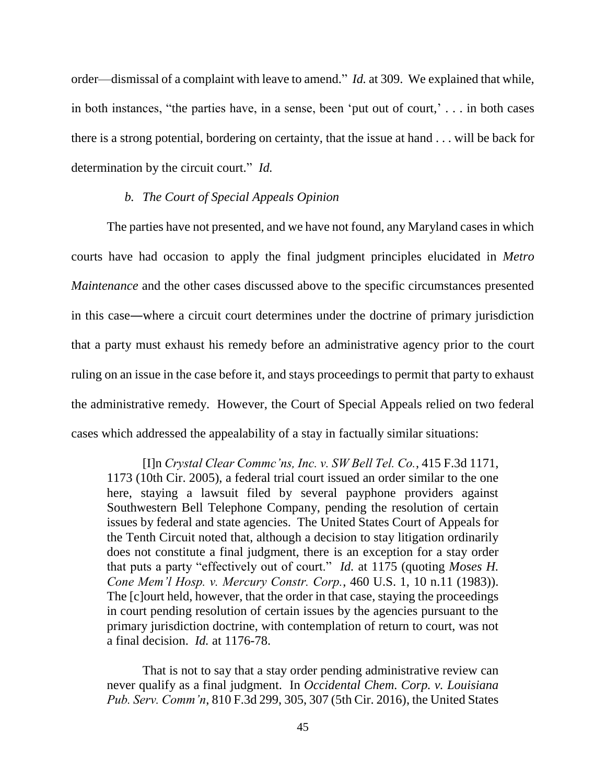order—dismissal of a complaint with leave to amend." *Id.* at 309. We explained that while, in both instances, "the parties have, in a sense, been 'put out of court,' . . . in both cases there is a strong potential, bordering on certainty, that the issue at hand . . . will be back for determination by the circuit court." *Id.*

### *b. The Court of Special Appeals Opinion*

The parties have not presented, and we have not found, any Maryland cases in which courts have had occasion to apply the final judgment principles elucidated in *Metro Maintenance* and the other cases discussed above to the specific circumstances presented in this case―where a circuit court determines under the doctrine of primary jurisdiction that a party must exhaust his remedy before an administrative agency prior to the court ruling on an issue in the case before it, and stays proceedings to permit that party to exhaust the administrative remedy. However, the Court of Special Appeals relied on two federal cases which addressed the appealability of a stay in factually similar situations:

[I]n *Crystal Clear Commc'ns, Inc. v. SW Bell Tel. Co.*, 415 F.3d 1171, 1173 (10th Cir. 2005), a federal trial court issued an order similar to the one here, staying a lawsuit filed by several payphone providers against Southwestern Bell Telephone Company, pending the resolution of certain issues by federal and state agencies. The United States Court of Appeals for the Tenth Circuit noted that, although a decision to stay litigation ordinarily does not constitute a final judgment, there is an exception for a stay order that puts a party "effectively out of court." *Id.* at 1175 (quoting *Moses H. Cone Mem'l Hosp. v. Mercury Constr. Corp.*, 460 U.S. 1, 10 n.11 (1983)). The [c]ourt held, however, that the order in that case, staying the proceedings in court pending resolution of certain issues by the agencies pursuant to the primary jurisdiction doctrine, with contemplation of return to court, was not a final decision. *Id.* at 1176-78.

That is not to say that a stay order pending administrative review can never qualify as a final judgment. In *Occidental Chem. Corp. v. Louisiana Pub. Serv. Comm'n*, 810 F.3d 299, 305, 307 (5th Cir. 2016), the United States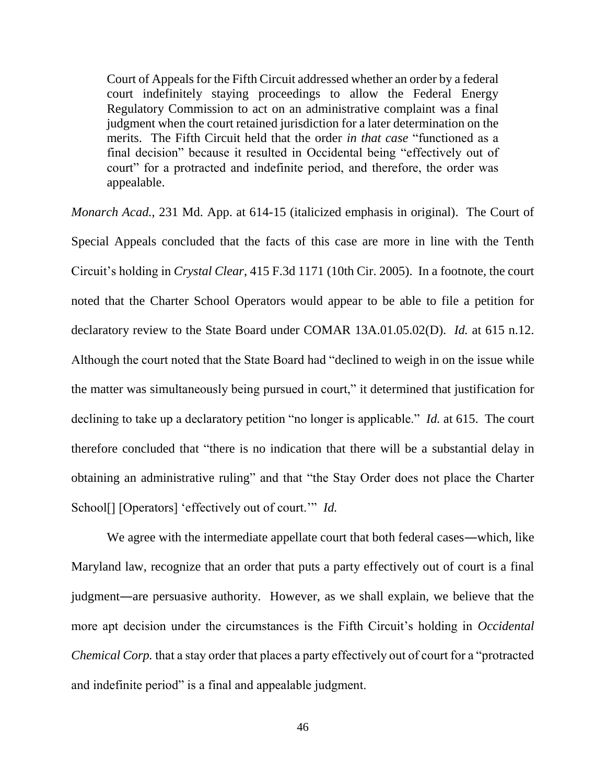Court of Appeals for the Fifth Circuit addressed whether an order by a federal court indefinitely staying proceedings to allow the Federal Energy Regulatory Commission to act on an administrative complaint was a final judgment when the court retained jurisdiction for a later determination on the merits. The Fifth Circuit held that the order *in that case* "functioned as a final decision" because it resulted in Occidental being "effectively out of court" for a protracted and indefinite period, and therefore, the order was appealable.

*Monarch Acad.*, 231 Md. App. at 614-15 (italicized emphasis in original). The Court of Special Appeals concluded that the facts of this case are more in line with the Tenth Circuit's holding in *Crystal Clear*, 415 F.3d 1171 (10th Cir. 2005). In a footnote, the court noted that the Charter School Operators would appear to be able to file a petition for declaratory review to the State Board under COMAR 13A.01.05.02(D). *Id.* at 615 n.12. Although the court noted that the State Board had "declined to weigh in on the issue while the matter was simultaneously being pursued in court," it determined that justification for declining to take up a declaratory petition "no longer is applicable." *Id.* at 615. The court therefore concluded that "there is no indication that there will be a substantial delay in obtaining an administrative ruling" and that "the Stay Order does not place the Charter School[] [Operators] 'effectively out of court.'" *Id.* 

We agree with the intermediate appellate court that both federal cases—which, like Maryland law, recognize that an order that puts a party effectively out of court is a final judgment―are persuasive authority. However, as we shall explain, we believe that the more apt decision under the circumstances is the Fifth Circuit's holding in *Occidental Chemical Corp.* that a stay order that places a party effectively out of court for a "protracted and indefinite period" is a final and appealable judgment.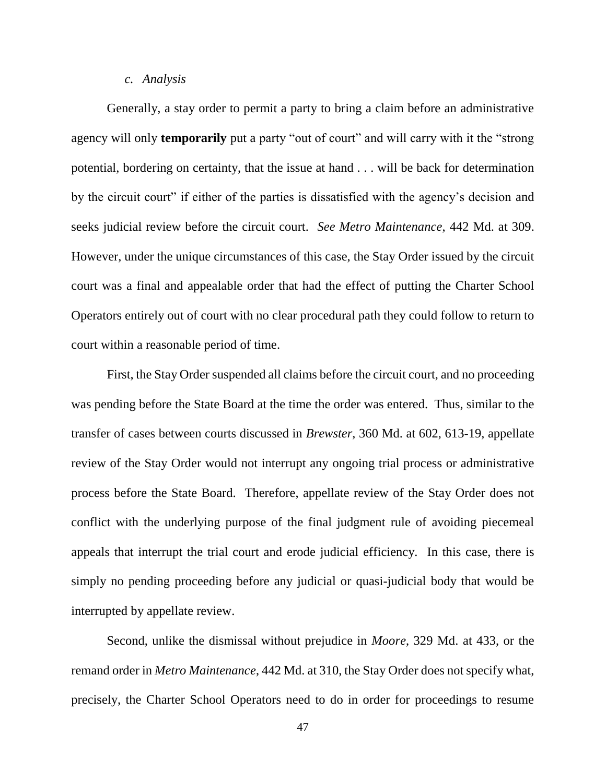#### *c. Analysis*

Generally, a stay order to permit a party to bring a claim before an administrative agency will only **temporarily** put a party "out of court" and will carry with it the "strong potential, bordering on certainty, that the issue at hand . . . will be back for determination by the circuit court" if either of the parties is dissatisfied with the agency's decision and seeks judicial review before the circuit court. *See Metro Maintenance*, 442 Md. at 309. However, under the unique circumstances of this case, the Stay Order issued by the circuit court was a final and appealable order that had the effect of putting the Charter School Operators entirely out of court with no clear procedural path they could follow to return to court within a reasonable period of time.

First, the Stay Order suspended all claims before the circuit court, and no proceeding was pending before the State Board at the time the order was entered. Thus, similar to the transfer of cases between courts discussed in *Brewster*, 360 Md. at 602, 613-19, appellate review of the Stay Order would not interrupt any ongoing trial process or administrative process before the State Board. Therefore, appellate review of the Stay Order does not conflict with the underlying purpose of the final judgment rule of avoiding piecemeal appeals that interrupt the trial court and erode judicial efficiency. In this case, there is simply no pending proceeding before any judicial or quasi-judicial body that would be interrupted by appellate review.

Second, unlike the dismissal without prejudice in *Moore*, 329 Md. at 433, or the remand order in *Metro Maintenance*, 442 Md. at 310, the Stay Order does not specify what, precisely, the Charter School Operators need to do in order for proceedings to resume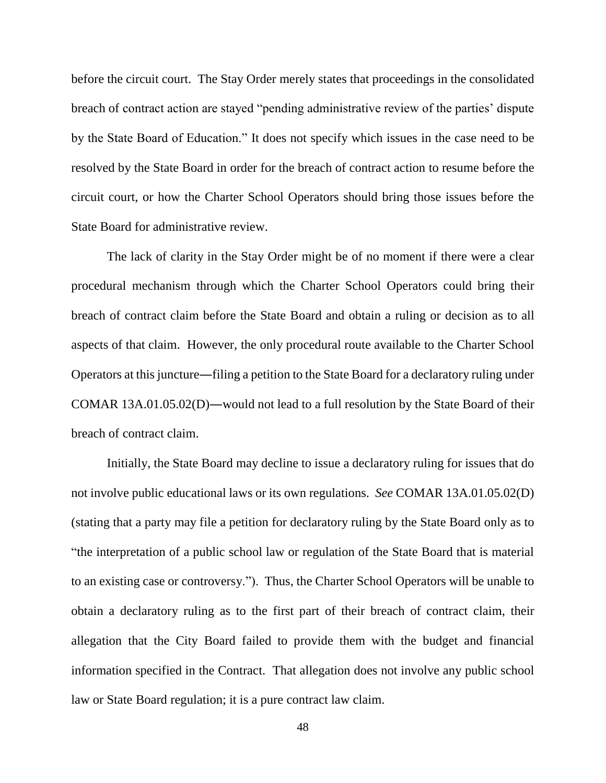before the circuit court. The Stay Order merely states that proceedings in the consolidated breach of contract action are stayed "pending administrative review of the parties' dispute by the State Board of Education." It does not specify which issues in the case need to be resolved by the State Board in order for the breach of contract action to resume before the circuit court, or how the Charter School Operators should bring those issues before the State Board for administrative review.

The lack of clarity in the Stay Order might be of no moment if there were a clear procedural mechanism through which the Charter School Operators could bring their breach of contract claim before the State Board and obtain a ruling or decision as to all aspects of that claim. However, the only procedural route available to the Charter School Operators at this juncture―filing a petition to the State Board for a declaratory ruling under COMAR 13A.01.05.02(D)―would not lead to a full resolution by the State Board of their breach of contract claim.

Initially, the State Board may decline to issue a declaratory ruling for issues that do not involve public educational laws or its own regulations. *See* COMAR 13A.01.05.02(D) (stating that a party may file a petition for declaratory ruling by the State Board only as to "the interpretation of a public school law or regulation of the State Board that is material to an existing case or controversy."). Thus, the Charter School Operators will be unable to obtain a declaratory ruling as to the first part of their breach of contract claim, their allegation that the City Board failed to provide them with the budget and financial information specified in the Contract. That allegation does not involve any public school law or State Board regulation; it is a pure contract law claim.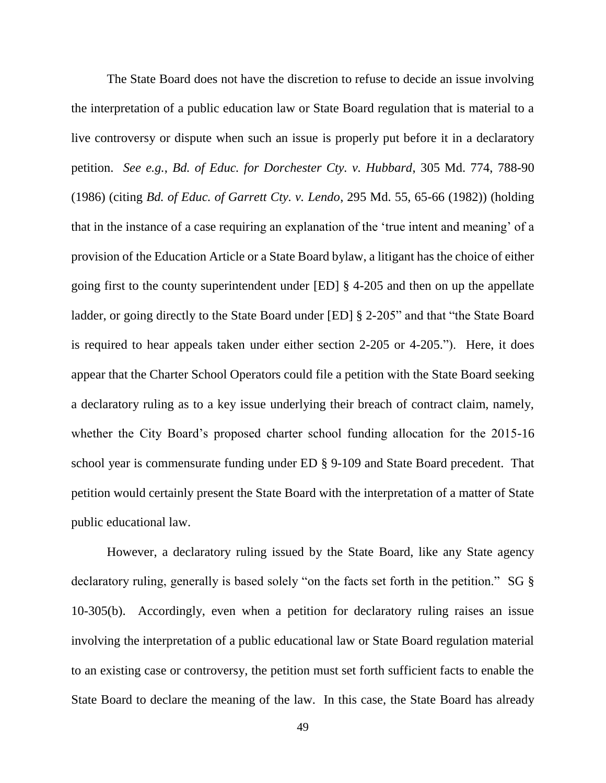The State Board does not have the discretion to refuse to decide an issue involving the interpretation of a public education law or State Board regulation that is material to a live controversy or dispute when such an issue is properly put before it in a declaratory petition. *See e.g.*, *Bd. of Educ. for Dorchester Cty. v. Hubbard*, 305 Md. 774, 788-90 (1986) (citing *Bd. of Educ. of Garrett Cty. v. Lendo*, 295 Md. 55, 65-66 (1982)) (holding that in the instance of a case requiring an explanation of the 'true intent and meaning' of a provision of the Education Article or a State Board bylaw, a litigant has the choice of either going first to the county superintendent under [ED] § 4-205 and then on up the appellate ladder, or going directly to the State Board under [ED] § 2-205" and that "the State Board is required to hear appeals taken under either section 2-205 or 4-205."). Here, it does appear that the Charter School Operators could file a petition with the State Board seeking a declaratory ruling as to a key issue underlying their breach of contract claim, namely, whether the City Board's proposed charter school funding allocation for the 2015-16 school year is commensurate funding under ED § 9-109 and State Board precedent. That petition would certainly present the State Board with the interpretation of a matter of State public educational law.

However, a declaratory ruling issued by the State Board, like any State agency declaratory ruling, generally is based solely "on the facts set forth in the petition." SG § 10-305(b). Accordingly, even when a petition for declaratory ruling raises an issue involving the interpretation of a public educational law or State Board regulation material to an existing case or controversy, the petition must set forth sufficient facts to enable the State Board to declare the meaning of the law. In this case, the State Board has already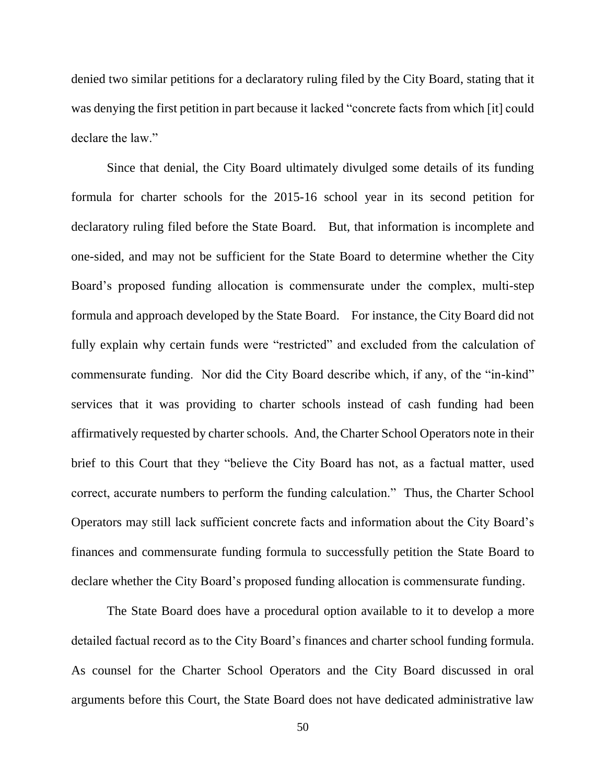denied two similar petitions for a declaratory ruling filed by the City Board, stating that it was denying the first petition in part because it lacked "concrete facts from which [it] could declare the law."

Since that denial, the City Board ultimately divulged some details of its funding formula for charter schools for the 2015-16 school year in its second petition for declaratory ruling filed before the State Board. But, that information is incomplete and one-sided, and may not be sufficient for the State Board to determine whether the City Board's proposed funding allocation is commensurate under the complex, multi-step formula and approach developed by the State Board. For instance, the City Board did not fully explain why certain funds were "restricted" and excluded from the calculation of commensurate funding. Nor did the City Board describe which, if any, of the "in-kind" services that it was providing to charter schools instead of cash funding had been affirmatively requested by charter schools. And, the Charter School Operators note in their brief to this Court that they "believe the City Board has not, as a factual matter, used correct, accurate numbers to perform the funding calculation." Thus, the Charter School Operators may still lack sufficient concrete facts and information about the City Board's finances and commensurate funding formula to successfully petition the State Board to declare whether the City Board's proposed funding allocation is commensurate funding.

The State Board does have a procedural option available to it to develop a more detailed factual record as to the City Board's finances and charter school funding formula. As counsel for the Charter School Operators and the City Board discussed in oral arguments before this Court, the State Board does not have dedicated administrative law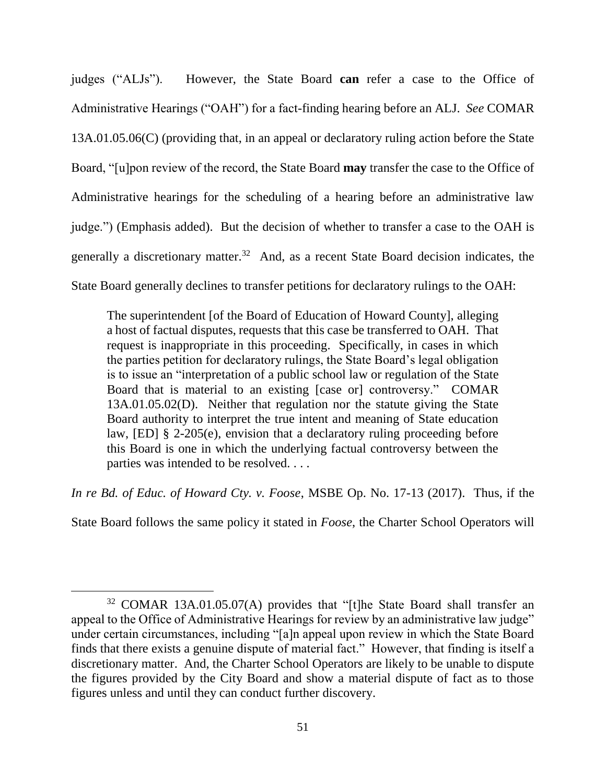judges ("ALJs"). However, the State Board **can** refer a case to the Office of Administrative Hearings ("OAH") for a fact-finding hearing before an ALJ. *See* COMAR 13A.01.05.06(C) (providing that, in an appeal or declaratory ruling action before the State Board, "[u]pon review of the record, the State Board **may** transfer the case to the Office of Administrative hearings for the scheduling of a hearing before an administrative law judge.") (Emphasis added). But the decision of whether to transfer a case to the OAH is generally a discretionary matter.<sup>32</sup> And, as a recent State Board decision indicates, the State Board generally declines to transfer petitions for declaratory rulings to the OAH:

The superintendent [of the Board of Education of Howard County], alleging a host of factual disputes, requests that this case be transferred to OAH. That request is inappropriate in this proceeding. Specifically, in cases in which the parties petition for declaratory rulings, the State Board's legal obligation is to issue an "interpretation of a public school law or regulation of the State Board that is material to an existing [case or] controversy." COMAR 13A.01.05.02(D). Neither that regulation nor the statute giving the State Board authority to interpret the true intent and meaning of State education law, [ED] § 2-205(e), envision that a declaratory ruling proceeding before this Board is one in which the underlying factual controversy between the parties was intended to be resolved. . . .

*In re Bd. of Educ. of Howard Cty. v. Foose*, MSBE Op. No. 17-13 (2017). Thus, if the

State Board follows the same policy it stated in *Foose*, the Charter School Operators will

<sup>&</sup>lt;sup>32</sup> COMAR 13A.01.05.07(A) provides that "[t]he State Board shall transfer an appeal to the Office of Administrative Hearings for review by an administrative law judge" under certain circumstances, including "[a]n appeal upon review in which the State Board finds that there exists a genuine dispute of material fact." However, that finding is itself a discretionary matter. And, the Charter School Operators are likely to be unable to dispute the figures provided by the City Board and show a material dispute of fact as to those figures unless and until they can conduct further discovery.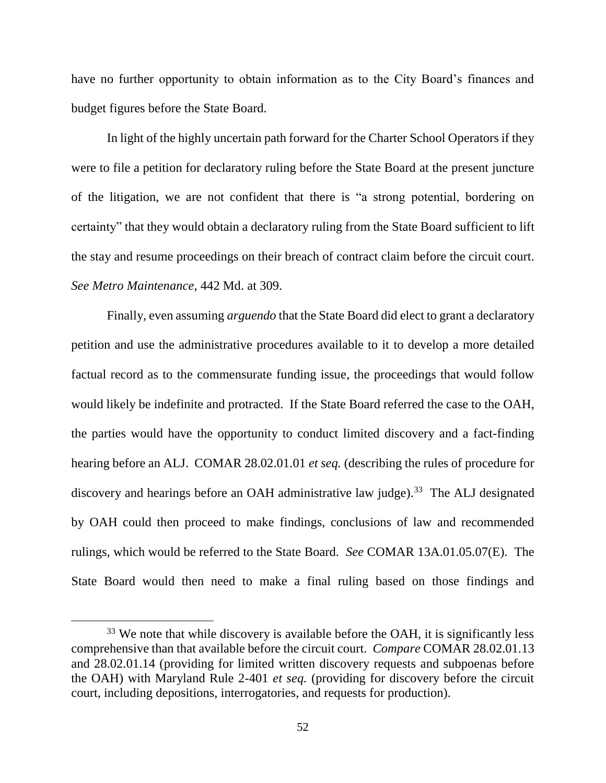have no further opportunity to obtain information as to the City Board's finances and budget figures before the State Board.

In light of the highly uncertain path forward for the Charter School Operators if they were to file a petition for declaratory ruling before the State Board at the present juncture of the litigation, we are not confident that there is "a strong potential, bordering on certainty" that they would obtain a declaratory ruling from the State Board sufficient to lift the stay and resume proceedings on their breach of contract claim before the circuit court. *See Metro Maintenance*, 442 Md. at 309.

Finally, even assuming *arguendo* that the State Board did elect to grant a declaratory petition and use the administrative procedures available to it to develop a more detailed factual record as to the commensurate funding issue, the proceedings that would follow would likely be indefinite and protracted. If the State Board referred the case to the OAH, the parties would have the opportunity to conduct limited discovery and a fact-finding hearing before an ALJ. COMAR 28.02.01.01 *et seq.* (describing the rules of procedure for discovery and hearings before an OAH administrative law judge).<sup>33</sup> The ALJ designated by OAH could then proceed to make findings, conclusions of law and recommended rulings, which would be referred to the State Board. *See* COMAR 13A.01.05.07(E). The State Board would then need to make a final ruling based on those findings and

<sup>&</sup>lt;sup>33</sup> We note that while discovery is available before the OAH, it is significantly less comprehensive than that available before the circuit court. *Compare* COMAR 28.02.01.13 and 28.02.01.14 (providing for limited written discovery requests and subpoenas before the OAH) with Maryland Rule 2-401 *et seq.* (providing for discovery before the circuit court, including depositions, interrogatories, and requests for production).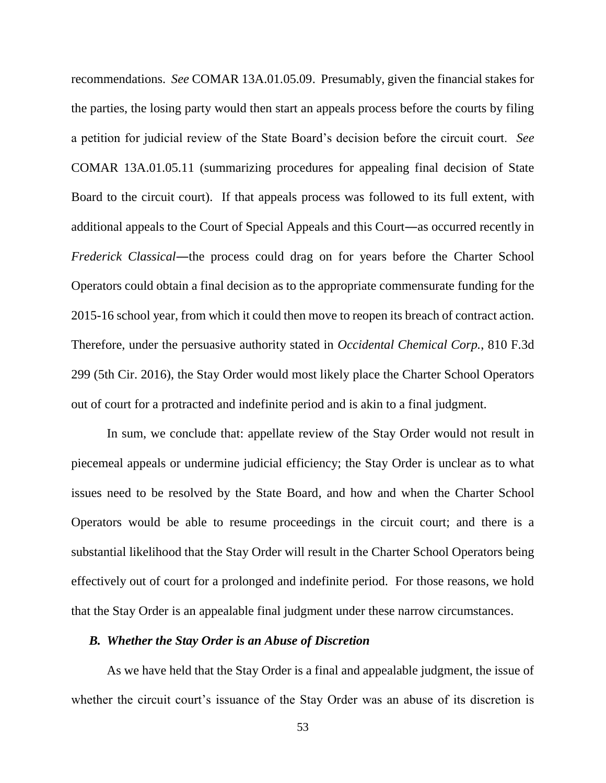recommendations. *See* COMAR 13A.01.05.09. Presumably, given the financial stakes for the parties, the losing party would then start an appeals process before the courts by filing a petition for judicial review of the State Board's decision before the circuit court. *See* COMAR 13A.01.05.11 (summarizing procedures for appealing final decision of State Board to the circuit court). If that appeals process was followed to its full extent, with additional appeals to the Court of Special Appeals and this Court―as occurred recently in *Frederick Classical*―the process could drag on for years before the Charter School Operators could obtain a final decision as to the appropriate commensurate funding for the 2015-16 school year, from which it could then move to reopen its breach of contract action. Therefore, under the persuasive authority stated in *Occidental Chemical Corp.*, 810 F.3d 299 (5th Cir. 2016), the Stay Order would most likely place the Charter School Operators out of court for a protracted and indefinite period and is akin to a final judgment.

In sum, we conclude that: appellate review of the Stay Order would not result in piecemeal appeals or undermine judicial efficiency; the Stay Order is unclear as to what issues need to be resolved by the State Board, and how and when the Charter School Operators would be able to resume proceedings in the circuit court; and there is a substantial likelihood that the Stay Order will result in the Charter School Operators being effectively out of court for a prolonged and indefinite period. For those reasons, we hold that the Stay Order is an appealable final judgment under these narrow circumstances.

### *B. Whether the Stay Order is an Abuse of Discretion*

As we have held that the Stay Order is a final and appealable judgment, the issue of whether the circuit court's issuance of the Stay Order was an abuse of its discretion is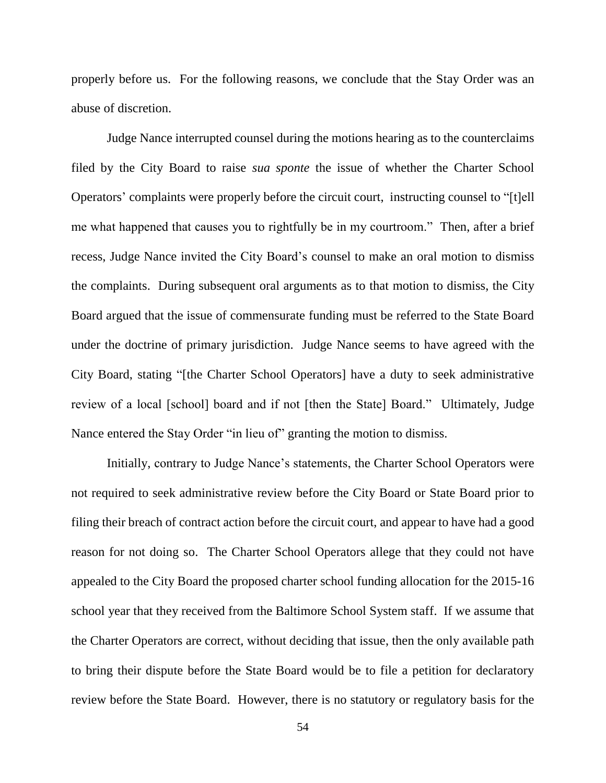properly before us. For the following reasons, we conclude that the Stay Order was an abuse of discretion.

Judge Nance interrupted counsel during the motions hearing as to the counterclaims filed by the City Board to raise *sua sponte* the issue of whether the Charter School Operators' complaints were properly before the circuit court, instructing counsel to "[t]ell me what happened that causes you to rightfully be in my courtroom." Then, after a brief recess, Judge Nance invited the City Board's counsel to make an oral motion to dismiss the complaints. During subsequent oral arguments as to that motion to dismiss, the City Board argued that the issue of commensurate funding must be referred to the State Board under the doctrine of primary jurisdiction. Judge Nance seems to have agreed with the City Board, stating "[the Charter School Operators] have a duty to seek administrative review of a local [school] board and if not [then the State] Board." Ultimately, Judge Nance entered the Stay Order "in lieu of" granting the motion to dismiss.

Initially, contrary to Judge Nance's statements, the Charter School Operators were not required to seek administrative review before the City Board or State Board prior to filing their breach of contract action before the circuit court, and appear to have had a good reason for not doing so. The Charter School Operators allege that they could not have appealed to the City Board the proposed charter school funding allocation for the 2015-16 school year that they received from the Baltimore School System staff. If we assume that the Charter Operators are correct, without deciding that issue, then the only available path to bring their dispute before the State Board would be to file a petition for declaratory review before the State Board. However, there is no statutory or regulatory basis for the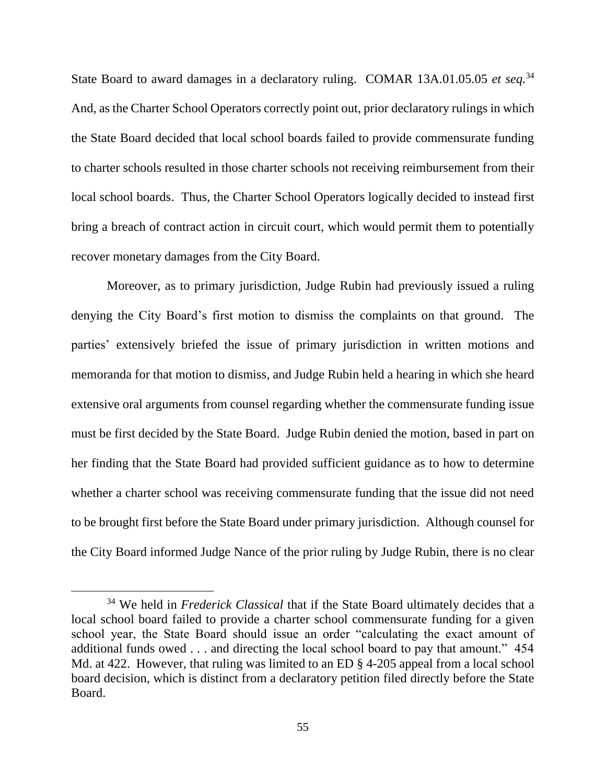State Board to award damages in a declaratory ruling. COMAR 13A.01.05.05 *et seq.*<sup>34</sup> And, as the Charter School Operators correctly point out, prior declaratory rulings in which the State Board decided that local school boards failed to provide commensurate funding to charter schools resulted in those charter schools not receiving reimbursement from their local school boards. Thus, the Charter School Operators logically decided to instead first bring a breach of contract action in circuit court, which would permit them to potentially recover monetary damages from the City Board.

Moreover, as to primary jurisdiction, Judge Rubin had previously issued a ruling denying the City Board's first motion to dismiss the complaints on that ground. The parties' extensively briefed the issue of primary jurisdiction in written motions and memoranda for that motion to dismiss, and Judge Rubin held a hearing in which she heard extensive oral arguments from counsel regarding whether the commensurate funding issue must be first decided by the State Board. Judge Rubin denied the motion, based in part on her finding that the State Board had provided sufficient guidance as to how to determine whether a charter school was receiving commensurate funding that the issue did not need to be brought first before the State Board under primary jurisdiction. Although counsel for the City Board informed Judge Nance of the prior ruling by Judge Rubin, there is no clear

<sup>34</sup> We held in *Frederick Classical* that if the State Board ultimately decides that a local school board failed to provide a charter school commensurate funding for a given school year, the State Board should issue an order "calculating the exact amount of additional funds owed . . . and directing the local school board to pay that amount." 454 Md. at 422. However, that ruling was limited to an ED § 4-205 appeal from a local school board decision, which is distinct from a declaratory petition filed directly before the State Board.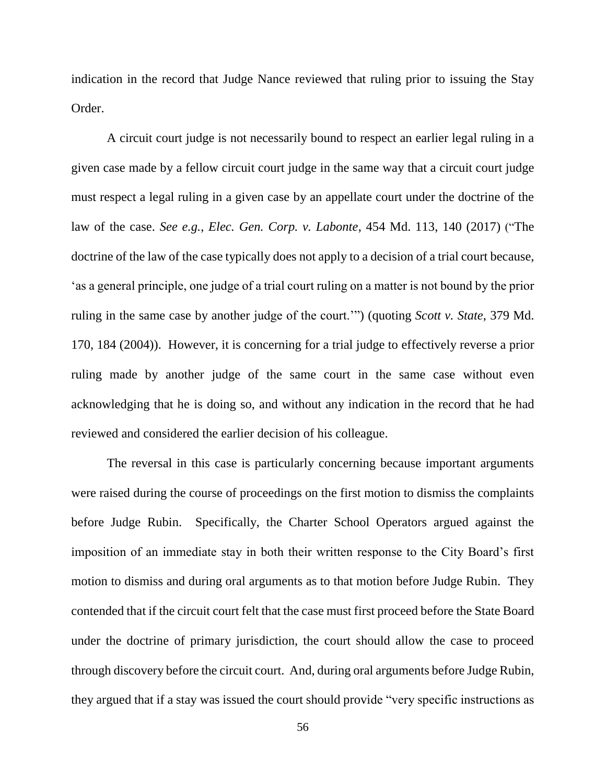indication in the record that Judge Nance reviewed that ruling prior to issuing the Stay Order.

A circuit court judge is not necessarily bound to respect an earlier legal ruling in a given case made by a fellow circuit court judge in the same way that a circuit court judge must respect a legal ruling in a given case by an appellate court under the doctrine of the law of the case. *See e.g.*, *Elec. Gen. Corp. v. Labonte*, 454 Md. 113, 140 (2017) ("The doctrine of the law of the case typically does not apply to a decision of a trial court because, 'as a general principle, one judge of a trial court ruling on a matter is not bound by the prior ruling in the same case by another judge of the court.'") (quoting *Scott v. State*, 379 Md. 170, 184 (2004)). However, it is concerning for a trial judge to effectively reverse a prior ruling made by another judge of the same court in the same case without even acknowledging that he is doing so, and without any indication in the record that he had reviewed and considered the earlier decision of his colleague.

The reversal in this case is particularly concerning because important arguments were raised during the course of proceedings on the first motion to dismiss the complaints before Judge Rubin. Specifically, the Charter School Operators argued against the imposition of an immediate stay in both their written response to the City Board's first motion to dismiss and during oral arguments as to that motion before Judge Rubin. They contended that if the circuit court felt that the case must first proceed before the State Board under the doctrine of primary jurisdiction, the court should allow the case to proceed through discovery before the circuit court. And, during oral arguments before Judge Rubin, they argued that if a stay was issued the court should provide "very specific instructions as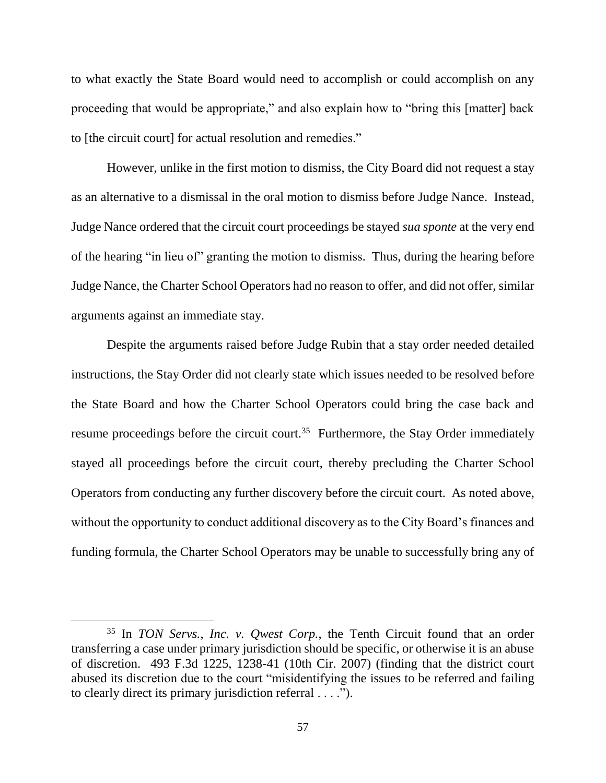to what exactly the State Board would need to accomplish or could accomplish on any proceeding that would be appropriate," and also explain how to "bring this [matter] back to [the circuit court] for actual resolution and remedies."

However, unlike in the first motion to dismiss, the City Board did not request a stay as an alternative to a dismissal in the oral motion to dismiss before Judge Nance. Instead, Judge Nance ordered that the circuit court proceedings be stayed *sua sponte* at the very end of the hearing "in lieu of" granting the motion to dismiss. Thus, during the hearing before Judge Nance, the Charter School Operators had no reason to offer, and did not offer, similar arguments against an immediate stay.

Despite the arguments raised before Judge Rubin that a stay order needed detailed instructions, the Stay Order did not clearly state which issues needed to be resolved before the State Board and how the Charter School Operators could bring the case back and resume proceedings before the circuit court.<sup>35</sup> Furthermore, the Stay Order immediately stayed all proceedings before the circuit court, thereby precluding the Charter School Operators from conducting any further discovery before the circuit court. As noted above, without the opportunity to conduct additional discovery as to the City Board's finances and funding formula, the Charter School Operators may be unable to successfully bring any of

<sup>35</sup> In *TON Servs., Inc. v. Qwest Corp.*, the Tenth Circuit found that an order transferring a case under primary jurisdiction should be specific, or otherwise it is an abuse of discretion. 493 F.3d 1225, 1238-41 (10th Cir. 2007) (finding that the district court abused its discretion due to the court "misidentifying the issues to be referred and failing to clearly direct its primary jurisdiction referral . . . .").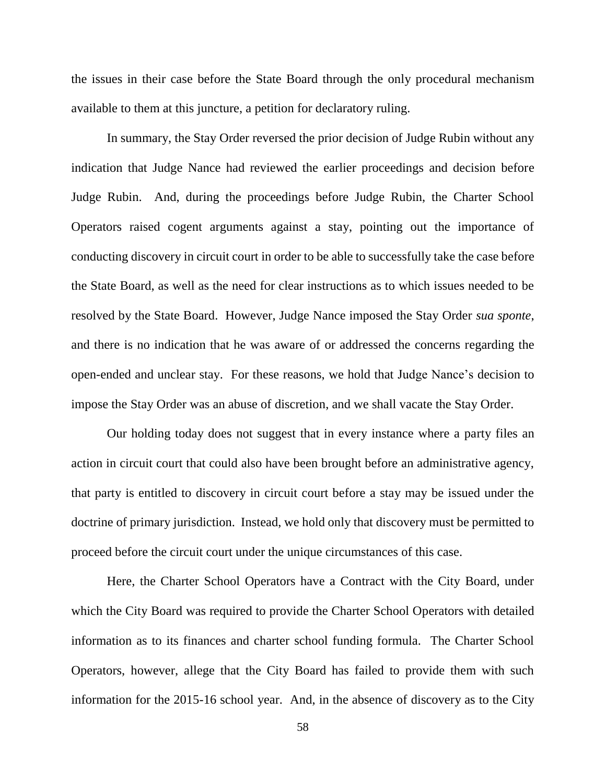the issues in their case before the State Board through the only procedural mechanism available to them at this juncture, a petition for declaratory ruling.

In summary, the Stay Order reversed the prior decision of Judge Rubin without any indication that Judge Nance had reviewed the earlier proceedings and decision before Judge Rubin. And, during the proceedings before Judge Rubin, the Charter School Operators raised cogent arguments against a stay, pointing out the importance of conducting discovery in circuit court in order to be able to successfully take the case before the State Board, as well as the need for clear instructions as to which issues needed to be resolved by the State Board. However, Judge Nance imposed the Stay Order *sua sponte*, and there is no indication that he was aware of or addressed the concerns regarding the open-ended and unclear stay. For these reasons, we hold that Judge Nance's decision to impose the Stay Order was an abuse of discretion, and we shall vacate the Stay Order.

Our holding today does not suggest that in every instance where a party files an action in circuit court that could also have been brought before an administrative agency, that party is entitled to discovery in circuit court before a stay may be issued under the doctrine of primary jurisdiction. Instead, we hold only that discovery must be permitted to proceed before the circuit court under the unique circumstances of this case.

Here, the Charter School Operators have a Contract with the City Board, under which the City Board was required to provide the Charter School Operators with detailed information as to its finances and charter school funding formula. The Charter School Operators, however, allege that the City Board has failed to provide them with such information for the 2015-16 school year. And, in the absence of discovery as to the City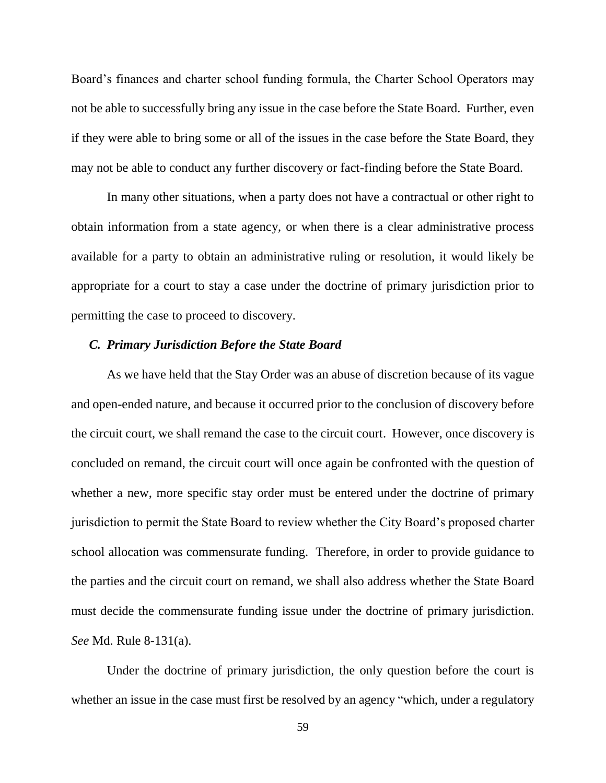Board's finances and charter school funding formula, the Charter School Operators may not be able to successfully bring any issue in the case before the State Board. Further, even if they were able to bring some or all of the issues in the case before the State Board, they may not be able to conduct any further discovery or fact-finding before the State Board.

In many other situations, when a party does not have a contractual or other right to obtain information from a state agency, or when there is a clear administrative process available for a party to obtain an administrative ruling or resolution, it would likely be appropriate for a court to stay a case under the doctrine of primary jurisdiction prior to permitting the case to proceed to discovery.

#### *C. Primary Jurisdiction Before the State Board*

As we have held that the Stay Order was an abuse of discretion because of its vague and open-ended nature, and because it occurred prior to the conclusion of discovery before the circuit court, we shall remand the case to the circuit court. However, once discovery is concluded on remand, the circuit court will once again be confronted with the question of whether a new, more specific stay order must be entered under the doctrine of primary jurisdiction to permit the State Board to review whether the City Board's proposed charter school allocation was commensurate funding. Therefore, in order to provide guidance to the parties and the circuit court on remand, we shall also address whether the State Board must decide the commensurate funding issue under the doctrine of primary jurisdiction. *See* Md. Rule 8-131(a).

Under the doctrine of primary jurisdiction, the only question before the court is whether an issue in the case must first be resolved by an agency "which, under a regulatory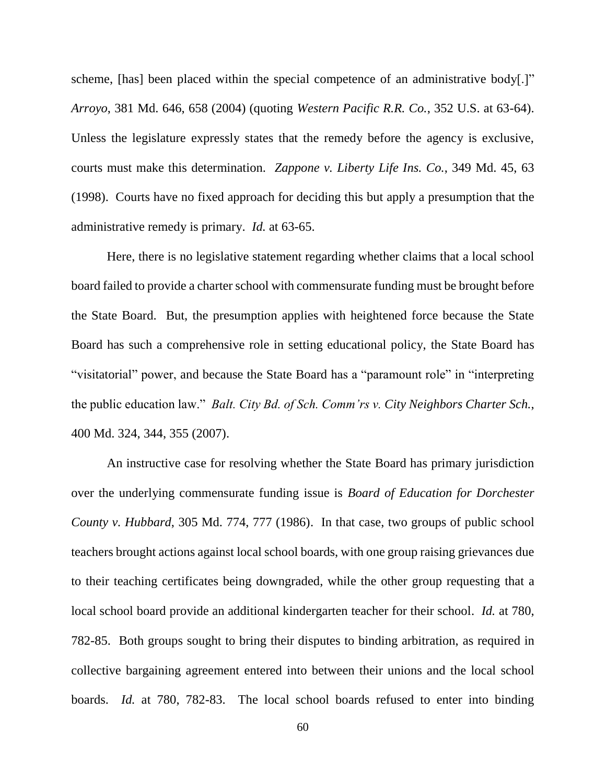scheme, [has] been placed within the special competence of an administrative body[.]" *Arroyo*, 381 Md. 646, 658 (2004) (quoting *Western Pacific R.R. Co.*, 352 U.S. at 63-64). Unless the legislature expressly states that the remedy before the agency is exclusive, courts must make this determination. *Zappone v. Liberty Life Ins. Co.*, 349 Md. 45, 63 (1998). Courts have no fixed approach for deciding this but apply a presumption that the administrative remedy is primary. *Id.* at 63-65.

Here, there is no legislative statement regarding whether claims that a local school board failed to provide a charter school with commensurate funding must be brought before the State Board. But, the presumption applies with heightened force because the State Board has such a comprehensive role in setting educational policy, the State Board has "visitatorial" power, and because the State Board has a "paramount role" in "interpreting the public education law." *Balt. City Bd. of Sch. Comm'rs v. City Neighbors Charter Sch.*, 400 Md. 324, 344, 355 (2007).

An instructive case for resolving whether the State Board has primary jurisdiction over the underlying commensurate funding issue is *Board of Education for Dorchester County v. Hubbard*, 305 Md. 774, 777 (1986). In that case, two groups of public school teachers brought actions against local school boards, with one group raising grievances due to their teaching certificates being downgraded, while the other group requesting that a local school board provide an additional kindergarten teacher for their school. *Id.* at 780, 782-85. Both groups sought to bring their disputes to binding arbitration, as required in collective bargaining agreement entered into between their unions and the local school boards. *Id.* at 780, 782-83. The local school boards refused to enter into binding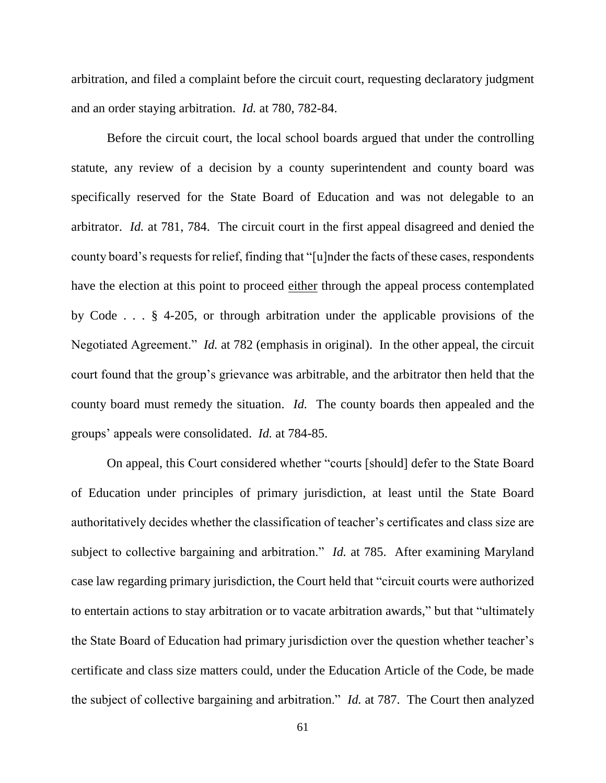arbitration, and filed a complaint before the circuit court, requesting declaratory judgment and an order staying arbitration. *Id.* at 780, 782-84.

Before the circuit court, the local school boards argued that under the controlling statute, any review of a decision by a county superintendent and county board was specifically reserved for the State Board of Education and was not delegable to an arbitrator. *Id.* at 781, 784. The circuit court in the first appeal disagreed and denied the county board's requests for relief, finding that "[u]nder the facts of these cases, respondents have the election at this point to proceed either through the appeal process contemplated by Code . . . § 4-205, or through arbitration under the applicable provisions of the Negotiated Agreement." *Id.* at 782 (emphasis in original). In the other appeal, the circuit court found that the group's grievance was arbitrable, and the arbitrator then held that the county board must remedy the situation. *Id.* The county boards then appealed and the groups' appeals were consolidated. *Id.* at 784-85.

On appeal, this Court considered whether "courts [should] defer to the State Board of Education under principles of primary jurisdiction, at least until the State Board authoritatively decides whether the classification of teacher's certificates and class size are subject to collective bargaining and arbitration." *Id.* at 785. After examining Maryland case law regarding primary jurisdiction, the Court held that "circuit courts were authorized to entertain actions to stay arbitration or to vacate arbitration awards," but that "ultimately the State Board of Education had primary jurisdiction over the question whether teacher's certificate and class size matters could, under the Education Article of the Code, be made the subject of collective bargaining and arbitration." *Id.* at 787. The Court then analyzed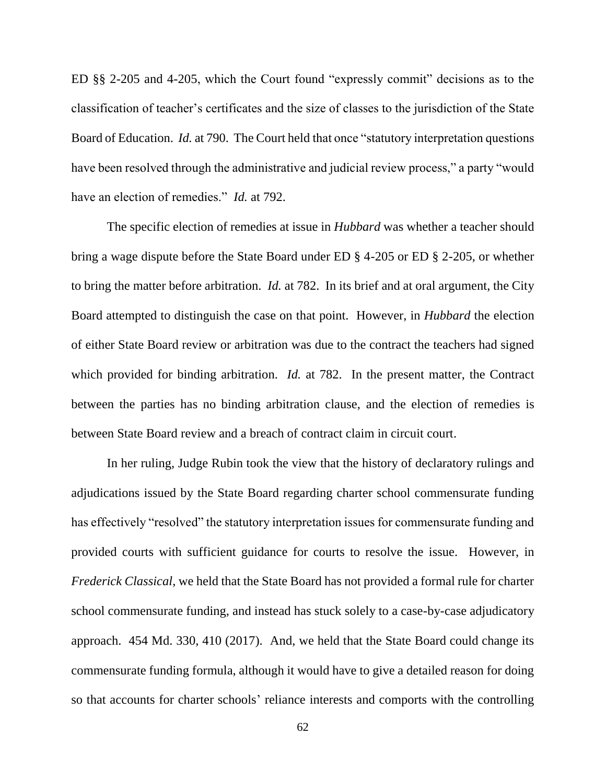ED §§ 2-205 and 4-205, which the Court found "expressly commit" decisions as to the classification of teacher's certificates and the size of classes to the jurisdiction of the State Board of Education. *Id.* at 790. The Court held that once "statutory interpretation questions have been resolved through the administrative and judicial review process," a party "would have an election of remedies." *Id.* at 792.

The specific election of remedies at issue in *Hubbard* was whether a teacher should bring a wage dispute before the State Board under ED § 4-205 or ED § 2-205, or whether to bring the matter before arbitration. *Id.* at 782. In its brief and at oral argument, the City Board attempted to distinguish the case on that point. However, in *Hubbard* the election of either State Board review or arbitration was due to the contract the teachers had signed which provided for binding arbitration. *Id.* at 782. In the present matter, the Contract between the parties has no binding arbitration clause, and the election of remedies is between State Board review and a breach of contract claim in circuit court.

In her ruling, Judge Rubin took the view that the history of declaratory rulings and adjudications issued by the State Board regarding charter school commensurate funding has effectively "resolved" the statutory interpretation issues for commensurate funding and provided courts with sufficient guidance for courts to resolve the issue. However, in *Frederick Classical*, we held that the State Board has not provided a formal rule for charter school commensurate funding, and instead has stuck solely to a case-by-case adjudicatory approach. 454 Md. 330, 410 (2017). And, we held that the State Board could change its commensurate funding formula, although it would have to give a detailed reason for doing so that accounts for charter schools' reliance interests and comports with the controlling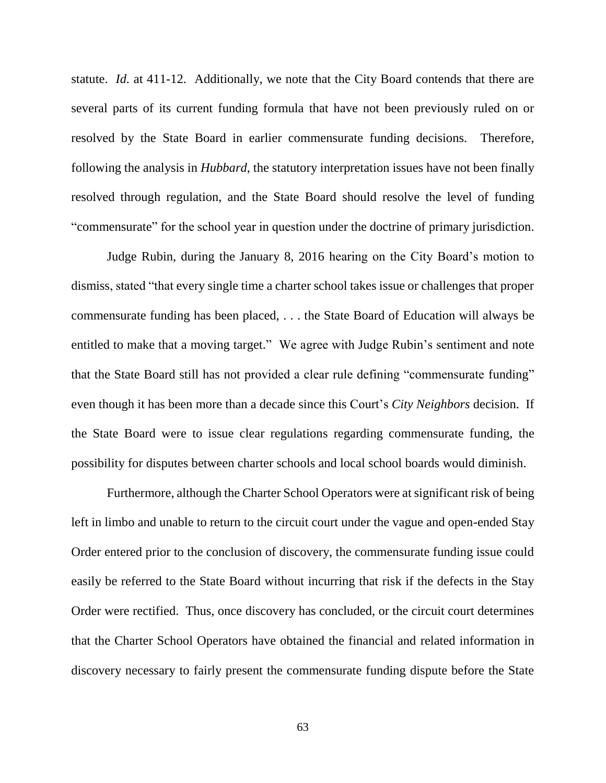statute. *Id.* at 411-12. Additionally, we note that the City Board contends that there are several parts of its current funding formula that have not been previously ruled on or resolved by the State Board in earlier commensurate funding decisions. Therefore, following the analysis in *Hubbard*, the statutory interpretation issues have not been finally resolved through regulation, and the State Board should resolve the level of funding "commensurate" for the school year in question under the doctrine of primary jurisdiction.

Judge Rubin, during the January 8, 2016 hearing on the City Board's motion to dismiss, stated "that every single time a charter school takes issue or challenges that proper commensurate funding has been placed, . . . the State Board of Education will always be entitled to make that a moving target." We agree with Judge Rubin's sentiment and note that the State Board still has not provided a clear rule defining "commensurate funding" even though it has been more than a decade since this Court's *City Neighbors* decision. If the State Board were to issue clear regulations regarding commensurate funding, the possibility for disputes between charter schools and local school boards would diminish.

Furthermore, although the Charter School Operators were at significant risk of being left in limbo and unable to return to the circuit court under the vague and open-ended Stay Order entered prior to the conclusion of discovery, the commensurate funding issue could easily be referred to the State Board without incurring that risk if the defects in the Stay Order were rectified. Thus, once discovery has concluded, or the circuit court determines that the Charter School Operators have obtained the financial and related information in discovery necessary to fairly present the commensurate funding dispute before the State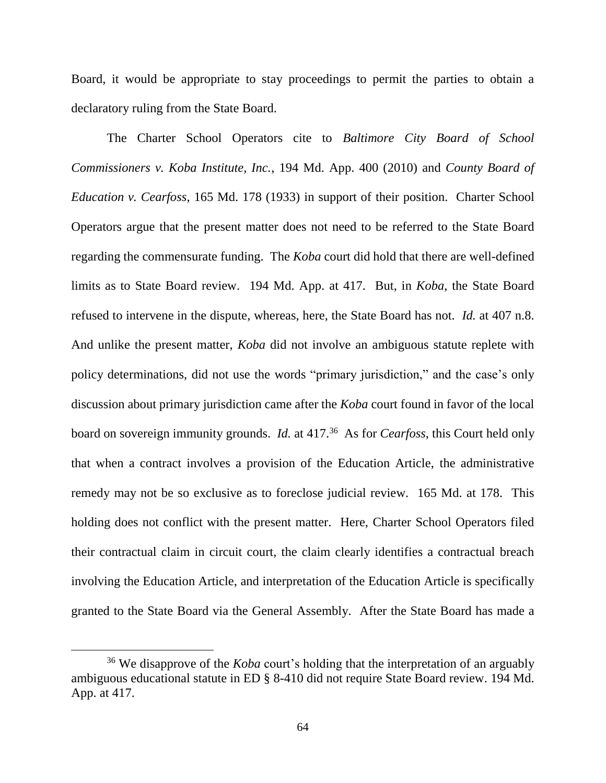Board, it would be appropriate to stay proceedings to permit the parties to obtain a declaratory ruling from the State Board.

The Charter School Operators cite to *Baltimore City Board of School Commissioners v. Koba Institute, Inc.*, 194 Md. App. 400 (2010) and *County Board of Education v. Cearfoss*, 165 Md. 178 (1933) in support of their position. Charter School Operators argue that the present matter does not need to be referred to the State Board regarding the commensurate funding. The *Koba* court did hold that there are well-defined limits as to State Board review. 194 Md. App. at 417. But, in *Koba*, the State Board refused to intervene in the dispute, whereas, here, the State Board has not. *Id.* at 407 n.8. And unlike the present matter, *Koba* did not involve an ambiguous statute replete with policy determinations, did not use the words "primary jurisdiction," and the case's only discussion about primary jurisdiction came after the *Koba* court found in favor of the local board on sovereign immunity grounds. *Id.* at 417.<sup>36</sup> As for *Cearfoss*, this Court held only that when a contract involves a provision of the Education Article, the administrative remedy may not be so exclusive as to foreclose judicial review. 165 Md. at 178. This holding does not conflict with the present matter. Here, Charter School Operators filed their contractual claim in circuit court, the claim clearly identifies a contractual breach involving the Education Article, and interpretation of the Education Article is specifically granted to the State Board via the General Assembly. After the State Board has made a

<sup>36</sup> We disapprove of the *Koba* court's holding that the interpretation of an arguably ambiguous educational statute in ED § 8-410 did not require State Board review. 194 Md. App. at 417.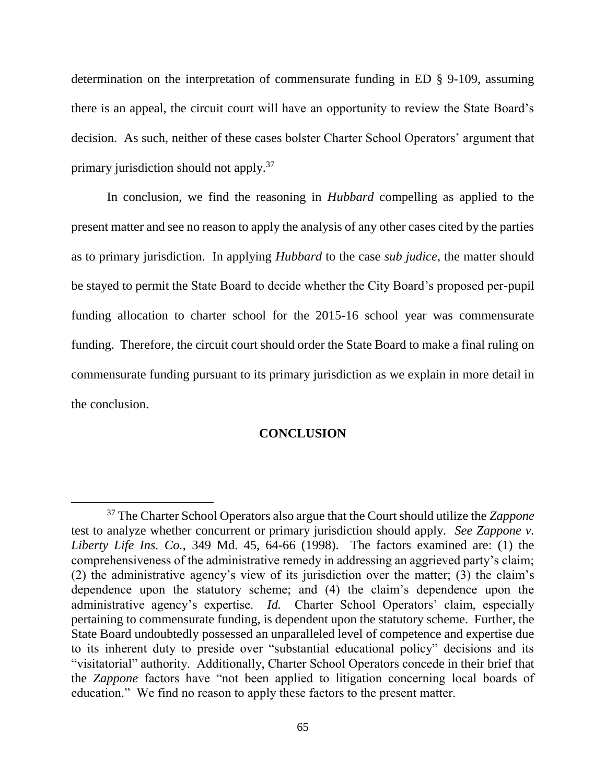determination on the interpretation of commensurate funding in ED § 9-109, assuming there is an appeal, the circuit court will have an opportunity to review the State Board's decision. As such, neither of these cases bolster Charter School Operators' argument that primary jurisdiction should not apply.<sup>37</sup>

In conclusion, we find the reasoning in *Hubbard* compelling as applied to the present matter and see no reason to apply the analysis of any other cases cited by the parties as to primary jurisdiction. In applying *Hubbard* to the case *sub judice*, the matter should be stayed to permit the State Board to decide whether the City Board's proposed per-pupil funding allocation to charter school for the 2015-16 school year was commensurate funding. Therefore, the circuit court should order the State Board to make a final ruling on commensurate funding pursuant to its primary jurisdiction as we explain in more detail in the conclusion.

### **CONCLUSION**

<sup>37</sup> The Charter School Operators also argue that the Court should utilize the *Zappone* test to analyze whether concurrent or primary jurisdiction should apply. *See Zappone v. Liberty Life Ins. Co.*, 349 Md. 45, 64-66 (1998). The factors examined are: (1) the comprehensiveness of the administrative remedy in addressing an aggrieved party's claim; (2) the administrative agency's view of its jurisdiction over the matter; (3) the claim's dependence upon the statutory scheme; and (4) the claim's dependence upon the administrative agency's expertise. *Id.* Charter School Operators' claim, especially pertaining to commensurate funding, is dependent upon the statutory scheme. Further, the State Board undoubtedly possessed an unparalleled level of competence and expertise due to its inherent duty to preside over "substantial educational policy" decisions and its "visitatorial" authority. Additionally, Charter School Operators concede in their brief that the *Zappone* factors have "not been applied to litigation concerning local boards of education." We find no reason to apply these factors to the present matter.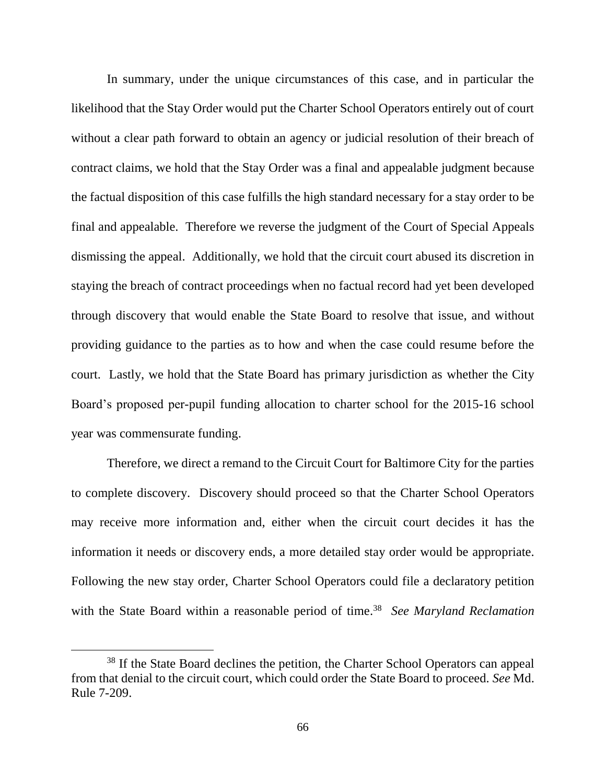In summary, under the unique circumstances of this case, and in particular the likelihood that the Stay Order would put the Charter School Operators entirely out of court without a clear path forward to obtain an agency or judicial resolution of their breach of contract claims, we hold that the Stay Order was a final and appealable judgment because the factual disposition of this case fulfills the high standard necessary for a stay order to be final and appealable. Therefore we reverse the judgment of the Court of Special Appeals dismissing the appeal. Additionally, we hold that the circuit court abused its discretion in staying the breach of contract proceedings when no factual record had yet been developed through discovery that would enable the State Board to resolve that issue, and without providing guidance to the parties as to how and when the case could resume before the court. Lastly, we hold that the State Board has primary jurisdiction as whether the City Board's proposed per-pupil funding allocation to charter school for the 2015-16 school year was commensurate funding.

Therefore, we direct a remand to the Circuit Court for Baltimore City for the parties to complete discovery. Discovery should proceed so that the Charter School Operators may receive more information and, either when the circuit court decides it has the information it needs or discovery ends, a more detailed stay order would be appropriate. Following the new stay order, Charter School Operators could file a declaratory petition with the State Board within a reasonable period of time. 38 *See Maryland Reclamation* 

<sup>&</sup>lt;sup>38</sup> If the State Board declines the petition, the Charter School Operators can appeal from that denial to the circuit court, which could order the State Board to proceed. *See* Md. Rule 7-209.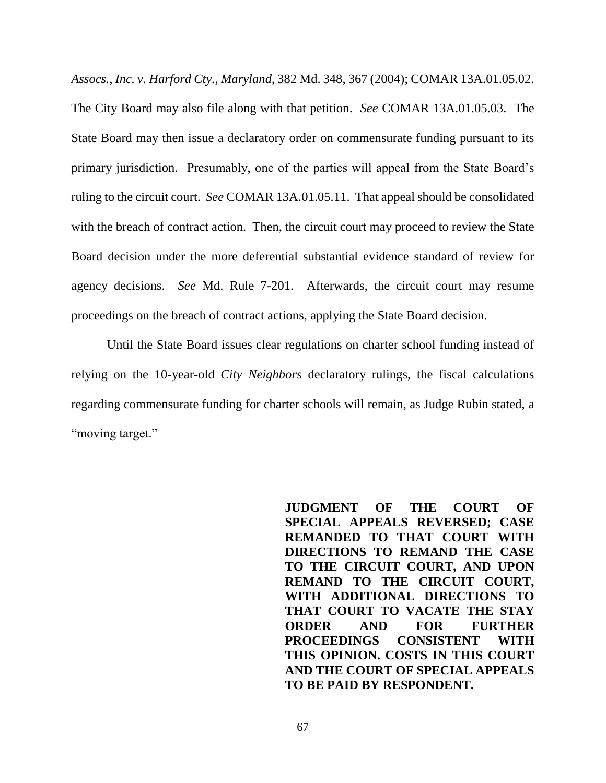*Assocs., Inc. v. Harford Cty., Maryland*, 382 Md. 348, 367 (2004); COMAR 13A.01.05.02. The City Board may also file along with that petition. *See* COMAR 13A.01.05.03. The State Board may then issue a declaratory order on commensurate funding pursuant to its primary jurisdiction. Presumably, one of the parties will appeal from the State Board's ruling to the circuit court. *See* COMAR 13A.01.05.11. That appeal should be consolidated with the breach of contract action. Then, the circuit court may proceed to review the State Board decision under the more deferential substantial evidence standard of review for agency decisions. *See* Md. Rule 7-201. Afterwards, the circuit court may resume proceedings on the breach of contract actions, applying the State Board decision.

Until the State Board issues clear regulations on charter school funding instead of relying on the 10-year-old *City Neighbors* declaratory rulings, the fiscal calculations regarding commensurate funding for charter schools will remain, as Judge Rubin stated, a "moving target."

> **JUDGMENT OF THE COURT OF SPECIAL APPEALS REVERSED; CASE REMANDED TO THAT COURT WITH DIRECTIONS TO REMAND THE CASE TO THE CIRCUIT COURT, AND UPON REMAND TO THE CIRCUIT COURT, WITH ADDITIONAL DIRECTIONS TO THAT COURT TO VACATE THE STAY ORDER AND FOR FURTHER PROCEEDINGS CONSISTENT WITH THIS OPINION. COSTS IN THIS COURT AND THE COURT OF SPECIAL APPEALS TO BE PAID BY RESPONDENT.**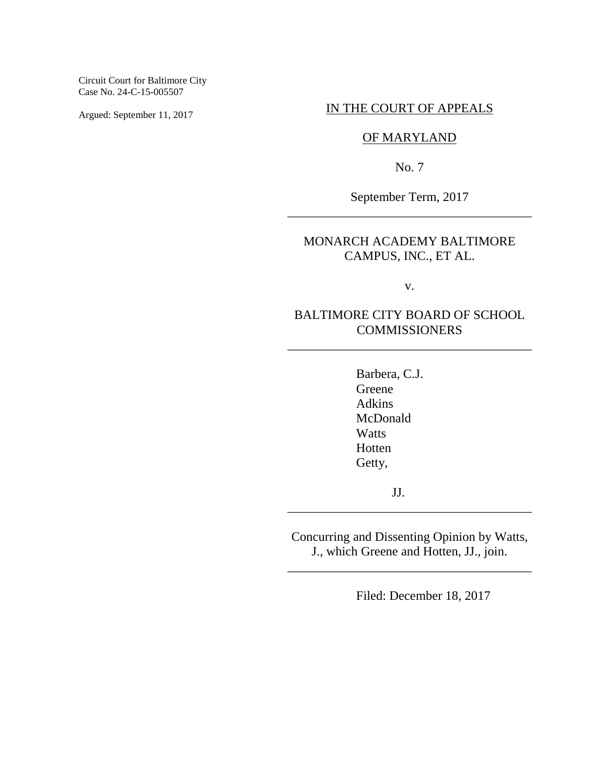Circuit Court for Baltimore City Case No. 24-C-15-005507

Argued: September 11, 2017

## IN THE COURT OF APPEALS

# OF MARYLAND

No. 7

September Term, 2017 \_\_\_\_\_\_\_\_\_\_\_\_\_\_\_\_\_\_\_\_\_\_\_\_\_\_\_\_\_\_\_\_\_\_\_\_\_\_

# MONARCH ACADEMY BALTIMORE CAMPUS, INC., ET AL.

v.

# BALTIMORE CITY BOARD OF SCHOOL COMMISSIONERS

\_\_\_\_\_\_\_\_\_\_\_\_\_\_\_\_\_\_\_\_\_\_\_\_\_\_\_\_\_\_\_\_\_\_\_\_\_\_

Barbera, C.J. Greene Adkins McDonald **Watts** Hotten Getty,

JJ.

Concurring and Dissenting Opinion by Watts, J., which Greene and Hotten, JJ., join.

\_\_\_\_\_\_\_\_\_\_\_\_\_\_\_\_\_\_\_\_\_\_\_\_\_\_\_\_\_\_\_\_\_\_\_\_\_\_

\_\_\_\_\_\_\_\_\_\_\_\_\_\_\_\_\_\_\_\_\_\_\_\_\_\_\_\_\_\_\_\_\_\_\_\_\_\_

Filed: December 18, 2017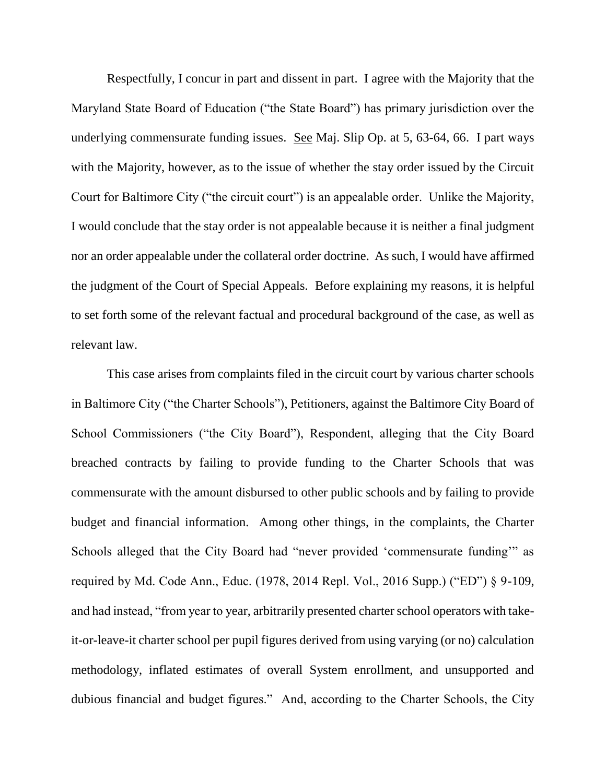Respectfully, I concur in part and dissent in part. I agree with the Majority that the Maryland State Board of Education ("the State Board") has primary jurisdiction over the underlying commensurate funding issues. See Maj. Slip Op. at 5, 63-64, 66. I part ways with the Majority, however, as to the issue of whether the stay order issued by the Circuit Court for Baltimore City ("the circuit court") is an appealable order. Unlike the Majority, I would conclude that the stay order is not appealable because it is neither a final judgment nor an order appealable under the collateral order doctrine. As such, I would have affirmed the judgment of the Court of Special Appeals. Before explaining my reasons, it is helpful to set forth some of the relevant factual and procedural background of the case, as well as relevant law.

This case arises from complaints filed in the circuit court by various charter schools in Baltimore City ("the Charter Schools"), Petitioners, against the Baltimore City Board of School Commissioners ("the City Board"), Respondent, alleging that the City Board breached contracts by failing to provide funding to the Charter Schools that was commensurate with the amount disbursed to other public schools and by failing to provide budget and financial information. Among other things, in the complaints, the Charter Schools alleged that the City Board had "never provided 'commensurate funding'" as required by Md. Code Ann., Educ. (1978, 2014 Repl. Vol., 2016 Supp.) ("ED") § 9-109, and had instead, "from year to year, arbitrarily presented charter school operators with takeit-or-leave-it charter school per pupil figures derived from using varying (or no) calculation methodology, inflated estimates of overall System enrollment, and unsupported and dubious financial and budget figures." And, according to the Charter Schools, the City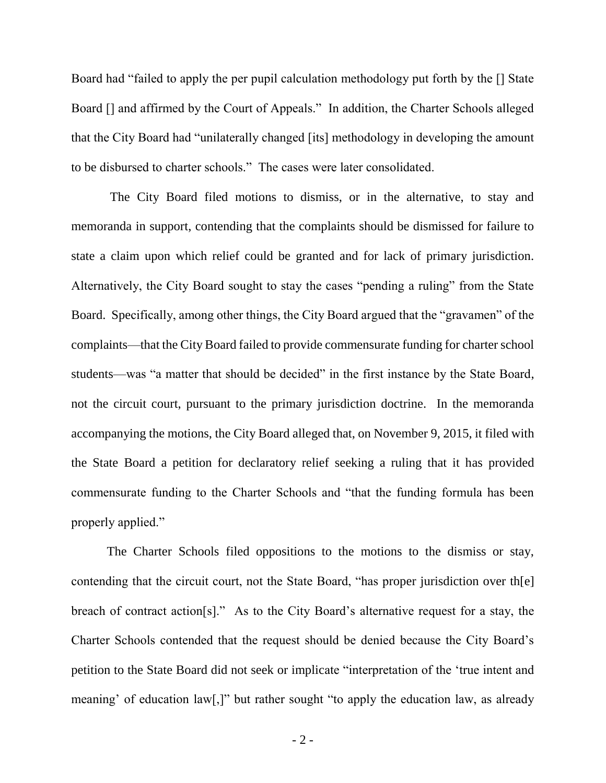Board had "failed to apply the per pupil calculation methodology put forth by the [] State Board [] and affirmed by the Court of Appeals." In addition, the Charter Schools alleged that the City Board had "unilaterally changed [its] methodology in developing the amount to be disbursed to charter schools." The cases were later consolidated.

The City Board filed motions to dismiss, or in the alternative, to stay and memoranda in support, contending that the complaints should be dismissed for failure to state a claim upon which relief could be granted and for lack of primary jurisdiction. Alternatively, the City Board sought to stay the cases "pending a ruling" from the State Board. Specifically, among other things, the City Board argued that the "gravamen" of the complaints—that the City Board failed to provide commensurate funding for charter school students—was "a matter that should be decided" in the first instance by the State Board, not the circuit court, pursuant to the primary jurisdiction doctrine. In the memoranda accompanying the motions, the City Board alleged that, on November 9, 2015, it filed with the State Board a petition for declaratory relief seeking a ruling that it has provided commensurate funding to the Charter Schools and "that the funding formula has been properly applied."

The Charter Schools filed oppositions to the motions to the dismiss or stay, contending that the circuit court, not the State Board, "has proper jurisdiction over th[e] breach of contract action[s]." As to the City Board's alternative request for a stay, the Charter Schools contended that the request should be denied because the City Board's petition to the State Board did not seek or implicate "interpretation of the 'true intent and meaning' of education law[,]" but rather sought "to apply the education law, as already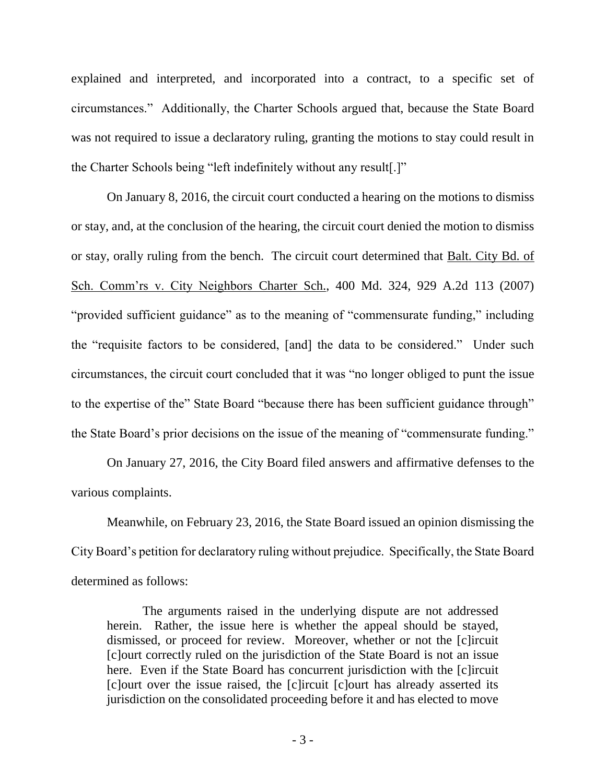explained and interpreted, and incorporated into a contract, to a specific set of circumstances." Additionally, the Charter Schools argued that, because the State Board was not required to issue a declaratory ruling, granting the motions to stay could result in the Charter Schools being "left indefinitely without any result[.]"

On January 8, 2016, the circuit court conducted a hearing on the motions to dismiss or stay, and, at the conclusion of the hearing, the circuit court denied the motion to dismiss or stay, orally ruling from the bench. The circuit court determined that Balt. City Bd. of Sch. Comm'rs v. City Neighbors Charter Sch., 400 Md. 324, 929 A.2d 113 (2007) "provided sufficient guidance" as to the meaning of "commensurate funding," including the "requisite factors to be considered, [and] the data to be considered." Under such circumstances, the circuit court concluded that it was "no longer obliged to punt the issue to the expertise of the" State Board "because there has been sufficient guidance through" the State Board's prior decisions on the issue of the meaning of "commensurate funding."

On January 27, 2016, the City Board filed answers and affirmative defenses to the various complaints.

Meanwhile, on February 23, 2016, the State Board issued an opinion dismissing the City Board's petition for declaratory ruling without prejudice. Specifically, the State Board determined as follows:

The arguments raised in the underlying dispute are not addressed herein. Rather, the issue here is whether the appeal should be stayed, dismissed, or proceed for review. Moreover, whether or not the [c]ircuit [c]ourt correctly ruled on the jurisdiction of the State Board is not an issue here. Even if the State Board has concurrent jurisdiction with the [c]ircuit [c]ourt over the issue raised, the [c]ircuit [c]ourt has already asserted its jurisdiction on the consolidated proceeding before it and has elected to move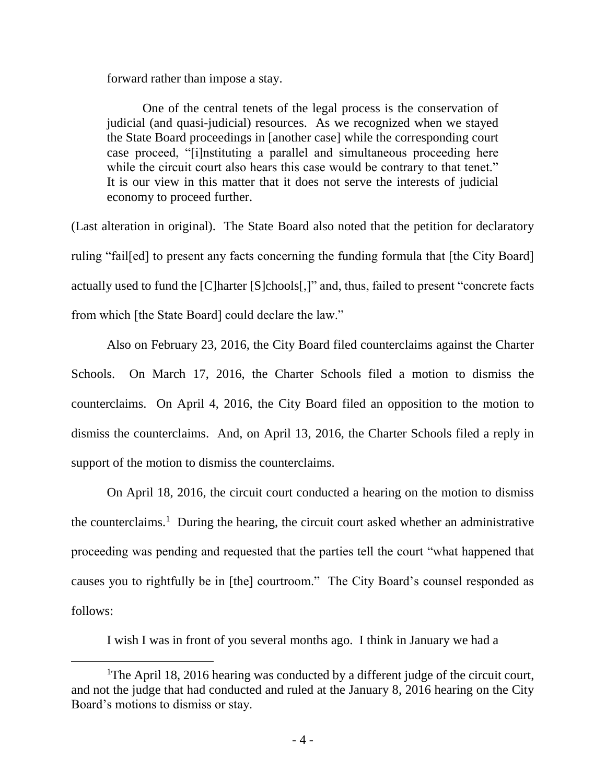forward rather than impose a stay.

One of the central tenets of the legal process is the conservation of judicial (and quasi-judicial) resources. As we recognized when we stayed the State Board proceedings in [another case] while the corresponding court case proceed, "[i]nstituting a parallel and simultaneous proceeding here while the circuit court also hears this case would be contrary to that tenet." It is our view in this matter that it does not serve the interests of judicial economy to proceed further.

(Last alteration in original). The State Board also noted that the petition for declaratory ruling "fail[ed] to present any facts concerning the funding formula that [the City Board] actually used to fund the [C]harter [S]chools[,]" and, thus, failed to present "concrete facts from which [the State Board] could declare the law."

Also on February 23, 2016, the City Board filed counterclaims against the Charter Schools. On March 17, 2016, the Charter Schools filed a motion to dismiss the counterclaims. On April 4, 2016, the City Board filed an opposition to the motion to dismiss the counterclaims. And, on April 13, 2016, the Charter Schools filed a reply in support of the motion to dismiss the counterclaims.

On April 18, 2016, the circuit court conducted a hearing on the motion to dismiss the counterclaims.<sup>1</sup> During the hearing, the circuit court asked whether an administrative proceeding was pending and requested that the parties tell the court "what happened that causes you to rightfully be in [the] courtroom." The City Board's counsel responded as follows:

I wish I was in front of you several months ago. I think in January we had a

<sup>&</sup>lt;sup>1</sup>The April 18, 2016 hearing was conducted by a different judge of the circuit court, and not the judge that had conducted and ruled at the January 8, 2016 hearing on the City Board's motions to dismiss or stay.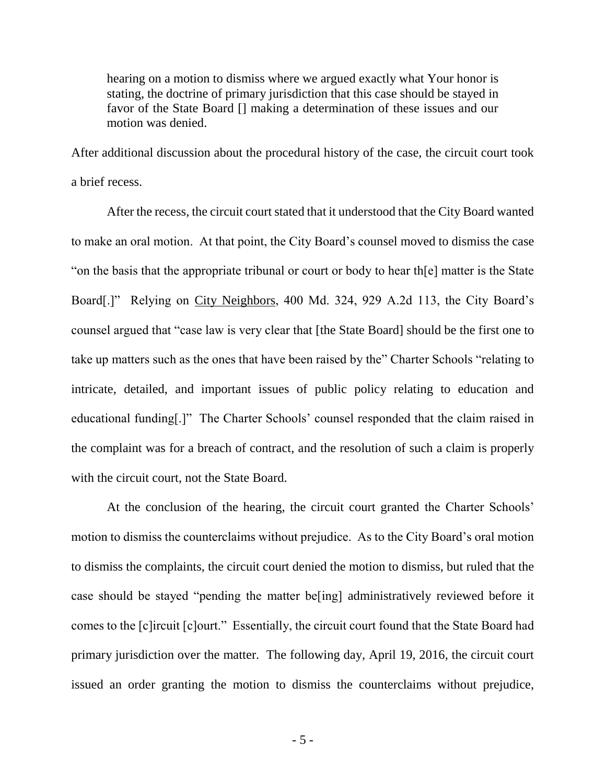hearing on a motion to dismiss where we argued exactly what Your honor is stating, the doctrine of primary jurisdiction that this case should be stayed in favor of the State Board [] making a determination of these issues and our motion was denied.

After additional discussion about the procedural history of the case, the circuit court took a brief recess.

After the recess, the circuit court stated that it understood that the City Board wanted to make an oral motion. At that point, the City Board's counsel moved to dismiss the case "on the basis that the appropriate tribunal or court or body to hear th[e] matter is the State Board[.]" Relying on City Neighbors, 400 Md. 324, 929 A.2d 113, the City Board's counsel argued that "case law is very clear that [the State Board] should be the first one to take up matters such as the ones that have been raised by the" Charter Schools "relating to intricate, detailed, and important issues of public policy relating to education and educational funding[.]" The Charter Schools' counsel responded that the claim raised in the complaint was for a breach of contract, and the resolution of such a claim is properly with the circuit court, not the State Board.

At the conclusion of the hearing, the circuit court granted the Charter Schools' motion to dismiss the counterclaims without prejudice. As to the City Board's oral motion to dismiss the complaints, the circuit court denied the motion to dismiss, but ruled that the case should be stayed "pending the matter be[ing] administratively reviewed before it comes to the [c]ircuit [c]ourt." Essentially, the circuit court found that the State Board had primary jurisdiction over the matter. The following day, April 19, 2016, the circuit court issued an order granting the motion to dismiss the counterclaims without prejudice,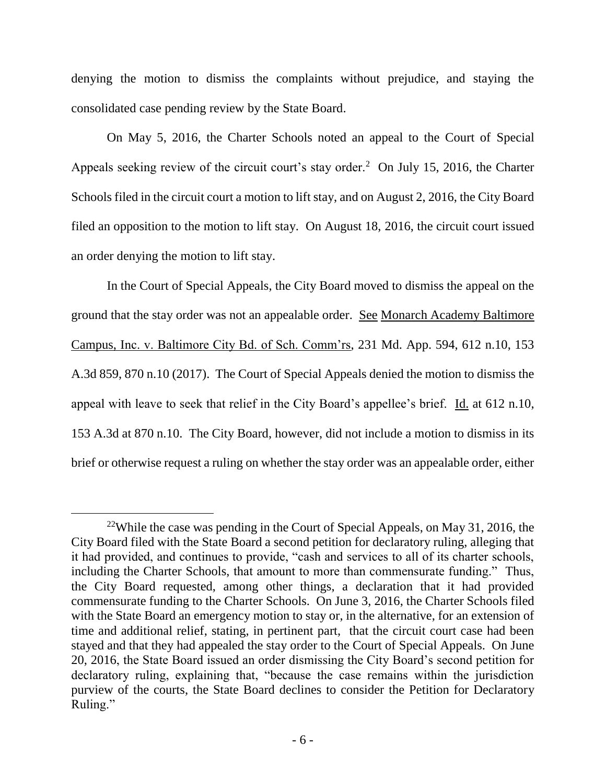denying the motion to dismiss the complaints without prejudice, and staying the consolidated case pending review by the State Board.

On May 5, 2016, the Charter Schools noted an appeal to the Court of Special Appeals seeking review of the circuit court's stay order.<sup>2</sup> On July 15, 2016, the Charter Schools filed in the circuit court a motion to lift stay, and on August 2, 2016, the City Board filed an opposition to the motion to lift stay. On August 18, 2016, the circuit court issued an order denying the motion to lift stay.

In the Court of Special Appeals, the City Board moved to dismiss the appeal on the ground that the stay order was not an appealable order. See Monarch Academy Baltimore Campus, Inc. v. Baltimore City Bd. of Sch. Comm'rs, 231 Md. App. 594, 612 n.10, 153 A.3d 859, 870 n.10 (2017). The Court of Special Appeals denied the motion to dismiss the appeal with leave to seek that relief in the City Board's appellee's brief. Id. at 612 n.10, 153 A.3d at 870 n.10. The City Board, however, did not include a motion to dismiss in its brief or otherwise request a ruling on whether the stay order was an appealable order, either

<sup>&</sup>lt;sup>22</sup>While the case was pending in the Court of Special Appeals, on May 31, 2016, the City Board filed with the State Board a second petition for declaratory ruling, alleging that it had provided, and continues to provide, "cash and services to all of its charter schools, including the Charter Schools, that amount to more than commensurate funding." Thus, the City Board requested, among other things, a declaration that it had provided commensurate funding to the Charter Schools. On June 3, 2016, the Charter Schools filed with the State Board an emergency motion to stay or, in the alternative, for an extension of time and additional relief, stating, in pertinent part, that the circuit court case had been stayed and that they had appealed the stay order to the Court of Special Appeals. On June 20, 2016, the State Board issued an order dismissing the City Board's second petition for declaratory ruling, explaining that, "because the case remains within the jurisdiction purview of the courts, the State Board declines to consider the Petition for Declaratory Ruling."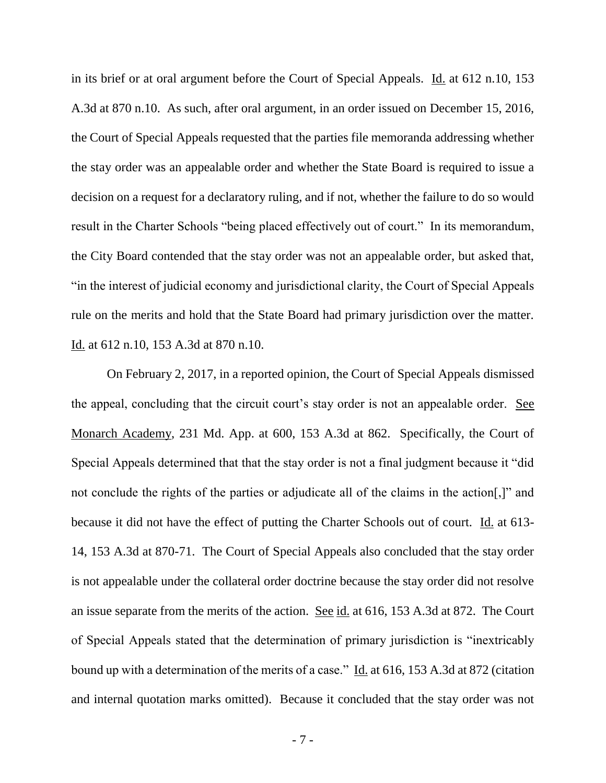in its brief or at oral argument before the Court of Special Appeals. Id. at 612 n.10, 153 A.3d at 870 n.10. As such, after oral argument, in an order issued on December 15, 2016, the Court of Special Appeals requested that the parties file memoranda addressing whether the stay order was an appealable order and whether the State Board is required to issue a decision on a request for a declaratory ruling, and if not, whether the failure to do so would result in the Charter Schools "being placed effectively out of court." In its memorandum, the City Board contended that the stay order was not an appealable order, but asked that, "in the interest of judicial economy and jurisdictional clarity, the Court of Special Appeals rule on the merits and hold that the State Board had primary jurisdiction over the matter. Id. at 612 n.10, 153 A.3d at 870 n.10.

On February 2, 2017, in a reported opinion, the Court of Special Appeals dismissed the appeal, concluding that the circuit court's stay order is not an appealable order. See Monarch Academy, 231 Md. App. at 600, 153 A.3d at 862. Specifically, the Court of Special Appeals determined that that the stay order is not a final judgment because it "did not conclude the rights of the parties or adjudicate all of the claims in the action[,]" and because it did not have the effect of putting the Charter Schools out of court. Id. at 613- 14, 153 A.3d at 870-71. The Court of Special Appeals also concluded that the stay order is not appealable under the collateral order doctrine because the stay order did not resolve an issue separate from the merits of the action. See id. at 616, 153 A.3d at 872. The Court of Special Appeals stated that the determination of primary jurisdiction is "inextricably bound up with a determination of the merits of a case." Id. at 616, 153 A.3d at 872 (citation and internal quotation marks omitted). Because it concluded that the stay order was not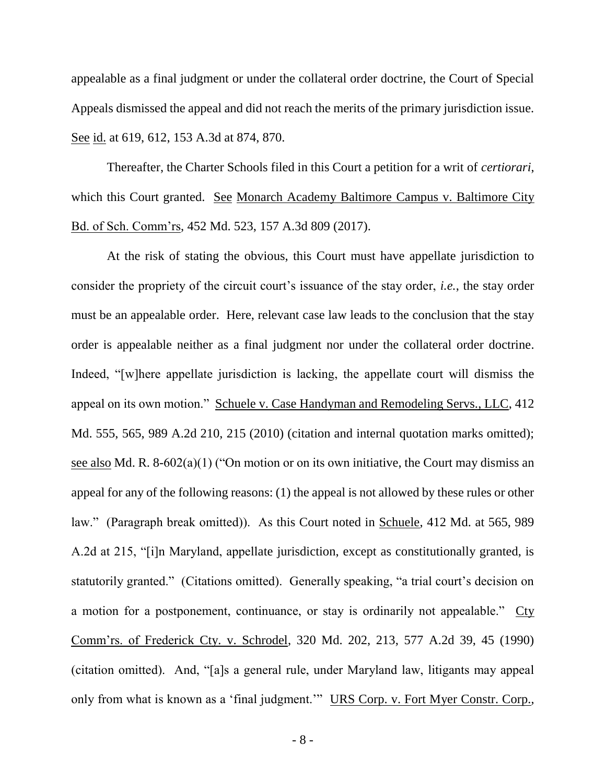appealable as a final judgment or under the collateral order doctrine, the Court of Special Appeals dismissed the appeal and did not reach the merits of the primary jurisdiction issue. See id. at 619, 612, 153 A.3d at 874, 870.

Thereafter, the Charter Schools filed in this Court a petition for a writ of *certiorari*, which this Court granted. See Monarch Academy Baltimore Campus v. Baltimore City Bd. of Sch. Comm'rs, 452 Md. 523, 157 A.3d 809 (2017).

At the risk of stating the obvious, this Court must have appellate jurisdiction to consider the propriety of the circuit court's issuance of the stay order, *i.e.*, the stay order must be an appealable order. Here, relevant case law leads to the conclusion that the stay order is appealable neither as a final judgment nor under the collateral order doctrine. Indeed, "[w]here appellate jurisdiction is lacking, the appellate court will dismiss the appeal on its own motion." Schuele v. Case Handyman and Remodeling Servs., LLC, 412 Md. 555, 565, 989 A.2d 210, 215 (2010) (citation and internal quotation marks omitted); see also Md. R. 8-602(a)(1) ("On motion or on its own initiative, the Court may dismiss an appeal for any of the following reasons: (1) the appeal is not allowed by these rules or other law." (Paragraph break omitted)). As this Court noted in Schuele, 412 Md. at 565, 989 A.2d at 215, "[i]n Maryland, appellate jurisdiction, except as constitutionally granted, is statutorily granted." (Citations omitted). Generally speaking, "a trial court's decision on a motion for a postponement, continuance, or stay is ordinarily not appealable." Cty Comm'rs. of Frederick Cty. v. Schrodel, 320 Md. 202, 213, 577 A.2d 39, 45 (1990) (citation omitted). And, "[a]s a general rule, under Maryland law, litigants may appeal only from what is known as a 'final judgment.'" URS Corp. v. Fort Myer Constr. Corp.,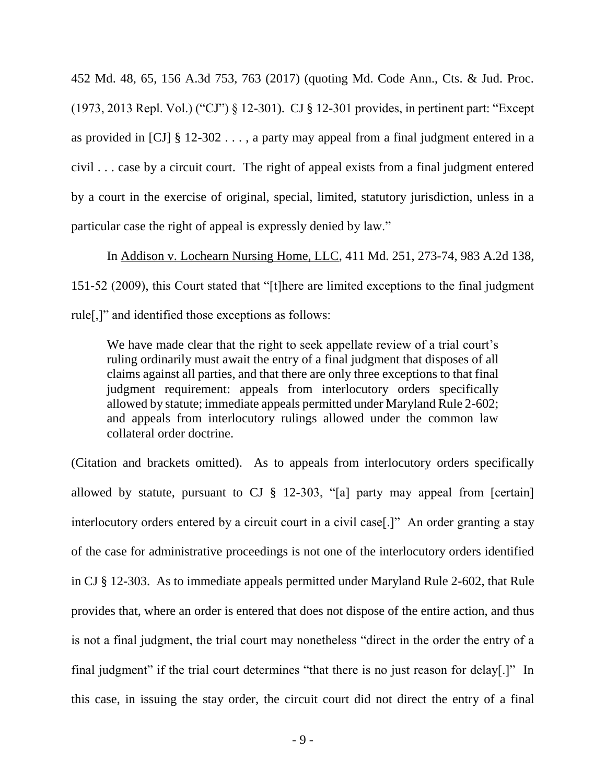452 Md. 48, 65, 156 A.3d 753, 763 (2017) (quoting Md. Code Ann., Cts. & Jud. Proc. (1973, 2013 Repl. Vol.) ("CJ") § 12-301). CJ § 12-301 provides, in pertinent part: "Except as provided in [CJ] § 12-302 . . . , a party may appeal from a final judgment entered in a civil . . . case by a circuit court. The right of appeal exists from a final judgment entered by a court in the exercise of original, special, limited, statutory jurisdiction, unless in a particular case the right of appeal is expressly denied by law."

In Addison v. Lochearn Nursing Home, LLC, 411 Md. 251, 273-74, 983 A.2d 138, 151-52 (2009), this Court stated that "[t]here are limited exceptions to the final judgment rule[,]" and identified those exceptions as follows:

We have made clear that the right to seek appellate review of a trial court's ruling ordinarily must await the entry of a final judgment that disposes of all claims against all parties, and that there are only three exceptions to that final judgment requirement: appeals from interlocutory orders specifically allowed by statute; immediate appeals permitted under Maryland Rule 2-602; and appeals from interlocutory rulings allowed under the common law collateral order doctrine.

(Citation and brackets omitted). As to appeals from interlocutory orders specifically allowed by statute, pursuant to CJ  $\S$  12-303, "[a] party may appeal from [certain] interlocutory orders entered by a circuit court in a civil case[.]" An order granting a stay of the case for administrative proceedings is not one of the interlocutory orders identified in CJ § 12-303. As to immediate appeals permitted under Maryland Rule 2-602, that Rule provides that, where an order is entered that does not dispose of the entire action, and thus is not a final judgment, the trial court may nonetheless "direct in the order the entry of a final judgment" if the trial court determines "that there is no just reason for delay[.]" In this case, in issuing the stay order, the circuit court did not direct the entry of a final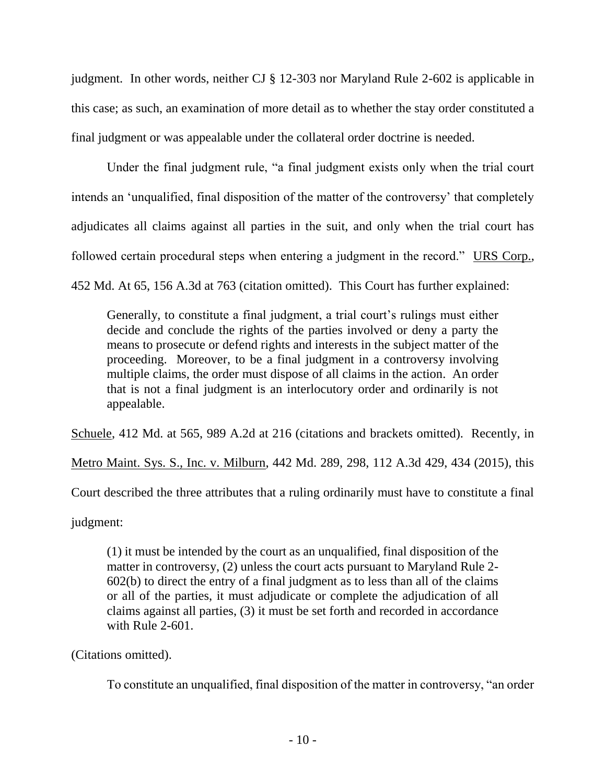judgment. In other words, neither CJ § 12-303 nor Maryland Rule 2-602 is applicable in this case; as such, an examination of more detail as to whether the stay order constituted a final judgment or was appealable under the collateral order doctrine is needed.

Under the final judgment rule, "a final judgment exists only when the trial court intends an 'unqualified, final disposition of the matter of the controversy' that completely adjudicates all claims against all parties in the suit, and only when the trial court has followed certain procedural steps when entering a judgment in the record." URS Corp., 452 Md. At 65, 156 A.3d at 763 (citation omitted). This Court has further explained:

Generally, to constitute a final judgment, a trial court's rulings must either decide and conclude the rights of the parties involved or deny a party the means to prosecute or defend rights and interests in the subject matter of the proceeding. Moreover, to be a final judgment in a controversy involving multiple claims, the order must dispose of all claims in the action. An order that is not a final judgment is an interlocutory order and ordinarily is not appealable.

Schuele, 412 Md. at 565, 989 A.2d at 216 (citations and brackets omitted). Recently, in

Metro Maint. Sys. S., Inc. v. Milburn, 442 Md. 289, 298, 112 A.3d 429, 434 (2015), this

Court described the three attributes that a ruling ordinarily must have to constitute a final

judgment:

(1) it must be intended by the court as an unqualified, final disposition of the matter in controversy, (2) unless the court acts pursuant to Maryland Rule 2- 602(b) to direct the entry of a final judgment as to less than all of the claims or all of the parties, it must adjudicate or complete the adjudication of all claims against all parties, (3) it must be set forth and recorded in accordance with Rule 2-601.

(Citations omitted).

To constitute an unqualified, final disposition of the matter in controversy, "an order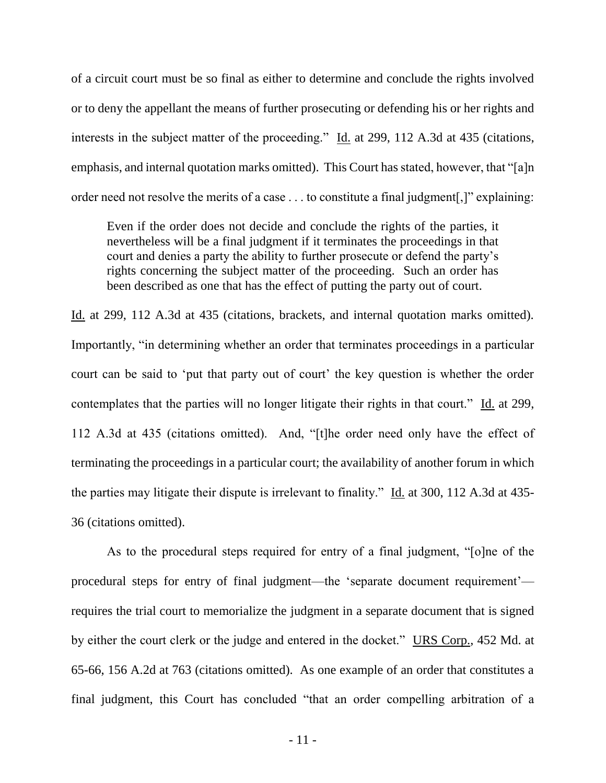of a circuit court must be so final as either to determine and conclude the rights involved or to deny the appellant the means of further prosecuting or defending his or her rights and interests in the subject matter of the proceeding." Id. at 299, 112 A.3d at 435 (citations, emphasis, and internal quotation marks omitted). This Court has stated, however, that "[a]n order need not resolve the merits of a case . . . to constitute a final judgment[,]" explaining:

Even if the order does not decide and conclude the rights of the parties, it nevertheless will be a final judgment if it terminates the proceedings in that court and denies a party the ability to further prosecute or defend the party's rights concerning the subject matter of the proceeding. Such an order has been described as one that has the effect of putting the party out of court.

Id. at 299, 112 A.3d at 435 (citations, brackets, and internal quotation marks omitted). Importantly, "in determining whether an order that terminates proceedings in a particular court can be said to 'put that party out of court' the key question is whether the order contemplates that the parties will no longer litigate their rights in that court." Id. at 299, 112 A.3d at 435 (citations omitted). And, "[t]he order need only have the effect of terminating the proceedings in a particular court; the availability of another forum in which the parties may litigate their dispute is irrelevant to finality." Id. at 300, 112 A.3d at 435- 36 (citations omitted).

As to the procedural steps required for entry of a final judgment, "[o]ne of the procedural steps for entry of final judgment—the 'separate document requirement' requires the trial court to memorialize the judgment in a separate document that is signed by either the court clerk or the judge and entered in the docket." URS Corp., 452 Md. at 65-66, 156 A.2d at 763 (citations omitted). As one example of an order that constitutes a final judgment, this Court has concluded "that an order compelling arbitration of a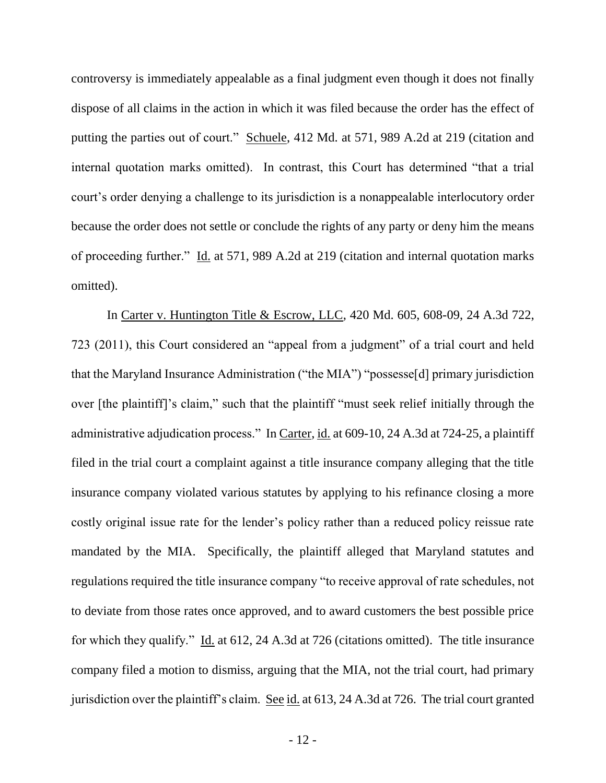controversy is immediately appealable as a final judgment even though it does not finally dispose of all claims in the action in which it was filed because the order has the effect of putting the parties out of court." Schuele, 412 Md. at 571, 989 A.2d at 219 (citation and internal quotation marks omitted). In contrast, this Court has determined "that a trial court's order denying a challenge to its jurisdiction is a nonappealable interlocutory order because the order does not settle or conclude the rights of any party or deny him the means of proceeding further." Id. at 571, 989 A.2d at 219 (citation and internal quotation marks omitted).

In Carter v. Huntington Title & Escrow, LLC, 420 Md. 605, 608-09, 24 A.3d 722, 723 (2011), this Court considered an "appeal from a judgment" of a trial court and held that the Maryland Insurance Administration ("the MIA") "possesse[d] primary jurisdiction over [the plaintiff]'s claim," such that the plaintiff "must seek relief initially through the administrative adjudication process." In Carter, id. at 609-10, 24 A.3d at 724-25, a plaintiff filed in the trial court a complaint against a title insurance company alleging that the title insurance company violated various statutes by applying to his refinance closing a more costly original issue rate for the lender's policy rather than a reduced policy reissue rate mandated by the MIA. Specifically, the plaintiff alleged that Maryland statutes and regulations required the title insurance company "to receive approval of rate schedules, not to deviate from those rates once approved, and to award customers the best possible price for which they qualify." Id. at 612, 24 A.3d at 726 (citations omitted). The title insurance company filed a motion to dismiss, arguing that the MIA, not the trial court, had primary jurisdiction over the plaintiff's claim. See id. at 613, 24 A.3d at 726. The trial court granted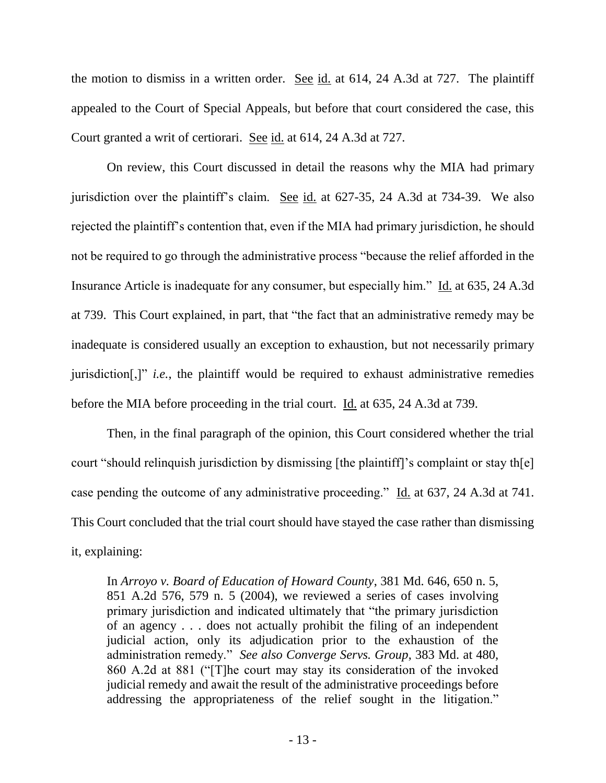the motion to dismiss in a written order. See id. at  $614$ , 24 A.3d at 727. The plaintiff appealed to the Court of Special Appeals, but before that court considered the case, this Court granted a writ of certiorari. See id. at 614, 24 A.3d at 727.

On review, this Court discussed in detail the reasons why the MIA had primary jurisdiction over the plaintiff's claim. See id. at 627-35, 24 A.3d at 734-39. We also rejected the plaintiff's contention that, even if the MIA had primary jurisdiction, he should not be required to go through the administrative process "because the relief afforded in the Insurance Article is inadequate for any consumer, but especially him." Id. at 635, 24 A.3d at 739. This Court explained, in part, that "the fact that an administrative remedy may be inadequate is considered usually an exception to exhaustion, but not necessarily primary jurisdiction[,]" *i.e.*, the plaintiff would be required to exhaust administrative remedies before the MIA before proceeding in the trial court. Id. at 635, 24 A.3d at 739.

Then, in the final paragraph of the opinion, this Court considered whether the trial court "should relinquish jurisdiction by dismissing [the plaintiff]'s complaint or stay th[e] case pending the outcome of any administrative proceeding." Id. at 637, 24 A.3d at 741. This Court concluded that the trial court should have stayed the case rather than dismissing it, explaining:

In *Arroyo v. Board of Education of Howard County*, 381 Md. 646, 650 n. 5, 851 A.2d 576, 579 n. 5 (2004), we reviewed a series of cases involving primary jurisdiction and indicated ultimately that "the primary jurisdiction of an agency . . . does not actually prohibit the filing of an independent judicial action, only its adjudication prior to the exhaustion of the administration remedy." *See also Converge Servs. Group*, 383 Md. at 480, 860 A.2d at 881 ("[T]he court may stay its consideration of the invoked judicial remedy and await the result of the administrative proceedings before addressing the appropriateness of the relief sought in the litigation."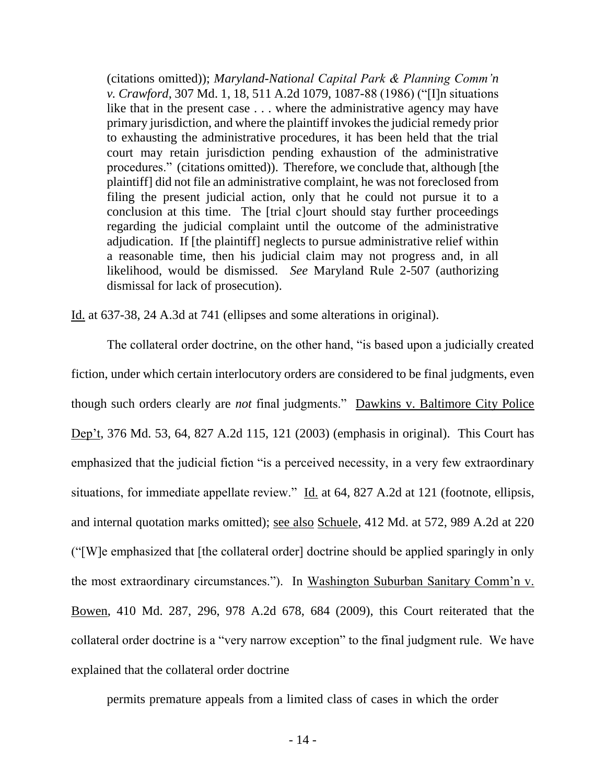(citations omitted)); *Maryland-National Capital Park & Planning Comm'n v. Crawford*, 307 Md. 1, 18, 511 A.2d 1079, 1087-88 (1986) ("[I]n situations like that in the present case . . . where the administrative agency may have primary jurisdiction, and where the plaintiff invokes the judicial remedy prior to exhausting the administrative procedures, it has been held that the trial court may retain jurisdiction pending exhaustion of the administrative procedures." (citations omitted)). Therefore, we conclude that, although [the plaintiff] did not file an administrative complaint, he was not foreclosed from filing the present judicial action, only that he could not pursue it to a conclusion at this time. The [trial c]ourt should stay further proceedings regarding the judicial complaint until the outcome of the administrative adjudication. If [the plaintiff] neglects to pursue administrative relief within a reasonable time, then his judicial claim may not progress and, in all likelihood, would be dismissed. *See* Maryland Rule 2-507 (authorizing dismissal for lack of prosecution).

Id. at 637-38, 24 A.3d at 741 (ellipses and some alterations in original).

The collateral order doctrine, on the other hand, "is based upon a judicially created fiction, under which certain interlocutory orders are considered to be final judgments, even though such orders clearly are *not* final judgments." Dawkins v. Baltimore City Police Dep't, 376 Md. 53, 64, 827 A.2d 115, 121 (2003) (emphasis in original). This Court has emphasized that the judicial fiction "is a perceived necessity, in a very few extraordinary situations, for immediate appellate review." Id. at 64, 827 A.2d at 121 (footnote, ellipsis, and internal quotation marks omitted); see also Schuele, 412 Md. at 572, 989 A.2d at 220 ("[W]e emphasized that [the collateral order] doctrine should be applied sparingly in only the most extraordinary circumstances."). In Washington Suburban Sanitary Comm'n v. Bowen, 410 Md. 287, 296, 978 A.2d 678, 684 (2009), this Court reiterated that the collateral order doctrine is a "very narrow exception" to the final judgment rule. We have explained that the collateral order doctrine

permits premature appeals from a limited class of cases in which the order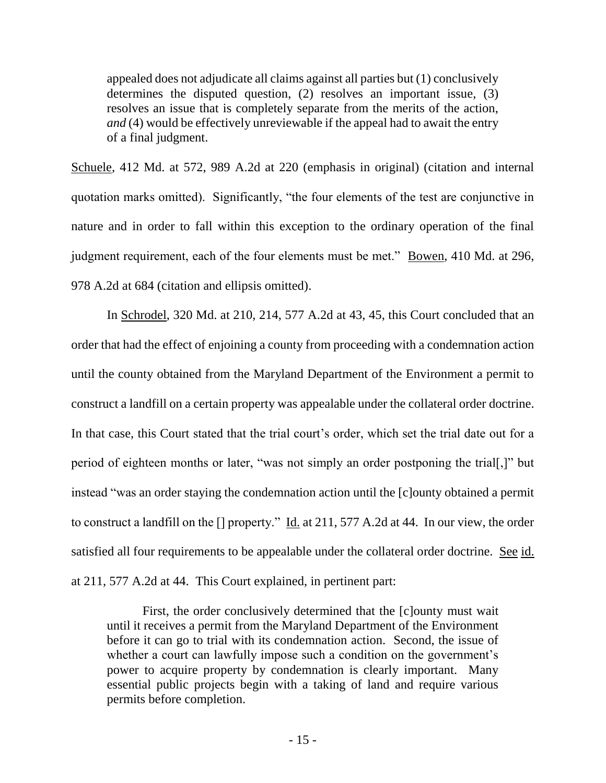appealed does not adjudicate all claims against all parties but (1) conclusively determines the disputed question, (2) resolves an important issue, (3) resolves an issue that is completely separate from the merits of the action, *and* (4) would be effectively unreviewable if the appeal had to await the entry of a final judgment.

Schuele, 412 Md. at 572, 989 A.2d at 220 (emphasis in original) (citation and internal quotation marks omitted). Significantly, "the four elements of the test are conjunctive in nature and in order to fall within this exception to the ordinary operation of the final judgment requirement, each of the four elements must be met." Bowen, 410 Md. at 296, 978 A.2d at 684 (citation and ellipsis omitted).

In Schrodel, 320 Md. at 210, 214, 577 A.2d at 43, 45, this Court concluded that an order that had the effect of enjoining a county from proceeding with a condemnation action until the county obtained from the Maryland Department of the Environment a permit to construct a landfill on a certain property was appealable under the collateral order doctrine. In that case, this Court stated that the trial court's order, which set the trial date out for a period of eighteen months or later, "was not simply an order postponing the trial[,]" but instead "was an order staying the condemnation action until the [c]ounty obtained a permit to construct a landfill on the [] property." Id. at 211, 577 A.2d at 44. In our view, the order satisfied all four requirements to be appealable under the collateral order doctrine. See id. at 211, 577 A.2d at 44. This Court explained, in pertinent part:

First, the order conclusively determined that the [c]ounty must wait until it receives a permit from the Maryland Department of the Environment before it can go to trial with its condemnation action. Second, the issue of whether a court can lawfully impose such a condition on the government's power to acquire property by condemnation is clearly important. Many essential public projects begin with a taking of land and require various permits before completion.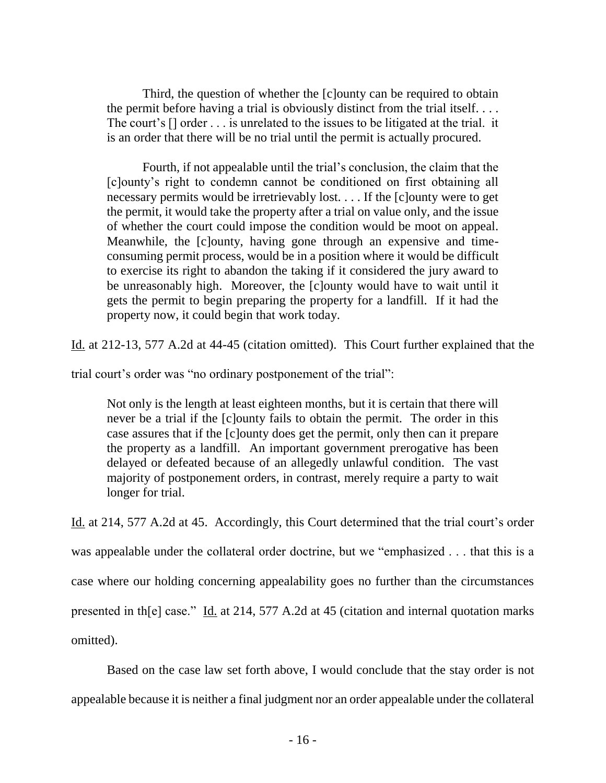Third, the question of whether the [c]ounty can be required to obtain the permit before having a trial is obviously distinct from the trial itself. . . . The court's [] order . . . is unrelated to the issues to be litigated at the trial. it is an order that there will be no trial until the permit is actually procured.

Fourth, if not appealable until the trial's conclusion, the claim that the [c]ounty's right to condemn cannot be conditioned on first obtaining all necessary permits would be irretrievably lost. . . . If the [c]ounty were to get the permit, it would take the property after a trial on value only, and the issue of whether the court could impose the condition would be moot on appeal. Meanwhile, the [c]ounty, having gone through an expensive and timeconsuming permit process, would be in a position where it would be difficult to exercise its right to abandon the taking if it considered the jury award to be unreasonably high. Moreover, the [c]ounty would have to wait until it gets the permit to begin preparing the property for a landfill. If it had the property now, it could begin that work today.

Id. at 212-13, 577 A.2d at 44-45 (citation omitted). This Court further explained that the

trial court's order was "no ordinary postponement of the trial":

Not only is the length at least eighteen months, but it is certain that there will never be a trial if the [c]ounty fails to obtain the permit. The order in this case assures that if the [c]ounty does get the permit, only then can it prepare the property as a landfill. An important government prerogative has been delayed or defeated because of an allegedly unlawful condition. The vast majority of postponement orders, in contrast, merely require a party to wait longer for trial.

Id. at 214, 577 A.2d at 45. Accordingly, this Court determined that the trial court's order was appealable under the collateral order doctrine, but we "emphasized . . . that this is a case where our holding concerning appealability goes no further than the circumstances presented in th[e] case." Id. at 214, 577 A.2d at 45 (citation and internal quotation marks omitted).

Based on the case law set forth above, I would conclude that the stay order is not appealable because it is neither a final judgment nor an order appealable under the collateral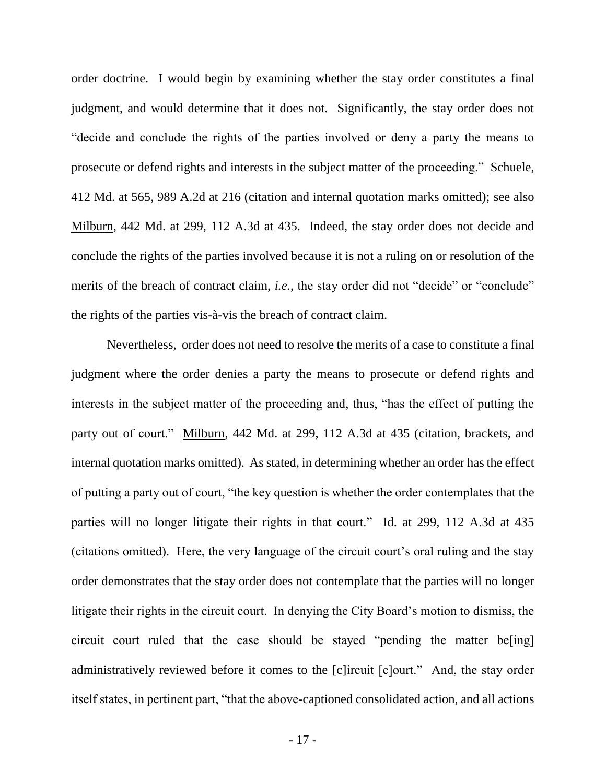order doctrine. I would begin by examining whether the stay order constitutes a final judgment, and would determine that it does not. Significantly, the stay order does not "decide and conclude the rights of the parties involved or deny a party the means to prosecute or defend rights and interests in the subject matter of the proceeding." Schuele, 412 Md. at 565, 989 A.2d at 216 (citation and internal quotation marks omitted); see also Milburn, 442 Md. at 299, 112 A.3d at 435. Indeed, the stay order does not decide and conclude the rights of the parties involved because it is not a ruling on or resolution of the merits of the breach of contract claim, *i.e.*, the stay order did not "decide" or "conclude" the rights of the parties vis-à-vis the breach of contract claim.

Nevertheless, order does not need to resolve the merits of a case to constitute a final judgment where the order denies a party the means to prosecute or defend rights and interests in the subject matter of the proceeding and, thus, "has the effect of putting the party out of court." Milburn, 442 Md. at 299, 112 A.3d at 435 (citation, brackets, and internal quotation marks omitted). As stated, in determining whether an order has the effect of putting a party out of court, "the key question is whether the order contemplates that the parties will no longer litigate their rights in that court." Id. at 299, 112 A.3d at 435 (citations omitted). Here, the very language of the circuit court's oral ruling and the stay order demonstrates that the stay order does not contemplate that the parties will no longer litigate their rights in the circuit court. In denying the City Board's motion to dismiss, the circuit court ruled that the case should be stayed "pending the matter be[ing] administratively reviewed before it comes to the [c]ircuit [c]ourt." And, the stay order itself states, in pertinent part, "that the above-captioned consolidated action, and all actions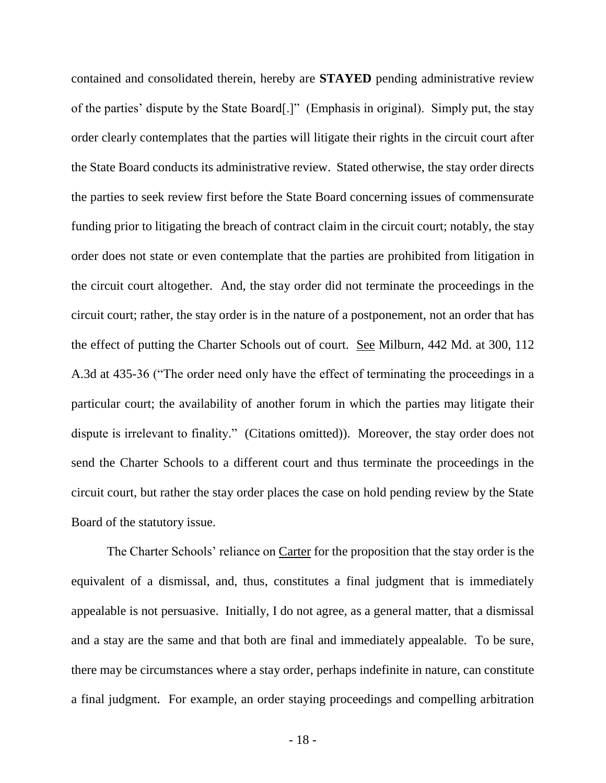contained and consolidated therein, hereby are **STAYED** pending administrative review of the parties' dispute by the State Board[.]" (Emphasis in original). Simply put, the stay order clearly contemplates that the parties will litigate their rights in the circuit court after the State Board conducts its administrative review. Stated otherwise, the stay order directs the parties to seek review first before the State Board concerning issues of commensurate funding prior to litigating the breach of contract claim in the circuit court; notably, the stay order does not state or even contemplate that the parties are prohibited from litigation in the circuit court altogether. And, the stay order did not terminate the proceedings in the circuit court; rather, the stay order is in the nature of a postponement, not an order that has the effect of putting the Charter Schools out of court. See Milburn, 442 Md. at 300, 112 A.3d at 435-36 ("The order need only have the effect of terminating the proceedings in a particular court; the availability of another forum in which the parties may litigate their dispute is irrelevant to finality." (Citations omitted)). Moreover, the stay order does not send the Charter Schools to a different court and thus terminate the proceedings in the circuit court, but rather the stay order places the case on hold pending review by the State Board of the statutory issue.

The Charter Schools' reliance on Carter for the proposition that the stay order is the equivalent of a dismissal, and, thus, constitutes a final judgment that is immediately appealable is not persuasive. Initially, I do not agree, as a general matter, that a dismissal and a stay are the same and that both are final and immediately appealable. To be sure, there may be circumstances where a stay order, perhaps indefinite in nature, can constitute a final judgment. For example, an order staying proceedings and compelling arbitration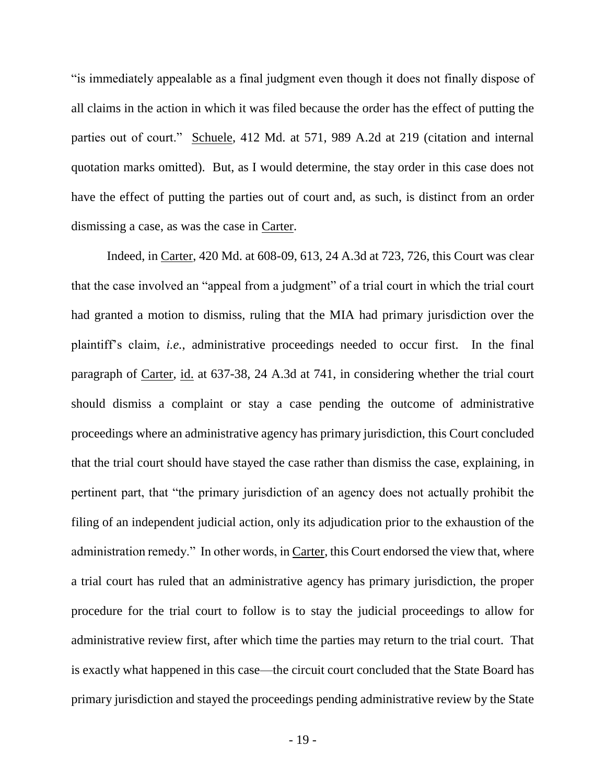"is immediately appealable as a final judgment even though it does not finally dispose of all claims in the action in which it was filed because the order has the effect of putting the parties out of court." Schuele, 412 Md. at 571, 989 A.2d at 219 (citation and internal quotation marks omitted). But, as I would determine, the stay order in this case does not have the effect of putting the parties out of court and, as such, is distinct from an order dismissing a case, as was the case in Carter.

Indeed, in Carter, 420 Md. at 608-09, 613, 24 A.3d at 723, 726, this Court was clear that the case involved an "appeal from a judgment" of a trial court in which the trial court had granted a motion to dismiss, ruling that the MIA had primary jurisdiction over the plaintiff's claim, *i.e.*, administrative proceedings needed to occur first. In the final paragraph of Carter, id. at 637-38, 24 A.3d at 741, in considering whether the trial court should dismiss a complaint or stay a case pending the outcome of administrative proceedings where an administrative agency has primary jurisdiction, this Court concluded that the trial court should have stayed the case rather than dismiss the case, explaining, in pertinent part, that "the primary jurisdiction of an agency does not actually prohibit the filing of an independent judicial action, only its adjudication prior to the exhaustion of the administration remedy." In other words, in Carter, this Court endorsed the view that, where a trial court has ruled that an administrative agency has primary jurisdiction, the proper procedure for the trial court to follow is to stay the judicial proceedings to allow for administrative review first, after which time the parties may return to the trial court. That is exactly what happened in this case—the circuit court concluded that the State Board has primary jurisdiction and stayed the proceedings pending administrative review by the State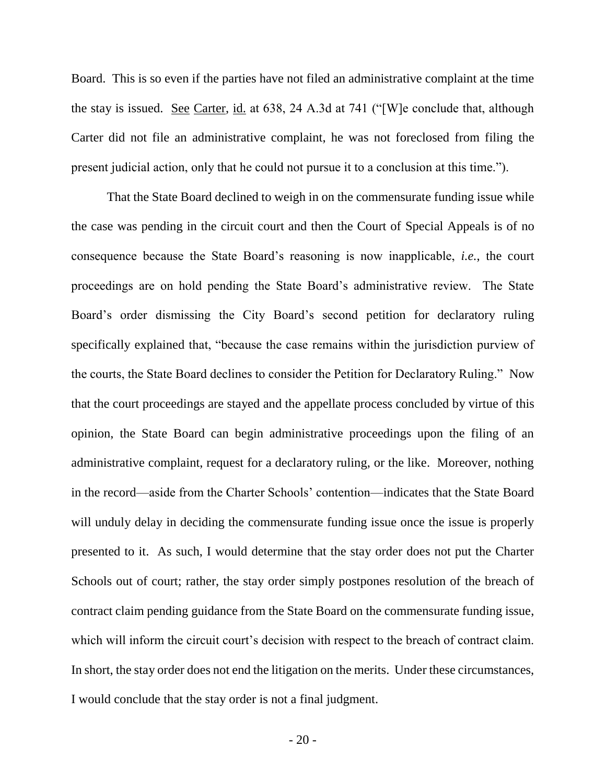Board. This is so even if the parties have not filed an administrative complaint at the time the stay is issued. See Carter, id. at 638, 24 A.3d at 741 ("[W]e conclude that, although Carter did not file an administrative complaint, he was not foreclosed from filing the present judicial action, only that he could not pursue it to a conclusion at this time.").

That the State Board declined to weigh in on the commensurate funding issue while the case was pending in the circuit court and then the Court of Special Appeals is of no consequence because the State Board's reasoning is now inapplicable, *i.e.*, the court proceedings are on hold pending the State Board's administrative review. The State Board's order dismissing the City Board's second petition for declaratory ruling specifically explained that, "because the case remains within the jurisdiction purview of the courts, the State Board declines to consider the Petition for Declaratory Ruling." Now that the court proceedings are stayed and the appellate process concluded by virtue of this opinion, the State Board can begin administrative proceedings upon the filing of an administrative complaint, request for a declaratory ruling, or the like. Moreover, nothing in the record—aside from the Charter Schools' contention—indicates that the State Board will unduly delay in deciding the commensurate funding issue once the issue is properly presented to it. As such, I would determine that the stay order does not put the Charter Schools out of court; rather, the stay order simply postpones resolution of the breach of contract claim pending guidance from the State Board on the commensurate funding issue, which will inform the circuit court's decision with respect to the breach of contract claim. In short, the stay order does not end the litigation on the merits. Under these circumstances, I would conclude that the stay order is not a final judgment.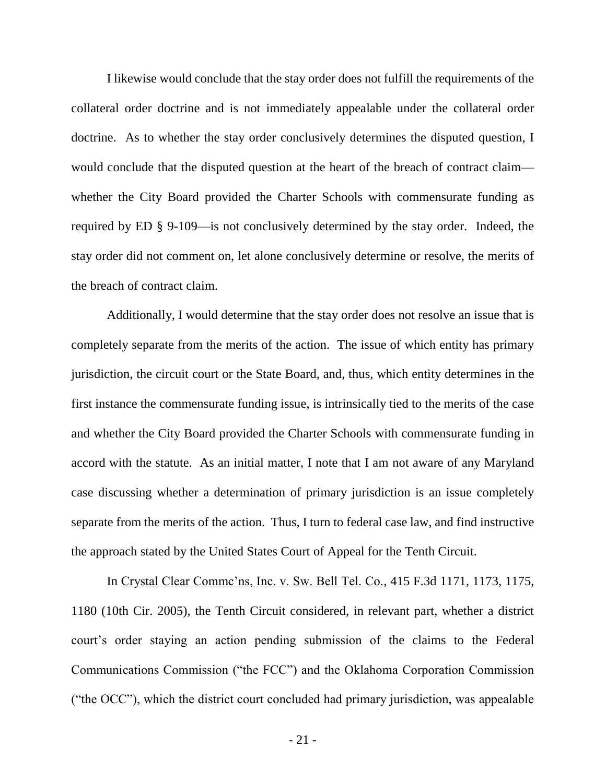I likewise would conclude that the stay order does not fulfill the requirements of the collateral order doctrine and is not immediately appealable under the collateral order doctrine. As to whether the stay order conclusively determines the disputed question, I would conclude that the disputed question at the heart of the breach of contract claim whether the City Board provided the Charter Schools with commensurate funding as required by ED § 9-109—is not conclusively determined by the stay order. Indeed, the stay order did not comment on, let alone conclusively determine or resolve, the merits of the breach of contract claim.

Additionally, I would determine that the stay order does not resolve an issue that is completely separate from the merits of the action. The issue of which entity has primary jurisdiction, the circuit court or the State Board, and, thus, which entity determines in the first instance the commensurate funding issue, is intrinsically tied to the merits of the case and whether the City Board provided the Charter Schools with commensurate funding in accord with the statute. As an initial matter, I note that I am not aware of any Maryland case discussing whether a determination of primary jurisdiction is an issue completely separate from the merits of the action. Thus, I turn to federal case law, and find instructive the approach stated by the United States Court of Appeal for the Tenth Circuit.

In Crystal Clear Commc'ns, Inc. v. Sw. Bell Tel. Co., 415 F.3d 1171, 1173, 1175, 1180 (10th Cir. 2005), the Tenth Circuit considered, in relevant part, whether a district court's order staying an action pending submission of the claims to the Federal Communications Commission ("the FCC") and the Oklahoma Corporation Commission ("the OCC"), which the district court concluded had primary jurisdiction, was appealable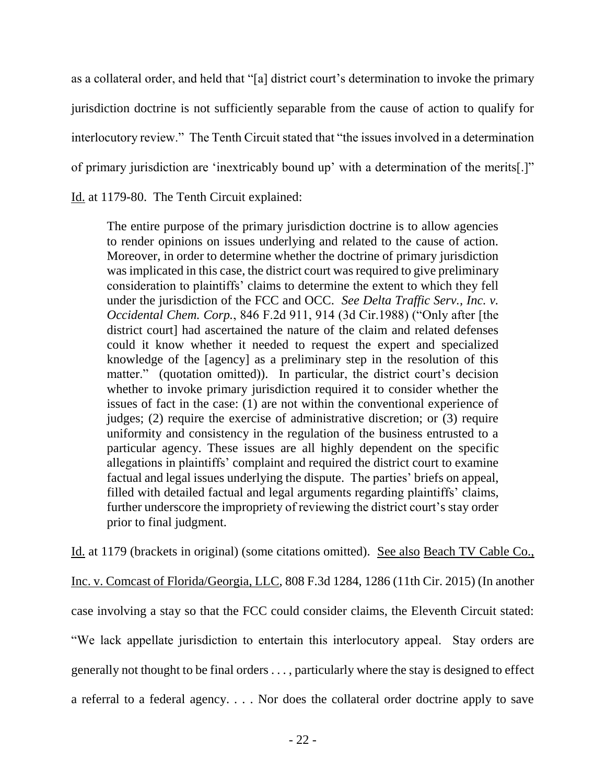as a collateral order, and held that "[a] district court's determination to invoke the primary jurisdiction doctrine is not sufficiently separable from the cause of action to qualify for interlocutory review." The Tenth Circuit stated that "the issues involved in a determination of primary jurisdiction are 'inextricably bound up' with a determination of the merits[.]" Id. at 1179-80. The Tenth Circuit explained:

The entire purpose of the primary jurisdiction doctrine is to allow agencies to render opinions on issues underlying and related to the cause of action. Moreover, in order to determine whether the doctrine of primary jurisdiction was implicated in this case, the district court was required to give preliminary consideration to plaintiffs' claims to determine the extent to which they fell under the jurisdiction of the FCC and OCC. *See Delta Traffic Serv., Inc. v. Occidental Chem. Corp.*, 846 F.2d 911, 914 (3d Cir.1988) ("Only after [the district court] had ascertained the nature of the claim and related defenses could it know whether it needed to request the expert and specialized knowledge of the [agency] as a preliminary step in the resolution of this matter." (quotation omitted)). In particular, the district court's decision whether to invoke primary jurisdiction required it to consider whether the issues of fact in the case: (1) are not within the conventional experience of judges; (2) require the exercise of administrative discretion; or (3) require uniformity and consistency in the regulation of the business entrusted to a particular agency. These issues are all highly dependent on the specific allegations in plaintiffs' complaint and required the district court to examine factual and legal issues underlying the dispute. The parties' briefs on appeal, filled with detailed factual and legal arguments regarding plaintiffs' claims, further underscore the impropriety of reviewing the district court's stay order prior to final judgment.

Id. at 1179 (brackets in original) (some citations omitted). See also Beach TV Cable Co., Inc. v. Comcast of Florida/Georgia, LLC, 808 F.3d 1284, 1286 (11th Cir. 2015) (In another case involving a stay so that the FCC could consider claims, the Eleventh Circuit stated: "We lack appellate jurisdiction to entertain this interlocutory appeal. Stay orders are generally not thought to be final orders . . . , particularly where the stay is designed to effect a referral to a federal agency. . . . Nor does the collateral order doctrine apply to save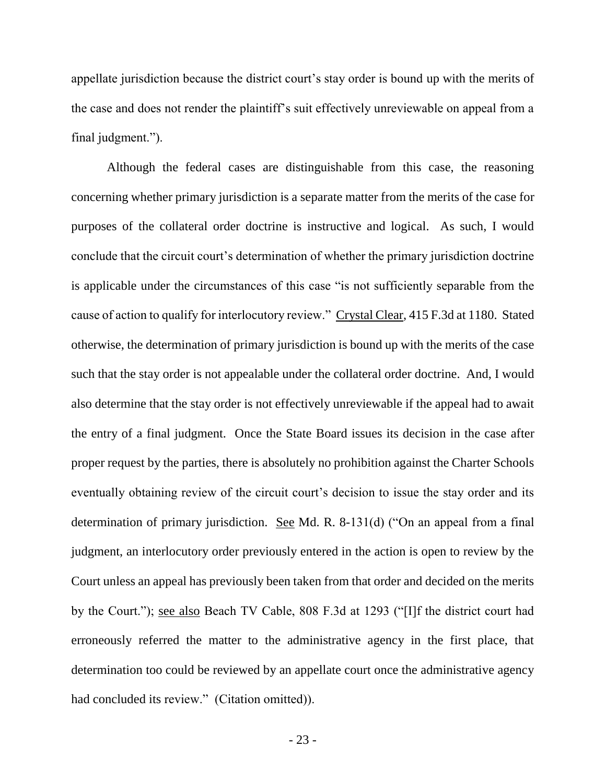appellate jurisdiction because the district court's stay order is bound up with the merits of the case and does not render the plaintiff's suit effectively unreviewable on appeal from a final judgment.").

Although the federal cases are distinguishable from this case, the reasoning concerning whether primary jurisdiction is a separate matter from the merits of the case for purposes of the collateral order doctrine is instructive and logical. As such, I would conclude that the circuit court's determination of whether the primary jurisdiction doctrine is applicable under the circumstances of this case "is not sufficiently separable from the cause of action to qualify for interlocutory review." Crystal Clear, 415 F.3d at 1180. Stated otherwise, the determination of primary jurisdiction is bound up with the merits of the case such that the stay order is not appealable under the collateral order doctrine. And, I would also determine that the stay order is not effectively unreviewable if the appeal had to await the entry of a final judgment. Once the State Board issues its decision in the case after proper request by the parties, there is absolutely no prohibition against the Charter Schools eventually obtaining review of the circuit court's decision to issue the stay order and its determination of primary jurisdiction. See Md. R. 8-131(d) ("On an appeal from a final judgment, an interlocutory order previously entered in the action is open to review by the Court unless an appeal has previously been taken from that order and decided on the merits by the Court."); see also Beach TV Cable, 808 F.3d at 1293 ("[I]f the district court had erroneously referred the matter to the administrative agency in the first place, that determination too could be reviewed by an appellate court once the administrative agency had concluded its review." (Citation omitted)).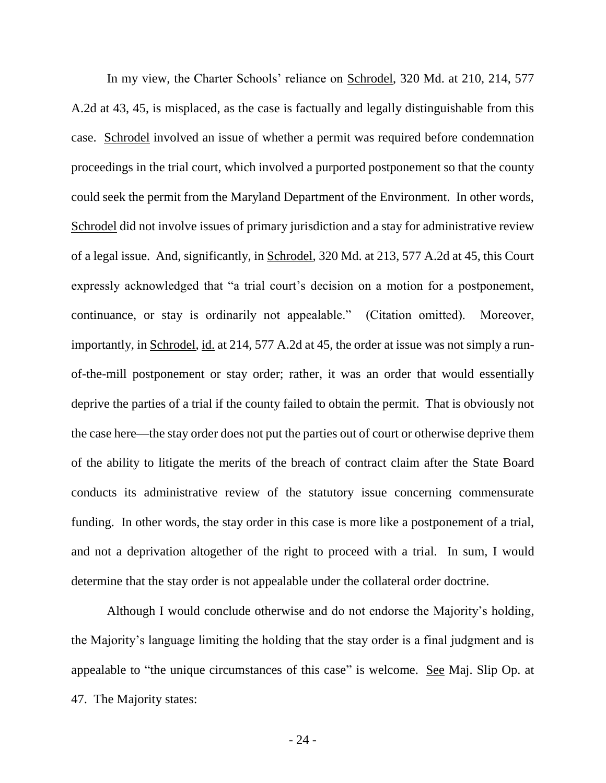In my view, the Charter Schools' reliance on Schrodel, 320 Md. at 210, 214, 577 A.2d at 43, 45, is misplaced, as the case is factually and legally distinguishable from this case. Schrodel involved an issue of whether a permit was required before condemnation proceedings in the trial court, which involved a purported postponement so that the county could seek the permit from the Maryland Department of the Environment. In other words, Schrodel did not involve issues of primary jurisdiction and a stay for administrative review of a legal issue. And, significantly, in Schrodel, 320 Md. at 213, 577 A.2d at 45, this Court expressly acknowledged that "a trial court's decision on a motion for a postponement, continuance, or stay is ordinarily not appealable." (Citation omitted). Moreover, importantly, in Schrodel, id. at 214, 577 A.2d at 45, the order at issue was not simply a runof-the-mill postponement or stay order; rather, it was an order that would essentially deprive the parties of a trial if the county failed to obtain the permit. That is obviously not the case here—the stay order does not put the parties out of court or otherwise deprive them of the ability to litigate the merits of the breach of contract claim after the State Board conducts its administrative review of the statutory issue concerning commensurate funding. In other words, the stay order in this case is more like a postponement of a trial, and not a deprivation altogether of the right to proceed with a trial. In sum, I would determine that the stay order is not appealable under the collateral order doctrine.

Although I would conclude otherwise and do not endorse the Majority's holding, the Majority's language limiting the holding that the stay order is a final judgment and is appealable to "the unique circumstances of this case" is welcome. See Maj. Slip Op. at 47. The Majority states: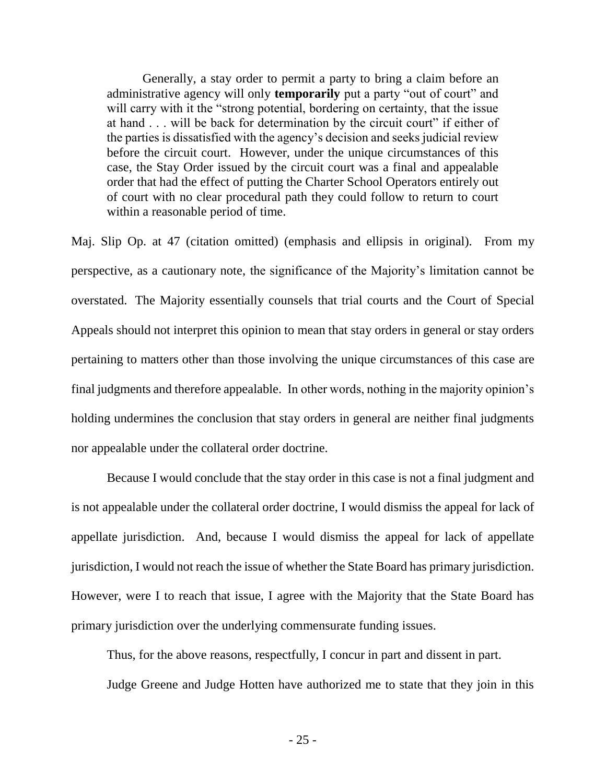Generally, a stay order to permit a party to bring a claim before an administrative agency will only **temporarily** put a party "out of court" and will carry with it the "strong potential, bordering on certainty, that the issue at hand . . . will be back for determination by the circuit court" if either of the parties is dissatisfied with the agency's decision and seeks judicial review before the circuit court. However, under the unique circumstances of this case, the Stay Order issued by the circuit court was a final and appealable order that had the effect of putting the Charter School Operators entirely out of court with no clear procedural path they could follow to return to court within a reasonable period of time.

Maj. Slip Op. at 47 (citation omitted) (emphasis and ellipsis in original). From my perspective, as a cautionary note, the significance of the Majority's limitation cannot be overstated. The Majority essentially counsels that trial courts and the Court of Special Appeals should not interpret this opinion to mean that stay orders in general or stay orders pertaining to matters other than those involving the unique circumstances of this case are final judgments and therefore appealable. In other words, nothing in the majority opinion's holding undermines the conclusion that stay orders in general are neither final judgments nor appealable under the collateral order doctrine.

Because I would conclude that the stay order in this case is not a final judgment and is not appealable under the collateral order doctrine, I would dismiss the appeal for lack of appellate jurisdiction. And, because I would dismiss the appeal for lack of appellate jurisdiction, I would not reach the issue of whether the State Board has primary jurisdiction. However, were I to reach that issue, I agree with the Majority that the State Board has primary jurisdiction over the underlying commensurate funding issues.

Thus, for the above reasons, respectfully, I concur in part and dissent in part.

Judge Greene and Judge Hotten have authorized me to state that they join in this